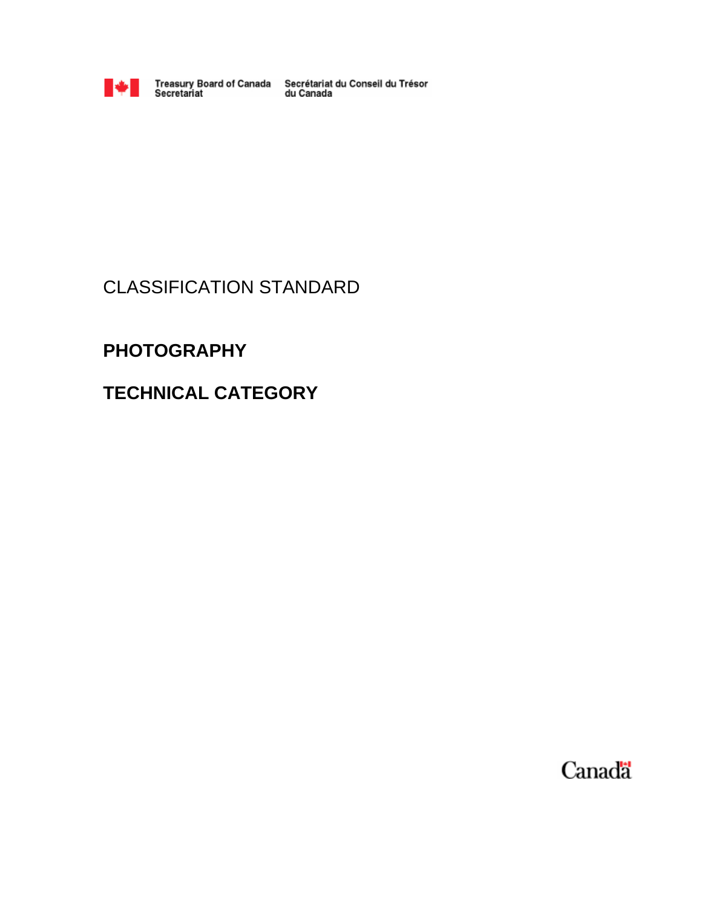

Treasury Board of Canada<br>Secretariat

Secrétariat du Conseil du Trésor<br>du Canada

## CLASSIFICATION STANDARD

## **PHOTOGRAPHY**

## **TECHNICAL CATEGORY**

Canada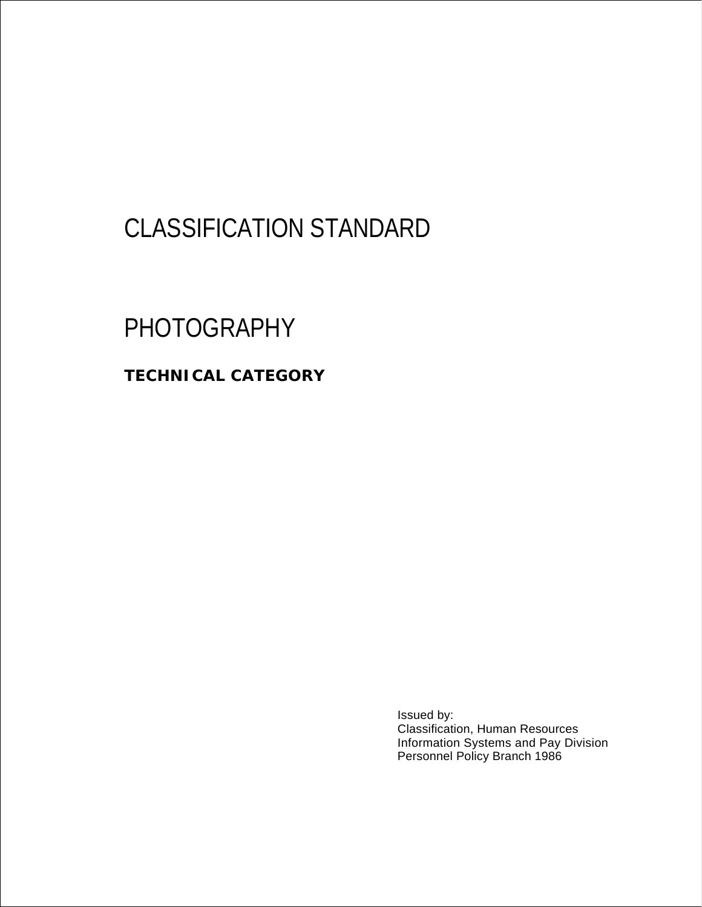# CLASSIFICATION STANDARD

# PHOTOGRAPHY

**TECHNICAL CATEGORY** 

Issued by: Classification, Human Resources Information Systems and Pay Division Personnel Policy Branch 1986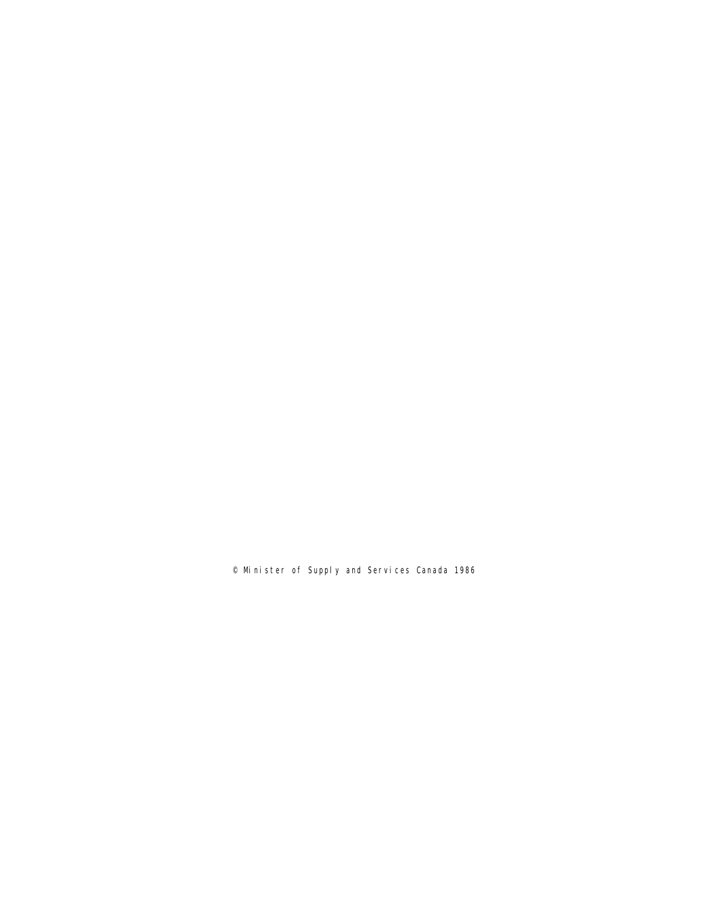© Minister of Supply and Services Canada 1986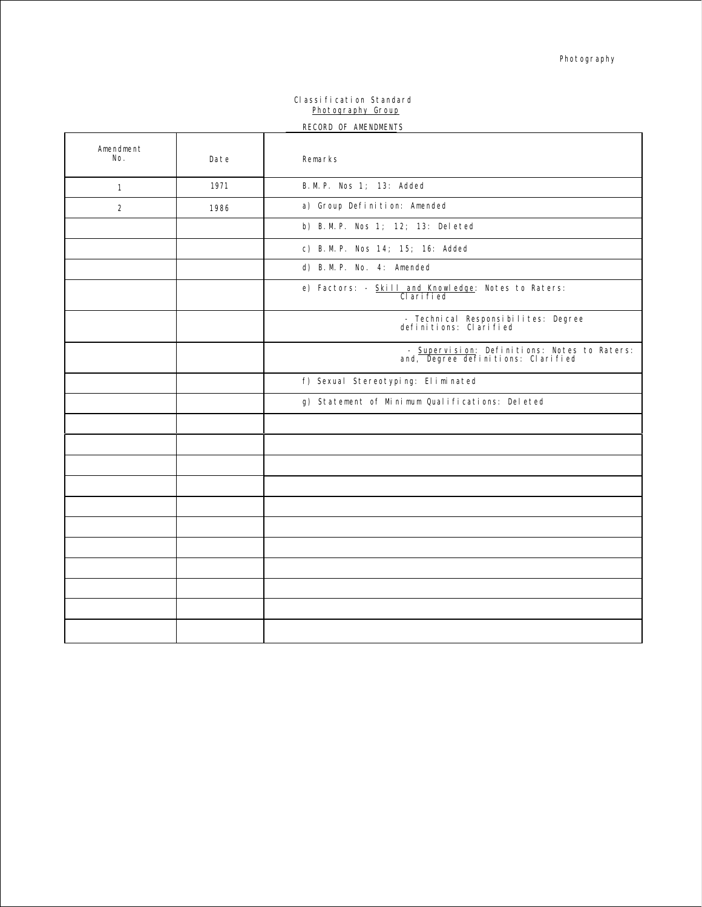#### Classification Standard Photography Group RECORD OF AMENDMENTS

|                  |      | RECORD OF AMENDMENTS                                                               |
|------------------|------|------------------------------------------------------------------------------------|
| Amendment<br>No. | Date | Remarks                                                                            |
| $\mathbf{1}$     | 1971 | B. M. P. Nos 1; 13: Added                                                          |
| $\overline{2}$   | 1986 | a) Group Definition: Amended                                                       |
|                  |      | b) B.M.P. Nos 1; 12; 13: Deleted                                                   |
|                  |      | c) B.M.P. Nos 14; 15; 16: Added                                                    |
|                  |      | d) B.M.P. No. 4: Amended                                                           |
|                  |      | e) Factors: - Skill and Knowledge: Notes to Raters:<br>CI ari fi ed                |
|                  |      | - Technical Responsibilites: Degree<br>definitions: Clarified                      |
|                  |      | - Supervision: Definitions: Notes to Raters:<br>and, Degree definitions: Clarified |
|                  |      | f) Sexual Stereotyping: Eliminated                                                 |
|                  |      | g) Statement of Minimum Qualifications: Deleted                                    |
|                  |      |                                                                                    |
|                  |      |                                                                                    |
|                  |      |                                                                                    |
|                  |      |                                                                                    |
|                  |      |                                                                                    |
|                  |      |                                                                                    |
|                  |      |                                                                                    |
|                  |      |                                                                                    |
|                  |      |                                                                                    |
|                  |      |                                                                                    |
|                  |      |                                                                                    |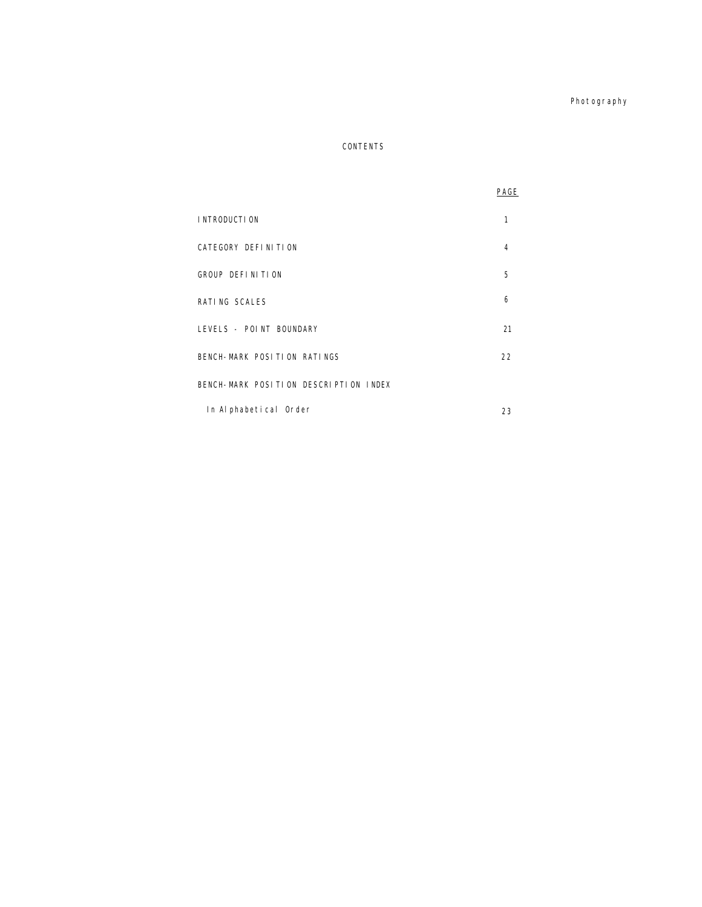Photography

### CONTENTS

|                                       | PAGE |
|---------------------------------------|------|
| I NTRODUCTI ON                        | 1    |
| CATEGORY DEFINITION                   | 4    |
| GROUP DEFINITION                      | 5    |
| RATING SCALES                         | 6    |
| LEVELS - POINT BOUNDARY               | 21   |
| BENCH-MARK POSITION RATINGS           | 22   |
| BENCH-MARK POSITION DESCRIPTION INDEX |      |
| In Alphabetical Order                 | 23   |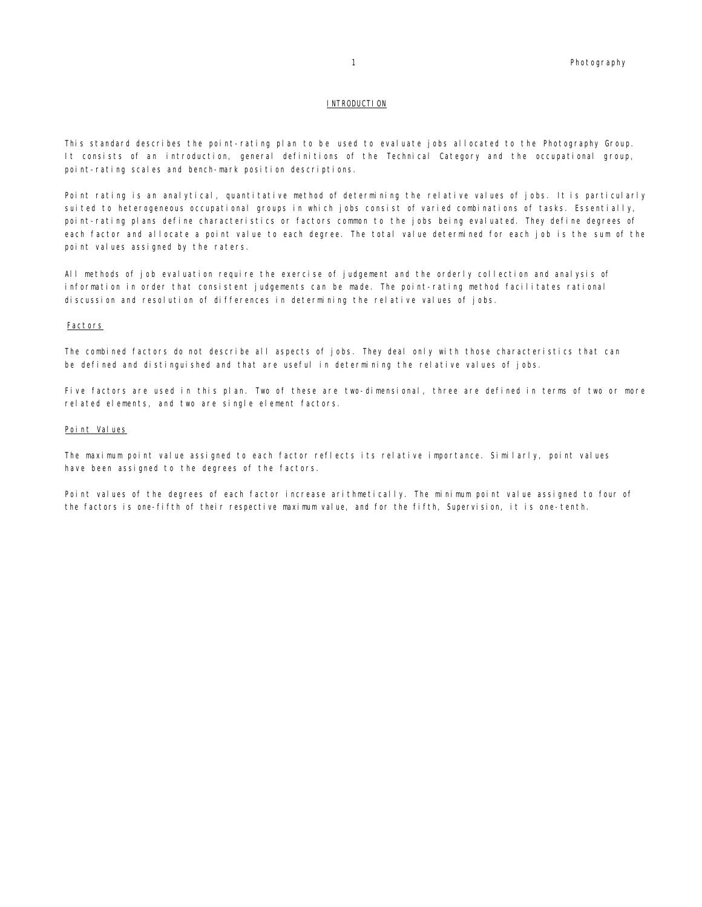#### INTRODUCTION

This standard describes the point-rating plan to be used to evaluate jobs allocated to the Photography Group. It consists of an introduction, general definitions of the Technical Category and the occupational group, point-rating scales and bench-mark position descriptions.

Point rating is an analytical, quantitative method of determining the relative values of jobs. It is particularly suited to heterogeneous occupational groups in which jobs consist of varied combinations of tasks. Essentially, point-rating plans define characteristics or factors common to the jobs being evaluated. They define degrees of each factor and allocate a point value to each degree. The total value determined for each job is the sum of the point values assigned by the raters.

All methods of job evaluation require the exercise of judgement and the orderly collection and analysis of information in order that consistent judgements can be made. The point-rating method facilitates rational discussion and resolution of differences in determining the relative values of jobs.

#### Factors

The combined factors do not describe all aspects of jobs. They deal only with those characteristics that can be defined and distinguished and that are useful in determining the relative values of jobs.

Five factors are used in this plan. Two of these are two-dimensional, three are defined in terms of two or more related elements, and two are single element factors.

#### Point Values

The maximum point value assigned to each factor reflects its relative importance. Similarly, point values have been assigned to the degrees of the factors.

Point values of the degrees of each factor increase arithmetically. The minimum point value assigned to four of the factors is one-fifth of their respective maximum value, and for the fifth, Supervision, it is one-tenth.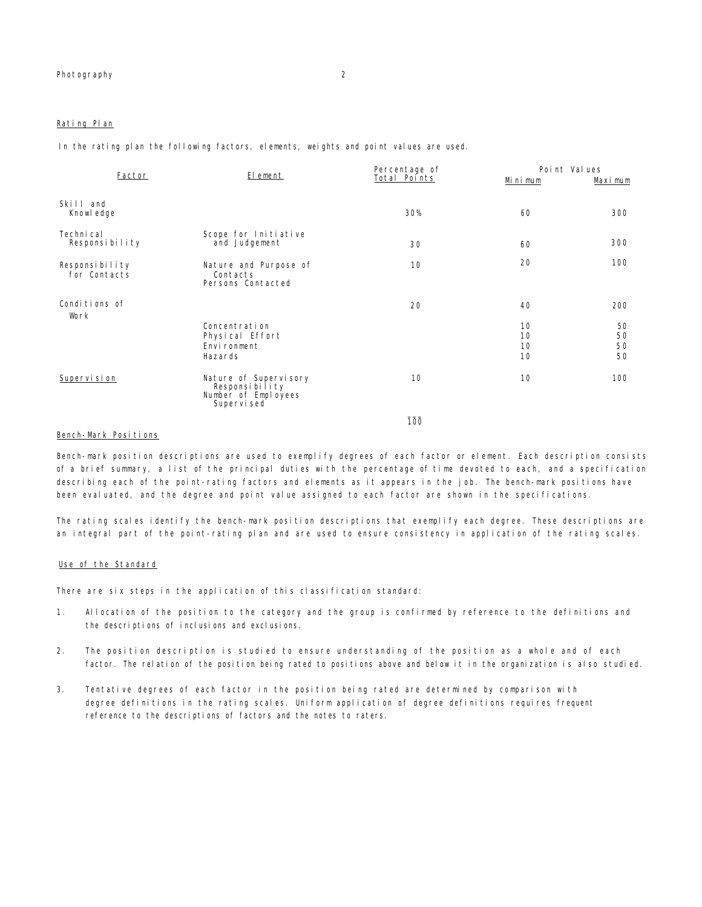#### Rating Plan

In the rating plan the following factors, elements, weights and point values are used.

| Factor                         | El ement                                                                      | Percentage of | Point Values         |                       |  |
|--------------------------------|-------------------------------------------------------------------------------|---------------|----------------------|-----------------------|--|
|                                |                                                                               | Total Points  | Mi ni mum            | Maximum               |  |
| Skill and<br>Knowl edge        |                                                                               | 30%           | 60                   | 300                   |  |
| Techni cal<br>Responsibility   | Scope for Initiative<br>and Judgement                                         | 30            | 60                   | 300                   |  |
| Responsibility<br>for Contacts | Nature and Purpose of<br>Contacts<br>Persons Contacted                        | 10            | 20                   | 100                   |  |
| Conditions of<br>Work          | Concentration<br>Physical Effort<br>Environment                               | 20            | 40<br>10<br>10<br>10 | 200<br>50<br>50<br>50 |  |
|                                | Hazards                                                                       |               | 10                   | 50                    |  |
| Supervision                    | Nature of Supervisory<br>Responsibility<br>Number of Employees<br>Supervi sed | 10            | 10                   | 100                   |  |
|                                |                                                                               | 100           |                      |                       |  |

#### Bench-Mark Positions

Bench-mark position descriptions are used to exemplify degrees of each factor or element. Each description consists of a brief summary, a list of the principal duties with the percentage of time devoted to each, and a specification describing each of the point-rating factors and elements as it appears in the job. The bench-mark positions have been evaluated, and the degree and point value assigned to each factor are shown in the specifications.

The rating scales identify the bench-mark position descriptions that exemplify each degree. These descriptions are an integral part of the point-rating plan and are used to ensure consistency in application of the rating scales.

#### Use of the Standard

There are six steps in the application of this classification standard:

- 1. Allocation of the position to the category and the group is confirmed by reference to the definitions and the descriptions of inclusions and exclusions.
- 2. The position description is studied to ensure understanding of the position as a whole and of each factor. The relation of the position being rated to positions above and below it in the organization is also studied.
- 3. Tentative degrees of each factor in the position being rated are determined by comparison with degree definitions in the rating scales. Uniform application of degree definitions requires frequent reference to the descriptions of factors and the notes to raters.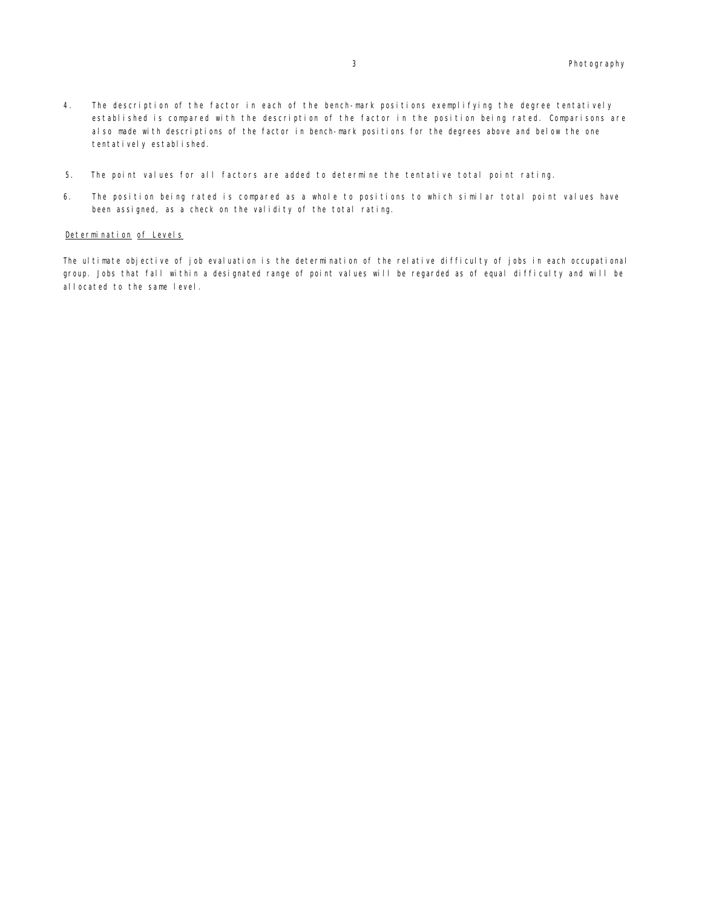- 4. The description of the factor in each of the bench-mark positions exemplifying the degree tentatively established is compared with the description of the factor in the position being rated. Comparisons are also made with descriptions of the factor in bench-mark positions for the degrees above and below the one tentatively established.
- 5. The point values for all factors are added to determine the tentative total point rating.
- 6. The position being rated is compared as a whole to positions to which similar total point values have been assigned, as a check on the validity of the total rating.

#### Determination of Levels

The ultimate objective of job evaluation is the determination of the relative difficulty of jobs in each occupational group. Jobs that fall within a designated range of point values will be regarded as of equal difficulty and will be allocated to the same level.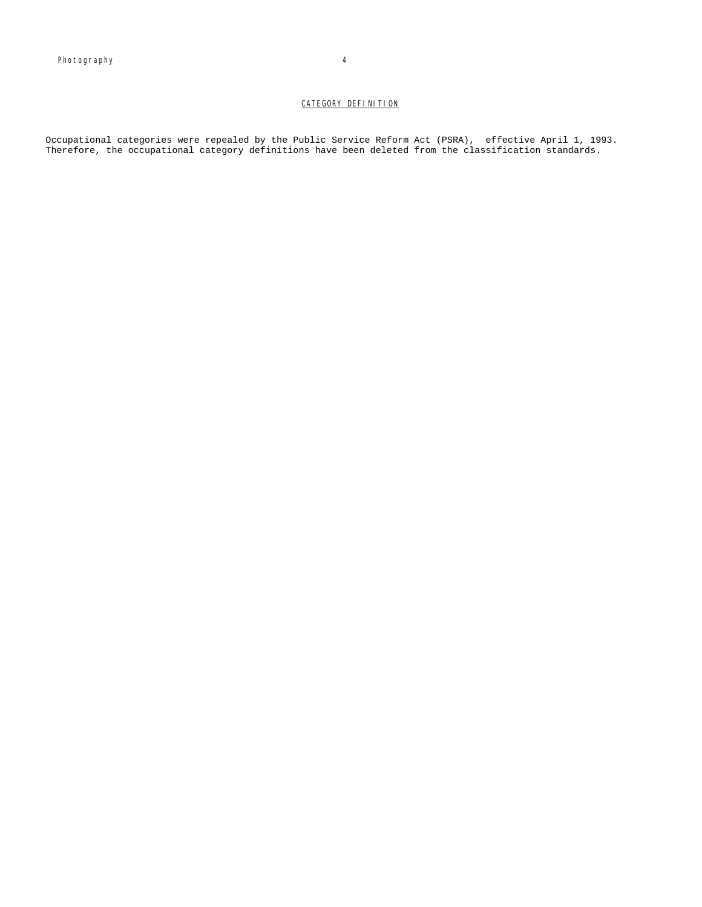#### CATEGORY DEFINITION

Occupational categories were repealed by the Public Service Reform Act (PSRA), effective April 1, 1993. Therefore, the occupational category definitions have been deleted from the classification standards.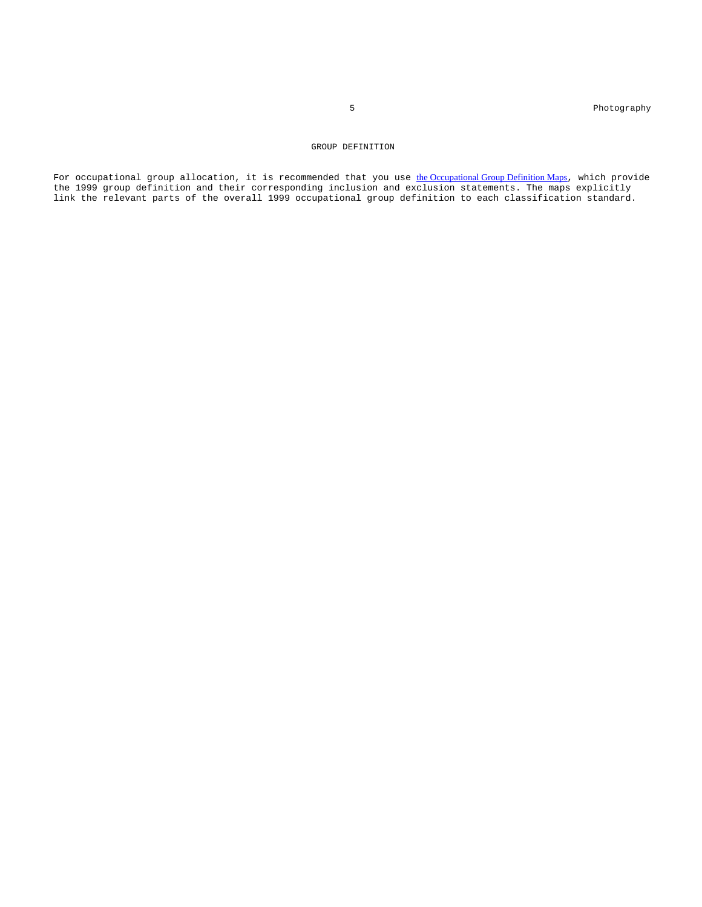5 Photography

#### GROUP DEFINITION

For occupational group allocation, it is recommended that you use the Occupational Group Definition Maps, which provide the 1999 group definition and their corresponding inclusion and exclusion statements. The maps explicitly link the relevant parts of the overall 1999 occupational group definition to each classification standard.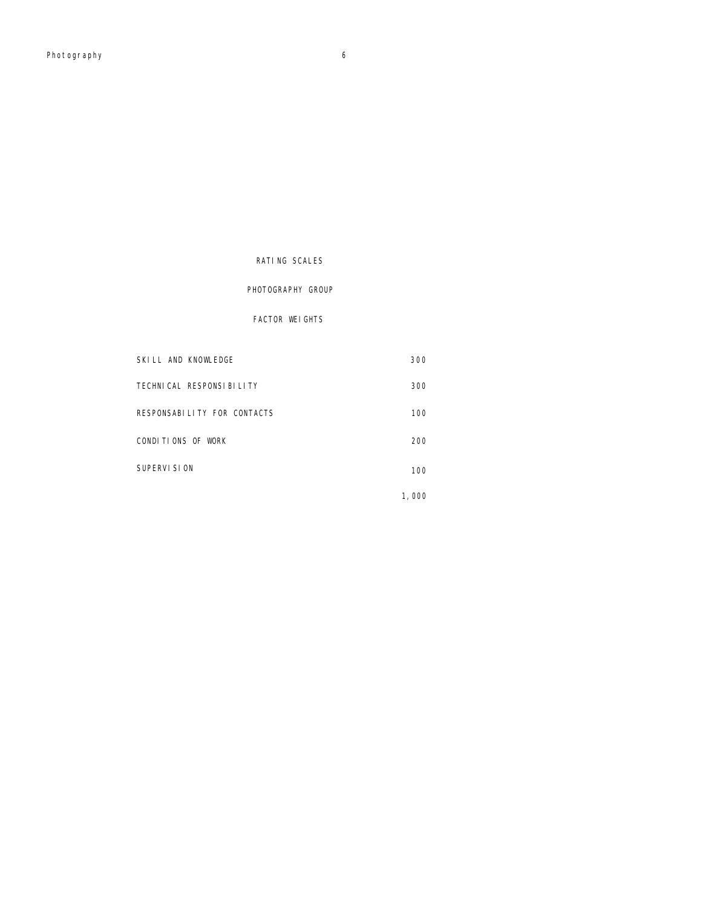### RATING SCALES

## FACTOR WEIGHTS

SKILL AND KNOWLEDGE 300

TECHNICAL RESPONSIBILITY 300

## PHOTOGRAPHY GROUP

# RESPONSABILITY FOR CONTACTS 100 CONDITIONS OF WORK 200 SUPERVISION 100

1,000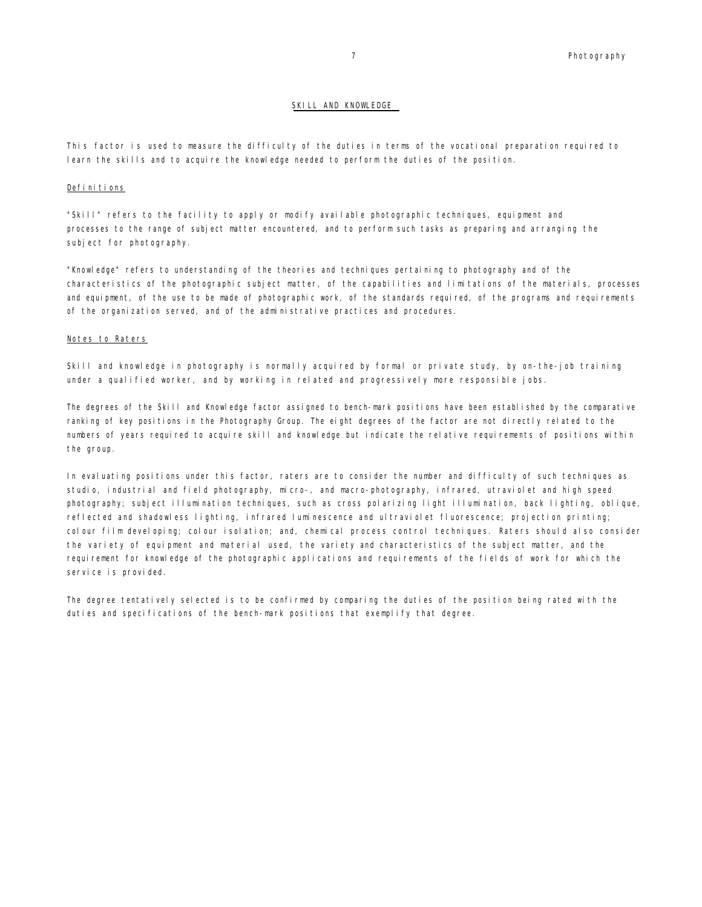#### SKILL AND KNOWLEDGE

This factor is used to measure the difficulty of the duties in terms of the vocational preparation required to learn the skills and to acquire the knowledge needed to perform the duties of the position.

#### Definitions

"Skill" refers to the facility to apply or modify available photographic techniques, equipment and processes to the range of subject matter encountered, and to perform such tasks as preparing and arranging the subject for photography.

"Knowledge" refers to understanding of the theories and techniques pertaining to photography and of the characteristics of the photographic subject matter, of the capabilities and limitations of the materials, processes and equipment, of the use to be made of photographic work, of the standards required, of the programs and requirements of the organization served, and of the administrative practices and procedures.

#### Notes to Raters

Skill and knowledge in photography is normally acquired by formal or private study, by on-the-job training under a qualified worker, and by working in related and progressively more responsible jobs.

The degrees of the Skill and Knowledge factor assigned to bench-mark positions have been established by the comparative ranking of key positions in the Photography Group. The eight degrees of the factor are not directly related to the numbers of years required to acquire skill and knowledge but indicate the relative requirements of positions within the group.

In evaluating positions under this factor, raters are to consider the number and difficulty of such techniques as studio, industrial and field photography, micro-, and macro-photography, infrared, utraviolet and high speed photography; subject illumination techniques, such as cross polarizing light illumination, back lighting, oblique, reflected and shadowless lighting, infrared luminescence and ultraviolet fluorescence; projection printing; colour film developing; colour isolation; and, chemical process control techniques. Raters should also consider the variety of equipment and material used, the variety and characteristics of the subject matter, and the requirement for knowledge of the photographic applications and requirements of the fields of work for which the service is provided.

The degree tentatively selected is to be confirmed by comparing the duties of the position being rated with the duties and specifications of the bench-mark positions that exemplify that degree.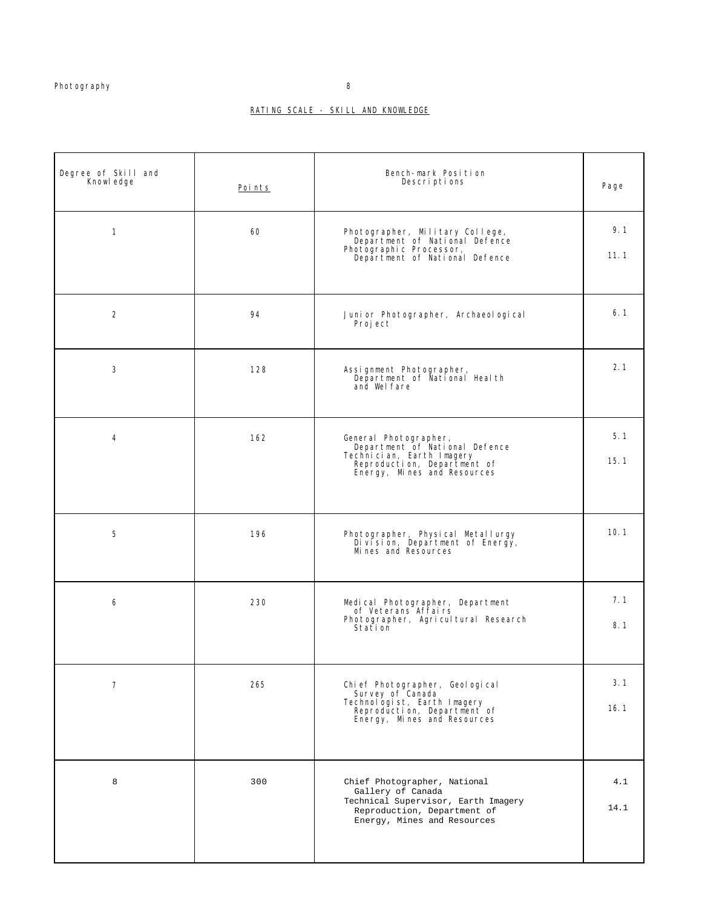### RATING SCALE - SKILL AND KNOWLEDGE

| Degree of Skill and<br>Knowl edge | Points | Bench-mark Position<br>Descriptions                                                                                                                    | Page        |
|-----------------------------------|--------|--------------------------------------------------------------------------------------------------------------------------------------------------------|-------------|
| $\mathbf{1}$                      | 60     | Photographer, Military College,<br>Department of National Defence<br>Photographic Processor,<br>Department of National Defence                         | 9.1<br>11.1 |
| $\overline{2}$                    | 94     | Juni or Photographer, Archaeol ogi cal<br>Proj ect                                                                                                     | 6.1         |
| 3                                 | 128    | Assignment Photographer,<br>Department of National Health<br>and Wel fare                                                                              | 2.1         |
| 4                                 | 162    | General Photographer,<br>Department of National Defence<br>Technician, Earth Imagery<br>Reproduction, Department of<br>Energy, Mines and Resources     | 5.1<br>15.1 |
| 5                                 | 196    | Photographer, Physical Metallurgy<br>Division, Department of Energy,<br>Mi nes and Resources                                                           | 10.1        |
| 6                                 | 230    | Medical Photographer, Department<br>of Veterans Affairs<br>Photographer, Agricultural Research<br>Station                                              | 7.1<br>8.1  |
| $\overline{7}$                    | 265    | Chi ef Photographer, Geol ogi cal<br>Survey of Canada<br>Technologist, Earth Imagery<br>Reproduction, Department of<br>Energy, Mines and Resources     | 3.1<br>16.1 |
| 8                                 | 300    | Chief Photographer, National<br>Gallery of Canada<br>Technical Supervisor, Earth Imagery<br>Reproduction, Department of<br>Energy, Mines and Resources | 4.1<br>14.1 |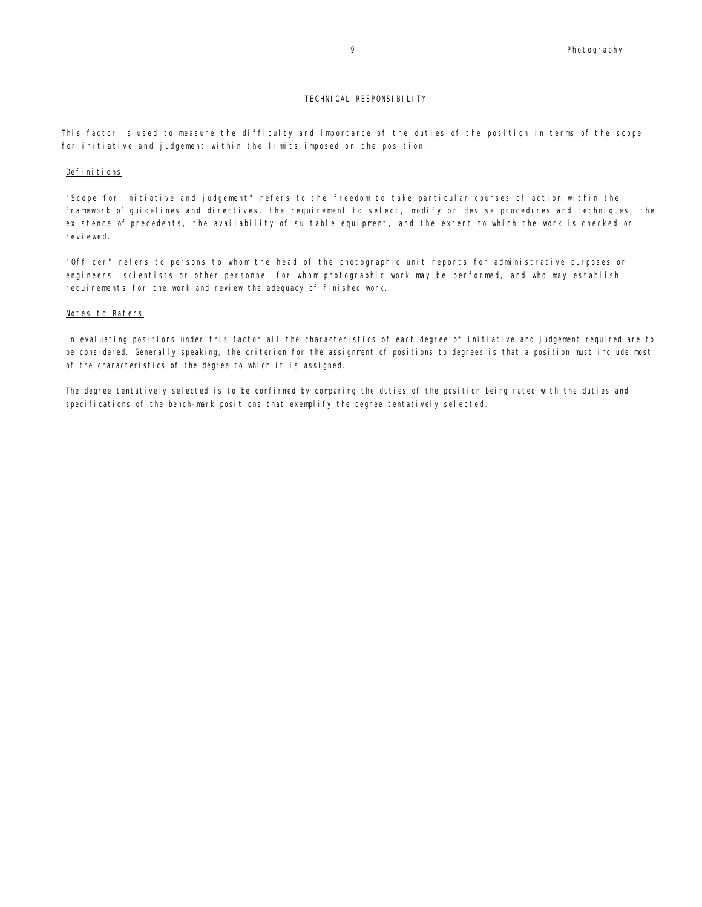#### TECHNICAL RESPONSIBILITY

This factor is used to measure the difficulty and importance of the duties of the position in terms of the scope for initiative and judgement within the limits imposed on the position.

#### Definitions

"Scope for initiative and judgement" refers to the freedom to take particular courses of action within the framework of guidelines and directives, the requirement to select, modify or devise procedures and techniques, the existence of precedents, the availability of suitable equipment, and the extent to which the work is checked or reviewed.

"Officer" refers to persons to whom the head of the photographic unit reports for administrative purposes or engineers, scientists or other personnel for whom photographic work may be performed, and who may establish requirements for the work and review the adequacy of finished work.

#### Notes to Raters

In evaluating positions under this factor all the characteristics of each degree of initiative and judgement required are to be considered. Generally speaking, the criterion for the assignment of positions to degrees is that a position must include most of the characteristics of the degree to which it is assigned.

The degree tentatively selected is to be confirmed by comparing the duties of the position being rated with the duties and specifications of the bench-mark positions that exemplify the degree tentatively selected.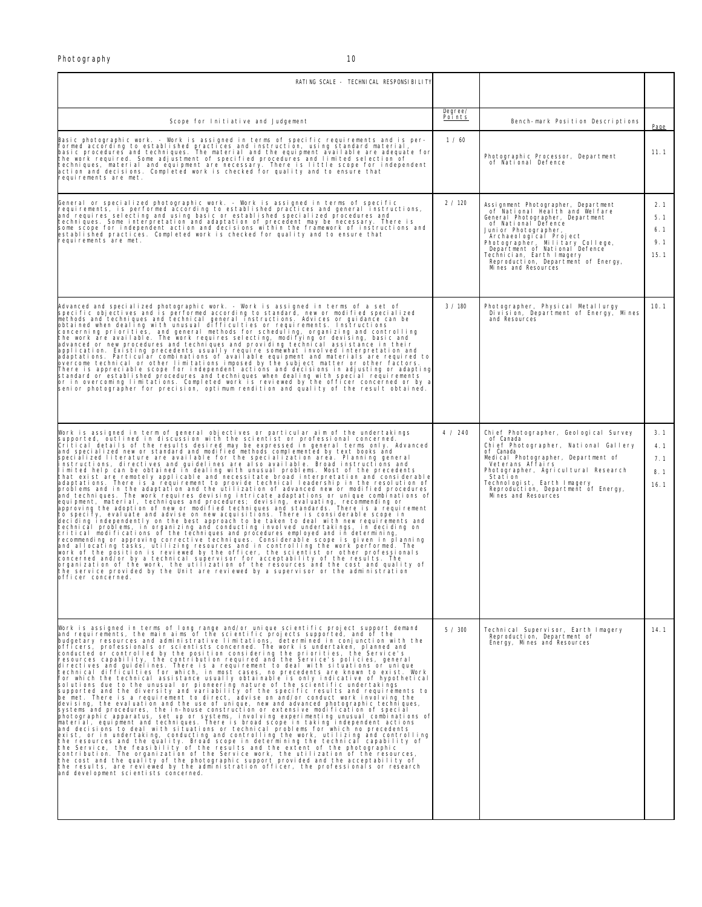| RATING SCALE - TECHNICAL RESPONSIBILITY                                                                                                                                                                                                                                                                                                                                                                                                                                                                                                                                                                                                                                                                                                                                                                                                                                                                                                                                                                                                                                                                                                                                                                                                                                                                                                                                                                                                                                                                                                                                                                                                                                                                                                                                                                                                                                                                                                                                                                                                                                                                                    |                          |                                                                                                                                                                                                                                                                                                                                                      |                                  |
|----------------------------------------------------------------------------------------------------------------------------------------------------------------------------------------------------------------------------------------------------------------------------------------------------------------------------------------------------------------------------------------------------------------------------------------------------------------------------------------------------------------------------------------------------------------------------------------------------------------------------------------------------------------------------------------------------------------------------------------------------------------------------------------------------------------------------------------------------------------------------------------------------------------------------------------------------------------------------------------------------------------------------------------------------------------------------------------------------------------------------------------------------------------------------------------------------------------------------------------------------------------------------------------------------------------------------------------------------------------------------------------------------------------------------------------------------------------------------------------------------------------------------------------------------------------------------------------------------------------------------------------------------------------------------------------------------------------------------------------------------------------------------------------------------------------------------------------------------------------------------------------------------------------------------------------------------------------------------------------------------------------------------------------------------------------------------------------------------------------------------|--------------------------|------------------------------------------------------------------------------------------------------------------------------------------------------------------------------------------------------------------------------------------------------------------------------------------------------------------------------------------------------|----------------------------------|
| Scope for Initiative and Judgement                                                                                                                                                                                                                                                                                                                                                                                                                                                                                                                                                                                                                                                                                                                                                                                                                                                                                                                                                                                                                                                                                                                                                                                                                                                                                                                                                                                                                                                                                                                                                                                                                                                                                                                                                                                                                                                                                                                                                                                                                                                                                         | Degree/<br><b>Points</b> | Bench-mark Position Descriptions                                                                                                                                                                                                                                                                                                                     |                                  |
| Basic photographic work. - Work is assigned in terms of specific requirements and is per-<br>formed according to established practices and instruction, using standard material,<br>basic procedures and techniques. The material and the equipment available are adequate for<br>the work required. Some adjustment of specified procedures and limited selection of<br>techniques, material and equipment are necessary. There is little scope for independent<br>action and decisions. Completed work is checked for quality and to ensure that<br>requirements are met.                                                                                                                                                                                                                                                                                                                                                                                                                                                                                                                                                                                                                                                                                                                                                                                                                                                                                                                                                                                                                                                                                                                                                                                                                                                                                                                                                                                                                                                                                                                                                | 1/60                     | Photographic Processor, Department<br>of National Defence                                                                                                                                                                                                                                                                                            | Page<br>11.1                     |
| General or specialized photographic work. - Work is assigned in terms of specific<br>requirements, is performed according to established practices and general instructions,<br>and requires selecting and using basic or established specialized procedures and<br>techniques. Some interpretation and adaptation of precedent may be necessary. There is<br>some scope for independent action and decisions within the framework of instructions and<br>established practices. Completed work is checked for quality and to ensure that<br>requirements are met.                                                                                                                                                                                                                                                                                                                                                                                                                                                                                                                                                                                                                                                                                                                                                                                                                                                                                                                                                                                                                                                                                                                                                                                                                                                                                                                                                                                                                                                                                                                                                         | 2 / 120                  | Assignment Photographer, Department<br>of National Health and Welfare<br>General Photographer, Department<br>of National Defence<br>Juni or Photographer,<br>Archaeological Project<br>Photographer, Military College,<br>Department of National Defence<br>Technician, Earth Imagery<br>Reproduction, Department of Energy,<br>Mi nes and Resources | 2.1<br>5.1<br>6.1<br>9.1<br>15.1 |
| Advanced and specialized photographic work. - Work is assigned in terms of a set of<br>specific objectives and is performed according to standard, new or modified specialized<br>methods and techniques and technical general Instructions. Advices or guidance can be<br>obtained when dealing with unusual difficulties or requirements. Instructions<br>concerning priorities, and general methods for scheduling, "organizing and controlling<br>the work are available. The work requires selecting, modifying or devising, basic and<br>advanced or new procedures and techniques and pro<br>application. Existing precedents usually require somewhat involved interpretation and<br>adaptations. Particular combinations of available equipment and materials are required to<br>overcome technical or other limitations imposed by the subject matter or other factors.<br>There is appreciable scope for independent actions and decisions in adjusting or adapting<br>standard or established procedures and techniques when dealing with special requirements<br>or in overcoming limitations. Completed work is reviewed by the officer concerned or by a<br>senior photographer for precision, optimum rendition and quality of the result obtained.                                                                                                                                                                                                                                                                                                                                                                                                                                                                                                                                                                                                                                                                                                                                                                                                                                                        | 3 / 180                  | Photographer, Physical Metallurgy<br>Division, Department of Energy, Mines<br>and Resources                                                                                                                                                                                                                                                          | 10.1                             |
| Work is assigned in term of general objectives or particular aim of the undertakings<br>supported, outlined in discussion with the scientist or professional concerned.<br>Critical details of the results desired may be expressed in general terms only. Advanced<br>and specialized new or standard and modified methods complemented by text books and<br>specialized literature are available for the specialization area. Planning general<br>instructions, directives and guidelines are also available. Broad instructions and<br>limited help can be obtained in dealing with unusual problems. Most of the precedents<br>that exist are remotely applicable and necessitate broad interpretation and considerable<br>ediable in the state of the contract of the contract of the contract of the contract of the contract of the data of and the contract of the contract of the data of problem in the resolution of problem in the contract of th<br>equipment, material, techniques and procedures; devising, evaluating, recommending or<br>approving the adoption of new or modified techniques and standards. There is a requirement<br>to specify, evaluate and advise on new acquisitions. There is considerable scope in<br>deciding independently on the best approach to be taken to deal with new requirements and<br>technical problems, in organizing and conducting involved undertakings, in deciding on<br>critical modifications of the techniques and procedures employed and in determining,<br>recommending or approving corrective techniques. Considerable scope is given in planning<br>and allocating tasks, utilizing resources and in controlling the work performed. The<br>work of the position is reviewed by the officer, the scientist or other professionals<br>concerned and/or by a technical supervisor for acceptability of the results. The<br>organization of the work, the utilization of the resources and the cost and quality of<br>the service provided by the Unit are reviewed by a supervisor or the administration<br>officer concerned.                         | 4 / 240                  | Chief Photographer, Geological Survey<br>of Canada<br>Chief Photographer, National Gallery<br>of Canada<br>Medical Photographer, Department of<br>Veterans Affairs<br>Photographer, Agricultural Research<br>Station<br>Technologist, Earth Imagery<br>Reproduction, Department of Energy,<br>Mi nes and Resources                                   | 3.1<br>4.1<br>7.1<br>8.1<br>16.1 |
| Work is assigned in terms of long range and/or unique scientific project support demand<br>and requirements, the main aims of the scientific projects supported, and of the<br>budgetary resources and administrative limitations, determined in conjunction with the<br>portions, professionals or scientists concerned. The work is undertaken, planned and<br>conducted or controlled by the position considering the priorities, the Service's<br>resources capability, the contribution required and the Service's policies, general<br>directives and guidelines. There is a requirement to deal with situations or unique<br>technical difficulties for which, in most cases, no precedents are known to exist. Work<br>for which the technical assistance usually obtainable is only indicative of hypothetical<br>solutions due to the unusual or pioneering nature of the scientific undertakings<br>supported and the diversity and variability of the specific results and requirements to<br>be met. There is a requirement to direct, advise on and/or conduct work involving the<br>devising, the evaluation and the use of unique, new and advanced photographic techniques,<br>systems and procedures, the in-house construction or extensive modification of special<br>photographic apparatus, set up or systems, involving experimenting unusual combinations of<br>material, equipment and techniques. There is broad scope in taking independent actions<br>and decisions to deal with situations or technical problems for which no precedents<br>exist, or in undertaking, conducting and controlling the work, utilizing and controlling<br>the resources and the quality. Broad scope in determining the technical capability of the Service, the feasibility of the results and the extent of the photographic<br>contribution. The organization of the Service work, the utilization of the resources,<br>the cost and the quality of the potographic support provided and the acceptability of<br>the results, are reviewed by the administration of<br>and development scientists concerned. | 5/300                    | Technical Supervisor, Earth Imagery<br>Reproduction, Department of<br>Energy, Mines and Resources                                                                                                                                                                                                                                                    | 14.1                             |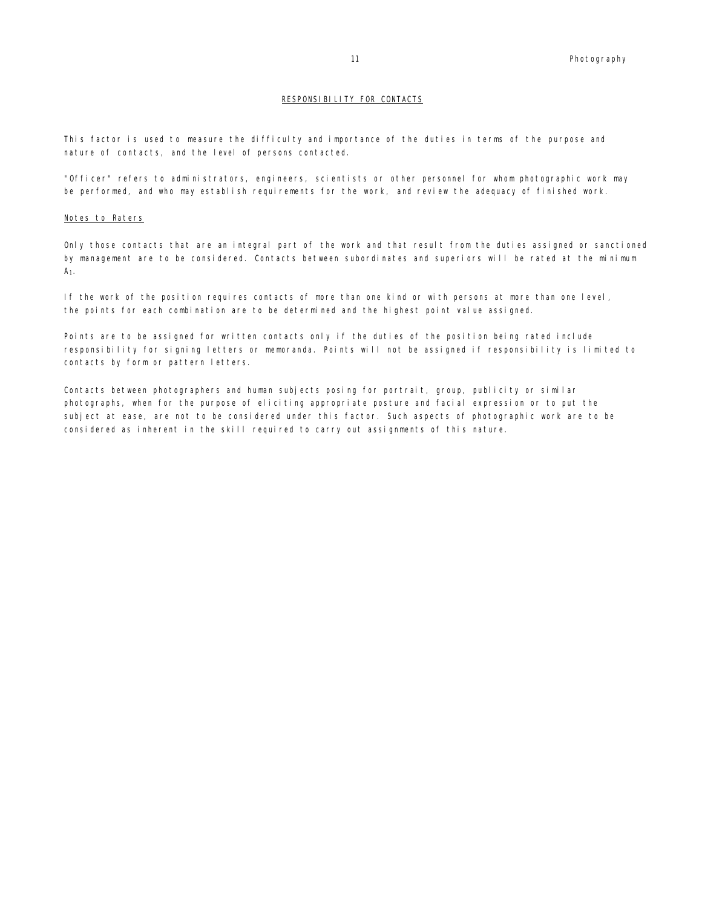#### RESPONSIBILITY FOR CONTACTS

This factor is used to measure the difficulty and importance of the duties in terms of the purpose and nature of contacts, and the level of persons contacted.

"Officer" refers to administrators, engineers, scientists or other personnel for whom photographic work may be performed, and who may establish requirements for the work, and review the adequacy of finished work.

#### Notes to Raters

Only those contacts that are an integral part of the work and that result from the duties assigned or sanctioned by management are to be considered. Contacts between subordinates and superiors will be rated at the minimum A1.

If the work of the position requires contacts of more than one kind or with persons at more than one level, the points for each combination are to be determined and the highest point value assigned.

Points are to be assigned for written contacts only if the duties of the position being rated include responsibility for signing letters or memoranda. Points will not be assigned if responsibility is limited to contacts by form or pattern letters.

Contacts between photographers and human subjects posing for portrait, group, publicity or similar photographs, when for the purpose of eliciting appropriate posture and facial expression or to put the subject at ease, are not to be considered under this factor. Such aspects of photographic work are to be considered as inherent in the skill required to carry out assignments of this nature.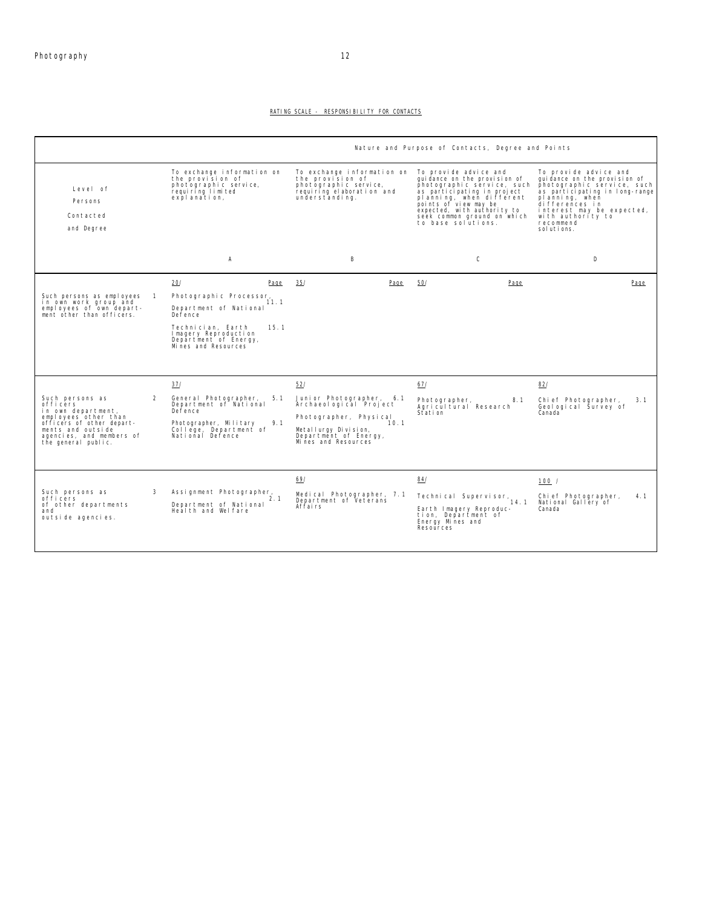#### RATING SCALE - RESPONSIBILITY FOR CONTACTS

|                                                                                                                                                                                |                |                                                                                                                                                                                          |                                                                                                                                                                      | Nature and Purpose of Contacts, Degree and Points                                                                                                                                                                                                            |                                                                                                                                                                                                                                          |
|--------------------------------------------------------------------------------------------------------------------------------------------------------------------------------|----------------|------------------------------------------------------------------------------------------------------------------------------------------------------------------------------------------|----------------------------------------------------------------------------------------------------------------------------------------------------------------------|--------------------------------------------------------------------------------------------------------------------------------------------------------------------------------------------------------------------------------------------------------------|------------------------------------------------------------------------------------------------------------------------------------------------------------------------------------------------------------------------------------------|
| Level of<br>Persons<br>Contacted<br>and Degree                                                                                                                                 |                | To exchange information on<br>the provision of<br>photographic service,<br>requiring limited<br>explanation,                                                                             | To exchange information on<br>the provision of<br>photographic service,<br>requiring elaboration and<br>understanding.                                               | To provide advice and<br>qui dance on the provision of<br>photographic service, such<br>as participating in project<br>planning, when different<br>points of view may be<br>expected, with authority to<br>seek common ground on which<br>to base solutions. | To provide advice and<br>quidance on the provision of<br>photographic service, such<br>as participating in long-range<br>planning, when<br>differences in<br>interest may be expected,<br>with authority to<br>recommend<br>sol uti ons. |
|                                                                                                                                                                                |                | Α                                                                                                                                                                                        | В                                                                                                                                                                    | C                                                                                                                                                                                                                                                            | D                                                                                                                                                                                                                                        |
| Such persons as employees 1<br>in own work group and<br>employees of own depart-<br>ment other than officers.                                                                  |                | 20/<br>Page<br>Photographic Processor,<br>11.1<br>Department of National<br>Defence<br>Technician, Earth<br>15.1<br>Imagery Reproduction<br>Department of Energy,<br>Mines and Resources | 35/<br>Page                                                                                                                                                          | 50/<br>Page                                                                                                                                                                                                                                                  | Page                                                                                                                                                                                                                                     |
| Such persons as<br>officers<br>in own department,<br>employees other than<br>officers of other depart-<br>ments and outside<br>agencies, and members of<br>the general public. | $\overline{2}$ | 37/<br>General Photographer,<br>5.1<br>Department of National<br>Defence<br>Photographer, Military<br>9.1<br>College, Department of<br>National Defence                                  | 52/<br>Junior Photographer, 6.1<br>Archaeological Project<br>Photographer, Physical<br>10.1<br>Metallurgy Division.<br>Department of Energy,<br>Mi nes and Resources | 67/<br>Photographer,<br>8.1<br>Agricultural Research<br>Station                                                                                                                                                                                              | 82/<br>Chief Photographer,<br>3.1<br>Geological Survey of<br>Canada                                                                                                                                                                      |
| Such persons as<br>officers<br>of other departments<br>and<br>outside agencies.                                                                                                | 3              | Assignment Photographer,<br>2.1<br>Department of National<br>Health and Welfare                                                                                                          | 69/<br>Medical Photographer, 7.1<br>Department of Veterans<br>Affairs                                                                                                | 84/<br>Technical Supervisor,<br>14.1<br>Earth Imagery Reproduc-<br>tion, Department of<br>Energy Mines and<br>Resources                                                                                                                                      | 100 /<br>Chief Photographer,<br>4.1<br>National Gallery of<br>Canada                                                                                                                                                                     |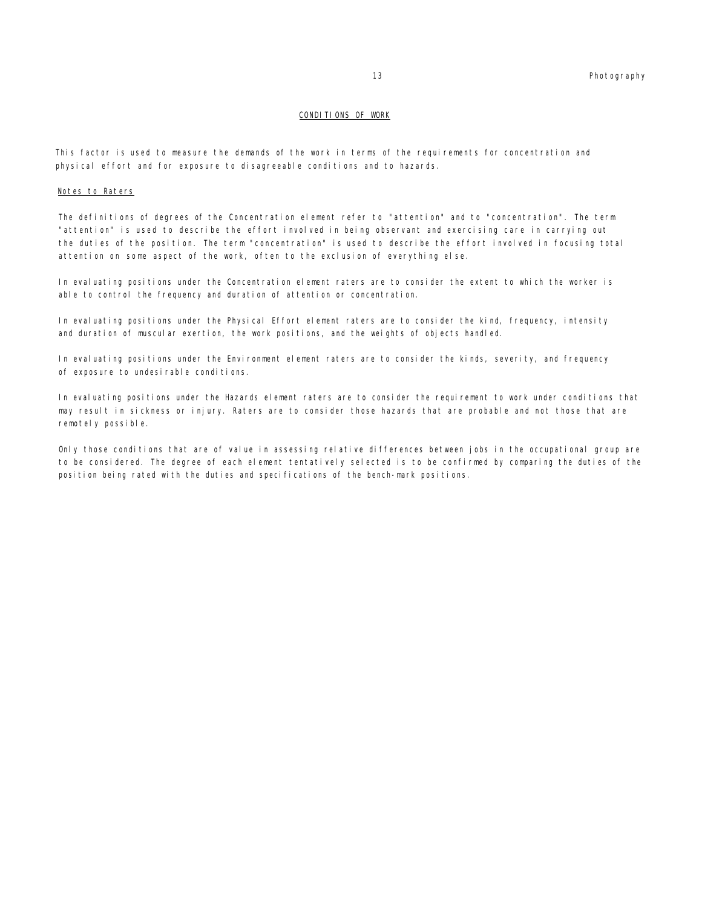#### CONDITIONS OF WORK

This factor is used to measure the demands of the work in terms of the requirements for concentration and physical effort and for exposure to disagreeable conditions and to hazards.

#### Notes to Raters

The definitions of degrees of the Concentration element refer to "attention" and to "concentration". The term "attention" is used to describe the effort involved in being observant and exercising care in carrying out the duties of the position. The term "concentration" is used to describe the effort involved in focusing total attention on some aspect of the work, often to the exclusion of everything else.

In evaluating positions under the Concentration element raters are to consider the extent to which the worker is able to control the frequency and duration of attention or concentration.

In evaluating positions under the Physical Effort element raters are to consider the kind, frequency, intensity and duration of muscular exertion, the work positions, and the weights of objects handled.

In evaluating positions under the Environment element raters are to consider the kinds, severity, and frequency of exposure to undesirable conditions.

In evaluating positions under the Hazards element raters are to consider the requirement to work under conditions that may result in sickness or injury. Raters are to consider those hazards that are probable and not those that are remotely possible.

Only those conditions that are of value in assessing relative differences between jobs in the occupational group are to be considered. The degree of each element tentatively selected is to be confirmed by comparing the duties of the position being rated with the duties and specifications of the bench-mark positions.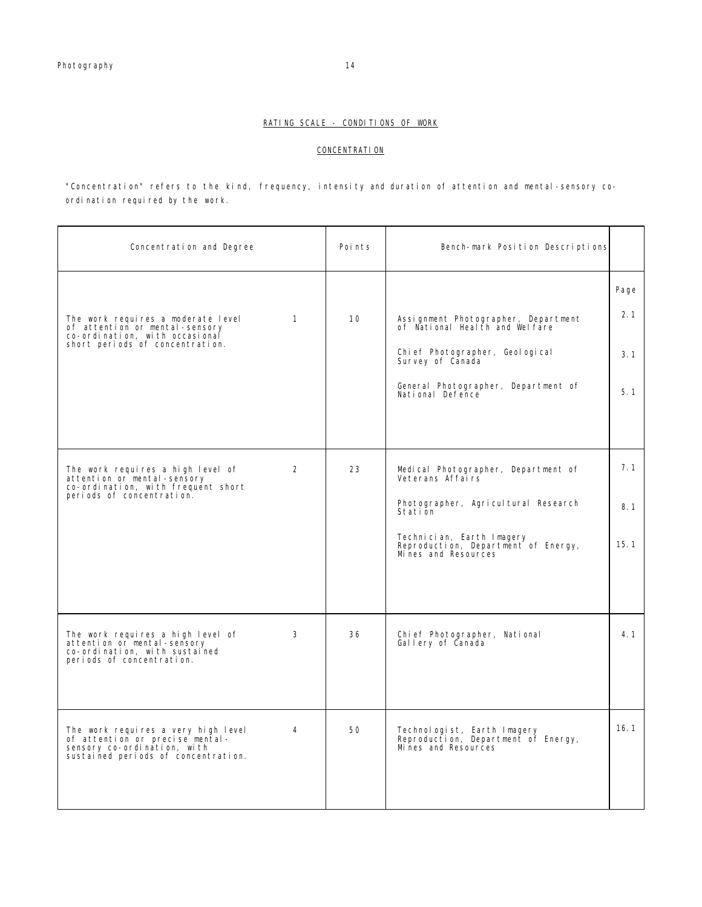#### **CONCENTRATION**

"Concentration" refers to the kind, frequency, intensity and duration of attention and mental-sensory coordination required by the work.

| Concentration and Degree                                                                                                                                  | Points | Bench-mark Position Descriptions                                                                                                                                                                     |                           |
|-----------------------------------------------------------------------------------------------------------------------------------------------------------|--------|------------------------------------------------------------------------------------------------------------------------------------------------------------------------------------------------------|---------------------------|
| The work requires a moderate level<br>$\mathbf{1}$<br>of attention or mental-sensory<br>co-ordination, with occasional<br>short periods of concentration. | 10     | Assignment Photographer, Department<br>of National Health and Welfare<br>Chi ef Photographer, Geol ogi cal<br>Survey of Canada<br>General Photographer, Department of<br>National Defence            | Page<br>2.1<br>3.1<br>5.1 |
| $\overline{2}$<br>The work requires a high level of<br>attention or mental-sensory<br>co-ordination, with frequent short<br>periods of concentration.     | 23     | Medical Photographer, Department of<br>Veterans Affairs<br>Photographer, Agricultural Research<br>Station<br>Technician, Earth Imagery<br>Reproduction, Department of Energy,<br>Mines and Resources | 7.1<br>8.1<br>15.1        |
| The work requires a high level of<br>3<br>attention or mental-sensory<br>co-ordination, with sustained<br>periods of concentration.                       | 36     | Chi ef Photographer, National<br>Gallery of Canada                                                                                                                                                   | 4.1                       |
| The work requires a very high level<br>4<br>of attention or precise mental-<br>sensory co-ordination, with<br>sustained periods of concentration.         | 50     | Technologist, Earth Imagery<br>Reproduction, Department of Energy,<br>Mines and Resources                                                                                                            | 16.1                      |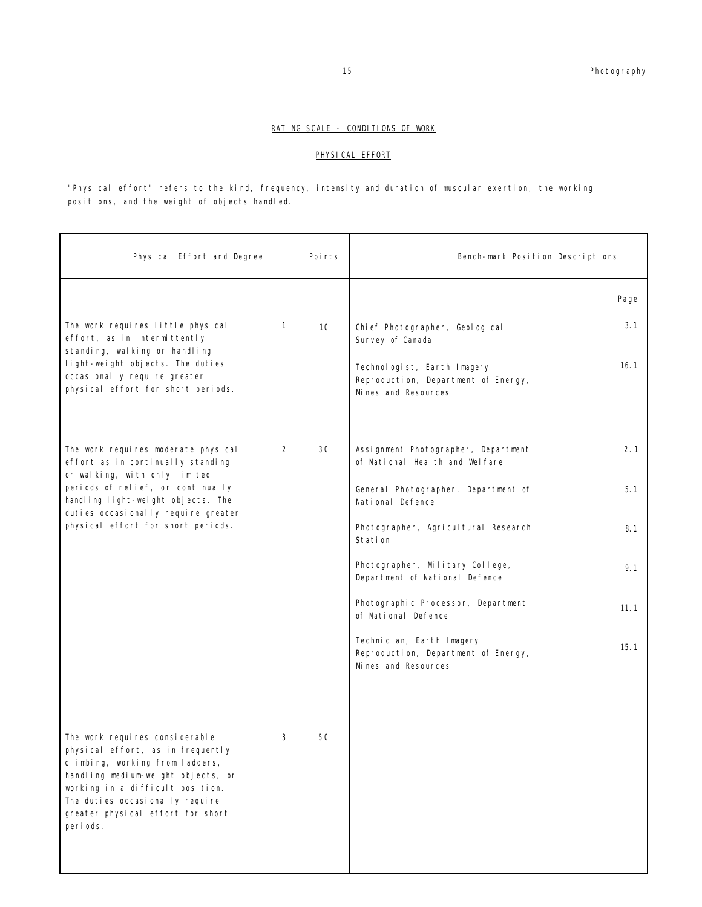#### PHYSICAL EFFORT

"Physical effort" refers to the kind, frequency, intensity and duration of muscular exertion, the working positions, and the weight of objects handled.

| Physical Effort and Degree                                                                                                                                                                                                                                                | <u>Points</u> | Bench-mark Position Descriptions                                                                                                                                           |
|---------------------------------------------------------------------------------------------------------------------------------------------------------------------------------------------------------------------------------------------------------------------------|---------------|----------------------------------------------------------------------------------------------------------------------------------------------------------------------------|
| The work requires little physical<br>1<br>effort, as in intermittently<br>standing, walking or handling<br>light-weight objects. The duties<br>occasionally require greater<br>physical effort for short periods.                                                         | 10            | Page<br>3.1<br>Chi ef Photographer, Geol ogi cal<br>Survey of Canada<br>16.1<br>Technologist, Earth Imagery<br>Reproduction, Department of Energy,<br>Mi nes and Resources |
| The work requires moderate physical<br>2<br>effort as in continually standing<br>or walking, with only limited<br>periods of relief, or continually                                                                                                                       | 30            | 2.1<br>Assignment Photographer, Department<br>of National Heal th and Wel fare<br>5.1<br>General Photographer, Department of                                               |
| handling light-weight objects. The<br>duties occasionally require greater<br>physical effort for short periods.                                                                                                                                                           |               | National Defence<br>Photographer, Agricultural Research<br>8.1<br>Stati on                                                                                                 |
|                                                                                                                                                                                                                                                                           |               | Photographer, Military College,<br>9.1<br>Department of National Defence                                                                                                   |
|                                                                                                                                                                                                                                                                           |               | Photographic Processor, Department<br>11.1<br>of National Defence                                                                                                          |
|                                                                                                                                                                                                                                                                           |               | Technician, Earth Imagery<br>15.1<br>Reproduction, Department of Energy,<br>Mi nes and Resources                                                                           |
| The work requires considerable<br>3<br>physical effort, as in frequently<br>climbing, working from ladders,<br>handling medium-weight objects, or<br>working in a difficult position.<br>The duties occasionally require<br>greater physical effort for short<br>periods. | 50            |                                                                                                                                                                            |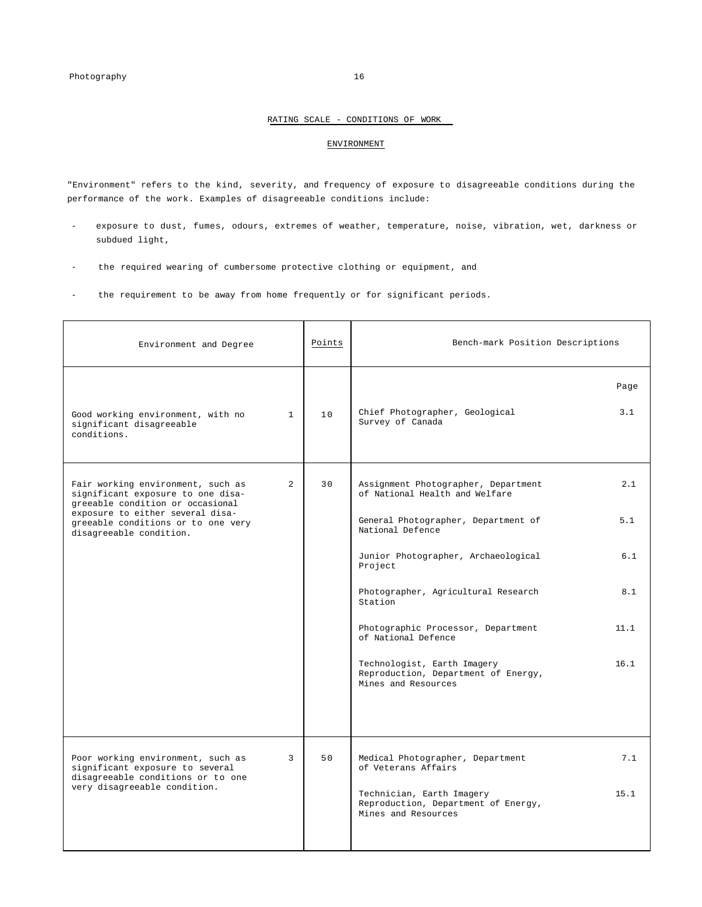#### ENVIRONMENT

"Environment" refers to the kind, severity, and frequency of exposure to disagreeable conditions during the performance of the work. Examples of disagreeable conditions include:

- exposure to dust, fumes, odours, extremes of weather, temperature, noise, vibration, wet, darkness or subdued light,
- the required wearing of cumbersome protective clothing or equipment, and
- the requirement to be away from home frequently or for significant periods.

| Environment and Degree                                                                                                                                                               |                | Points | Bench-mark Position Descriptions                                                                                                 |             |
|--------------------------------------------------------------------------------------------------------------------------------------------------------------------------------------|----------------|--------|----------------------------------------------------------------------------------------------------------------------------------|-------------|
| Good working environment, with no<br>significant disagreeable<br>conditions.                                                                                                         | $\mathbf{1}$   | 10     | Chief Photographer, Geological<br>Survey of Canada                                                                               | Page<br>3.1 |
| Fair working environment, such as<br>significant exposure to one disa-<br>greeable condition or occasional<br>exposure to either several disa-<br>greeable conditions or to one very | $\overline{2}$ | 30     | Assignment Photographer, Department<br>of National Health and Welfare<br>General Photographer, Department of<br>National Defence | 2.1<br>5.1  |
| disagreeable condition.                                                                                                                                                              |                |        | Junior Photographer, Archaeological<br>Project                                                                                   | 6.1         |
|                                                                                                                                                                                      |                |        | Photographer, Agricultural Research<br>Station                                                                                   | 8.1         |
|                                                                                                                                                                                      |                |        | Photographic Processor, Department<br>of National Defence                                                                        | 11.1        |
|                                                                                                                                                                                      |                |        | Technologist, Earth Imagery<br>Reproduction, Department of Energy,<br>Mines and Resources                                        | 16.1        |
| Poor working environment, such as<br>significant exposure to several<br>disagreeable conditions or to one                                                                            | 3              | 50     | Medical Photographer, Department<br>of Veterans Affairs                                                                          | 7.1         |
| very disagreeable condition.                                                                                                                                                         |                |        | Technician, Earth Imagery<br>Reproduction, Department of Energy,<br>Mines and Resources                                          | 15.1        |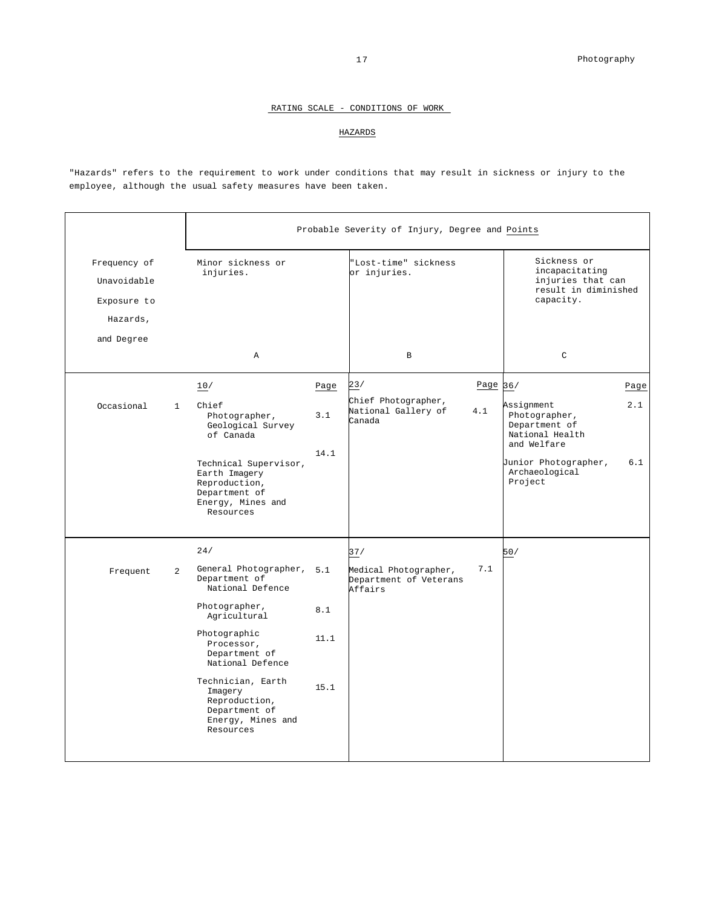#### HAZARDS

"Hazards" refers to the requirement to work under conditions that may result in sickness or injury to the employee, although the usual safety measures have been taken.

|                                                        |                | Probable Severity of Injury, Degree and Points                                                                                                                                                                                                                         |                     |                                                            |            |                                                                                                                                     |            |
|--------------------------------------------------------|----------------|------------------------------------------------------------------------------------------------------------------------------------------------------------------------------------------------------------------------------------------------------------------------|---------------------|------------------------------------------------------------|------------|-------------------------------------------------------------------------------------------------------------------------------------|------------|
| Frequency of<br>Unavoidable<br>Exposure to<br>Hazards, |                | Minor sickness or<br>injuries.                                                                                                                                                                                                                                         |                     | "Lost-time" sickness<br>or injuries.                       |            | Sickness or<br>incapacitating<br>injuries that can<br>result in diminished<br>capacity.                                             |            |
| and Degree                                             |                | $\mathbb{A}$                                                                                                                                                                                                                                                           |                     | $\mathbf B$                                                |            | $\mathsf{C}$                                                                                                                        |            |
|                                                        |                | 10/                                                                                                                                                                                                                                                                    | Page                | 23/                                                        | Page $36/$ |                                                                                                                                     | Page       |
| Occasional                                             | $\mathbf{1}$   | Chief<br>Photographer,<br>Geological Survey<br>of Canada<br>Technical Supervisor,<br>Earth Imagery<br>Reproduction,<br>Department of<br>Energy, Mines and<br>Resources                                                                                                 | 3.1<br>14.1         | Chief Photographer,<br>National Gallery of<br>Canada       | 4.1        | Assignment<br>Photographer,<br>Department of<br>National Health<br>and Welfare<br>Junior Photographer,<br>Archaeological<br>Project | 2.1<br>6.1 |
|                                                        |                | 24/                                                                                                                                                                                                                                                                    |                     | 37/                                                        |            | 50/                                                                                                                                 |            |
| Frequent                                               | $\overline{2}$ | General Photographer, 5.1<br>Department of<br>National Defence<br>Photographer,<br>Agricultural<br>Photographic<br>Processor,<br>Department of<br>National Defence<br>Technician, Earth<br>Imagery<br>Reproduction,<br>Department of<br>Energy, Mines and<br>Resources | 8.1<br>11.1<br>15.1 | Medical Photographer,<br>Department of Veterans<br>Affairs | 7.1        |                                                                                                                                     |            |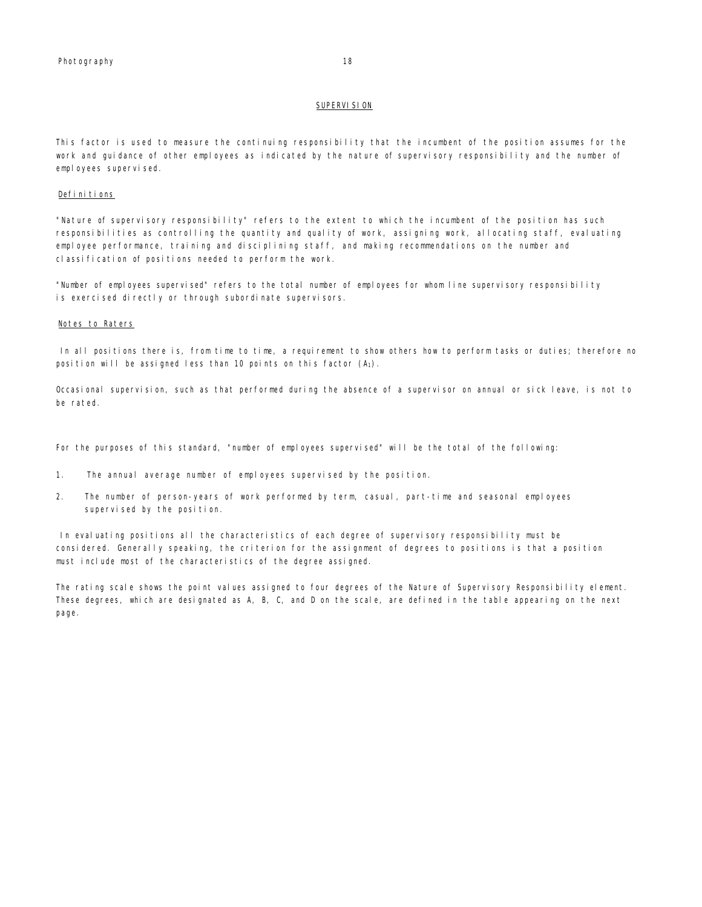#### **SUPERVISION**

This factor is used to measure the continuing responsibility that the incumbent of the position assumes for the work and guidance of other employees as indicated by the nature of supervisory responsibility and the number of employees supervised.

#### Definitions

"Nature of supervisory responsibility" refers to the extent to which the incumbent of the position has such responsibilities as controlling the quantity and quality of work, assigning work, allocating staff, evaluating employee performance, training and disciplining staff, and making recommendations on the number and classification of positions needed to perform the work.

"Number of employees supervised" refers to the total number of employees for whom line supervisory responsibility is exercised directly or through subordinate supervisors.

#### Notes to Raters

In all positions there is, from time to time, a requirement to show others how to perform tasks or duties; therefore no position will be assigned less than 10 points on this factor  $(A_1)$ .

Occasional supervision, such as that performed during the absence of a supervisor on annual or sick leave, is not to be rated.

For the purposes of this standard, "number of employees supervised" will be the total of the following:

- 1. The annual average number of employees supervised by the position.
- 2. The number of person-years of work performed by term, casual, part-time and seasonal employees supervised by the position.

In evaluating positions all the characteristics of each degree of supervisory responsibility must be considered. Generally speaking, the criterion for the assignment of degrees to positions is that a position must include most of the characteristics of the degree assigned.

The rating scale shows the point values assigned to four degrees of the Nature of Supervisory Responsibility element. These degrees, which are designated as A, B, C, and D on the scale, are defined in the table appearing on the next page.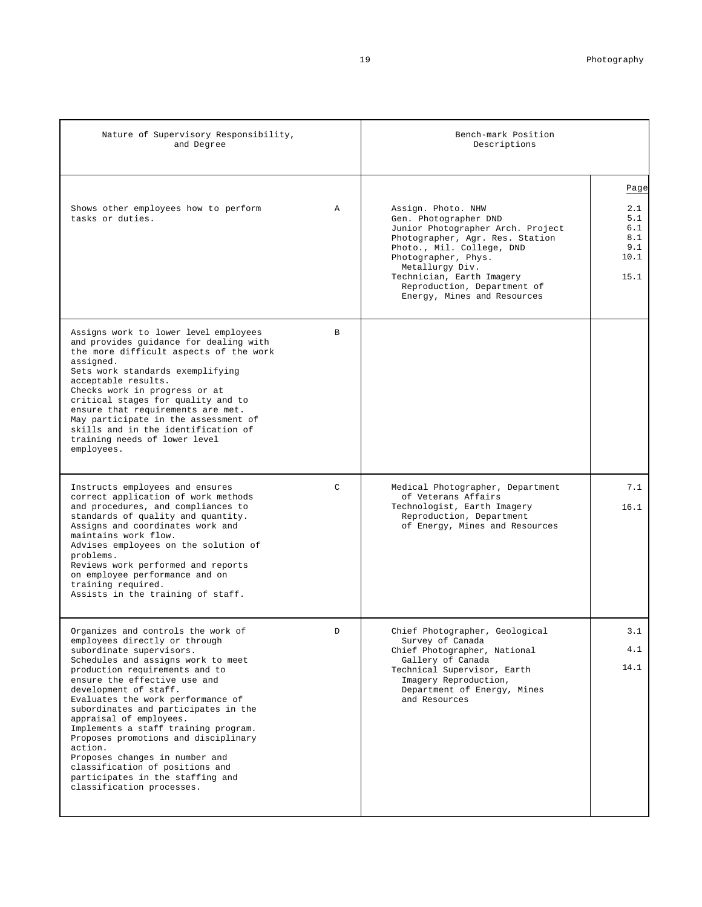| Nature of Supervisory Responsibility,<br>and Degree                                                                                                                                                                                                                                                                                                                                                                                                                                                                                                                       |               | Bench-mark Position<br>Descriptions                                                                                                                                                                                                                                                   |                                                         |
|---------------------------------------------------------------------------------------------------------------------------------------------------------------------------------------------------------------------------------------------------------------------------------------------------------------------------------------------------------------------------------------------------------------------------------------------------------------------------------------------------------------------------------------------------------------------------|---------------|---------------------------------------------------------------------------------------------------------------------------------------------------------------------------------------------------------------------------------------------------------------------------------------|---------------------------------------------------------|
| Shows other employees how to perform<br>tasks or duties.                                                                                                                                                                                                                                                                                                                                                                                                                                                                                                                  | $\mathbb A$   | Assign. Photo. NHW<br>Gen. Photographer DND<br>Junior Photographer Arch. Project<br>Photographer, Agr. Res. Station<br>Photo., Mil. College, DND<br>Photographer, Phys.<br>Metallurgy Div.<br>Technician, Earth Imagery<br>Reproduction, Department of<br>Energy, Mines and Resources | Page<br>2.1<br>5.1<br>6.1<br>8.1<br>9.1<br>10.1<br>15.1 |
| Assigns work to lower level employees<br>and provides guidance for dealing with<br>the more difficult aspects of the work<br>assigned.<br>Sets work standards exemplifying<br>acceptable results.<br>Checks work in progress or at<br>critical stages for quality and to<br>ensure that requirements are met.<br>May participate in the assessment of<br>skills and in the identification of<br>training needs of lower level<br>employees.                                                                                                                               | <sub>B</sub>  |                                                                                                                                                                                                                                                                                       |                                                         |
| Instructs employees and ensures<br>correct application of work methods<br>and procedures, and compliances to<br>standards of quality and quantity.<br>Assigns and coordinates work and<br>maintains work flow.<br>Advises employees on the solution of<br>problems.<br>Reviews work performed and reports<br>on employee performance and on<br>training required.<br>Assists in the training of staff.                                                                                                                                                                    | $\mathcal{C}$ | Medical Photographer, Department<br>of Veterans Affairs<br>Technologist, Earth Imagery<br>Reproduction, Department<br>of Energy, Mines and Resources                                                                                                                                  | 7.1<br>16.1                                             |
| Organizes and controls the work of<br>employees directly or through<br>subordinate supervisors.<br>Schedules and assigns work to meet<br>production requirements and to<br>ensure the effective use and<br>development of staff.<br>Evaluates the work performance of<br>subordinates and participates in the<br>appraisal of employees.<br>Implements a staff training program.<br>Proposes promotions and disciplinary<br>action.<br>Proposes changes in number and<br>classification of positions and<br>participates in the staffing and<br>classification processes. | D             | Chief Photographer, Geological<br>Survey of Canada<br>Chief Photographer, National<br>Gallery of Canada<br>Technical Supervisor, Earth<br>Imagery Reproduction,<br>Department of Energy, Mines<br>and Resources                                                                       | 3.1<br>4.1<br>14.1                                      |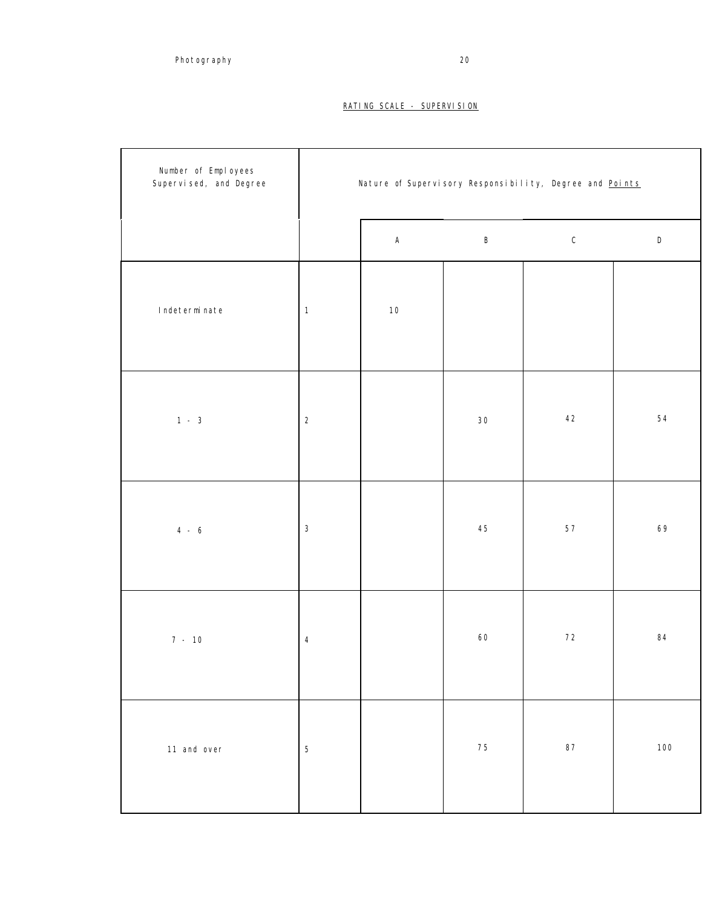#### RATING SCALE - SUPERVISION

| Number of Employees<br>Supervised, and Degree | Nature of Supervisory Responsibility, Degree and Points |             |         |               |           |  |  |
|-----------------------------------------------|---------------------------------------------------------|-------------|---------|---------------|-----------|--|--|
|                                               |                                                         | $\mathsf A$ | $\sf B$ | ${\mathsf C}$ | ${\sf D}$ |  |  |
| Indeterminate                                 | $\mathbf{1}$                                            | $10$        |         |               |           |  |  |
| $1 - 3$                                       | $\sqrt{2}$                                              |             | 30      | 42            | 54        |  |  |
| $4 - 6$                                       | $\ensuremath{\mathsf{3}}$                               |             | 45      | $5\,7$        | 69        |  |  |
| $7 - 10$                                      | 4                                                       |             | 60      | $72\,$        | 84        |  |  |
| 11 and over                                   | $\mathbf 5$                                             |             | 75      | $\bf 87$      | 100       |  |  |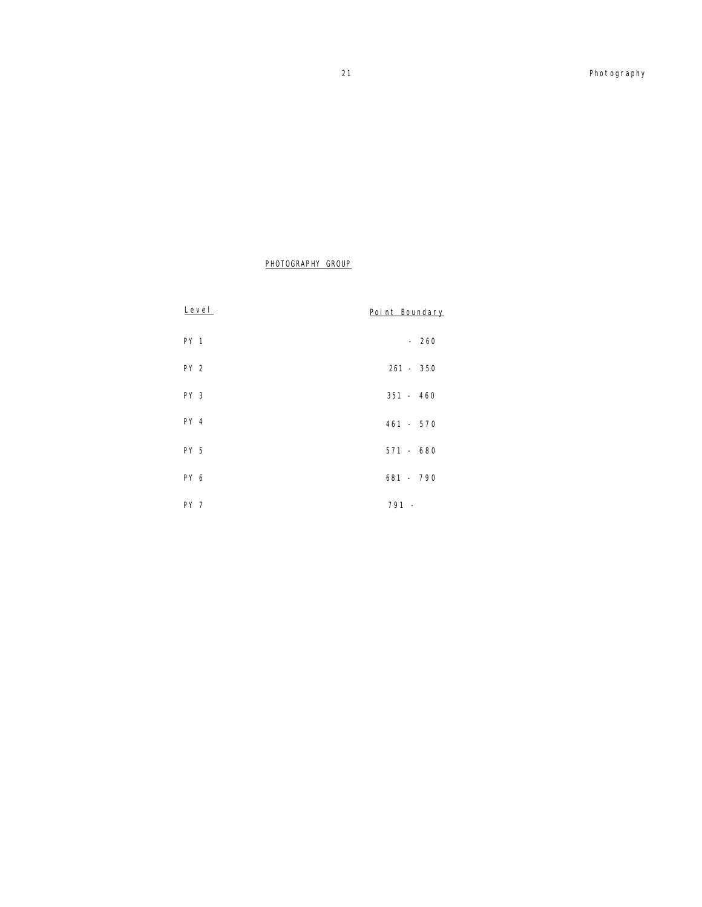#### PHOTOGRAPHY GROUP

| Level           | Point Boundary |
|-----------------|----------------|
| PY <sub>1</sub> | $-260$         |
| PY <sub>2</sub> | $261 - 350$    |
| PY <sub>3</sub> | $351 - 460$    |
| PY 4            | $461 - 570$    |
| PY 5            | $571 - 680$    |
| PY 6            | 681 - 790      |
| PY <sub>7</sub> | $791 -$        |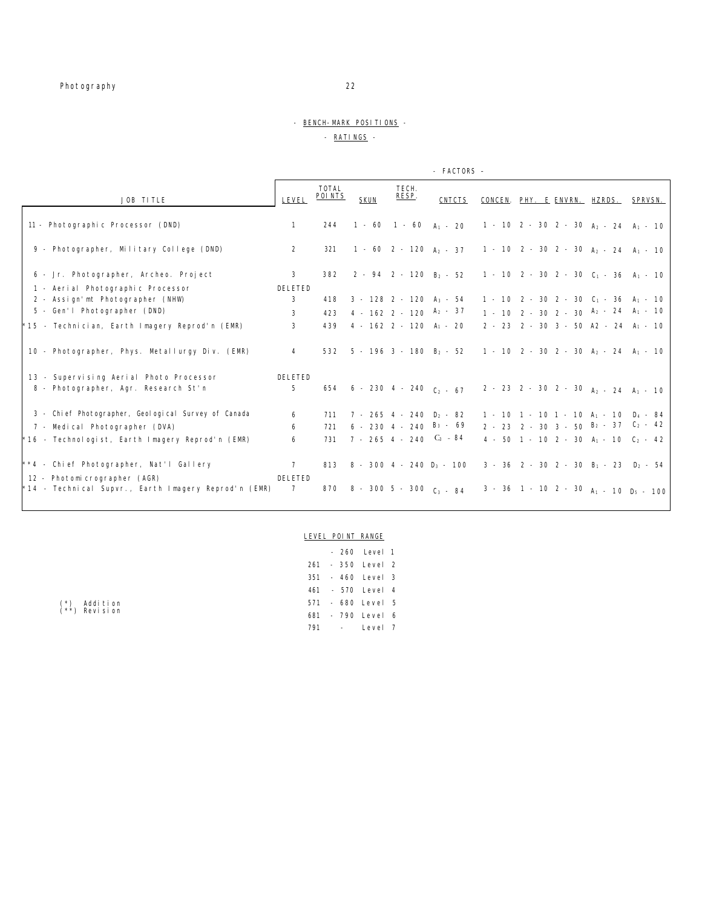#### - BENCH-MARK POSITIONS -

#### - RATINGS -

|                                                        |                 |                  |             |                                       | - FACTORS -                     |                                                                                                 |  |
|--------------------------------------------------------|-----------------|------------------|-------------|---------------------------------------|---------------------------------|-------------------------------------------------------------------------------------------------|--|
| JOB TITLE                                              | LEVEL           | TOTAL<br>POI NTS | <b>SKUN</b> | TECH.<br>RESP.                        | <b>CNTCTS</b>                   | CONCEN. PHY. E ENVRN. HZRDS. SPRVSN.                                                            |  |
| 11 - Photographic Processor (DND)                      | $\mathbf{1}$    | 244              |             |                                       |                                 | 1 - 60 1 - 60 $A_1$ - 20 1 - 10 2 - 30 2 - 30 $A_2$ - 24 $A_1$ - 10                             |  |
| 9 - Photographer, Military College (DND)               | $\overline{2}$  | 321              |             |                                       |                                 | 1 - 60 2 - 120 A <sub>2</sub> - 37 1 - 10 2 - 30 2 - 30 A <sub>2</sub> - 24 A <sub>1</sub> - 10 |  |
| 6 - Jr. Photographer, Archeo. Project                  | 3               | 382              |             |                                       |                                 | 2 - 94 2 - 120 $B_2$ - 52 1 - 10 2 - 30 2 - 30 $C_1$ - 36 $A_1$ - 10                            |  |
| 1 - Aerial Photographic Processor                      | DELETED         |                  |             |                                       |                                 |                                                                                                 |  |
| 2 - Assign'mt Photographer (NHW)                       | 3               | 418              |             | $3 - 128$ 2 - 120 A <sub>3</sub> - 54 |                                 | $1 - 10$ 2 - 30 2 - 30 C <sub>1</sub> - 36 A <sub>1</sub> - 10                                  |  |
| 5 - Gen'l Photographer (DND)                           | 3               | 423              |             | $4 - 162$ 2 - 120 $A_2$ - 37          |                                 | $1 - 10$ 2 - 30 2 - 30 $A_2$ - 24 $A_1$ - 10                                                    |  |
| *15 - Technician, Earth Imagery Reprod'n (EMR)         | 3               | 439              |             | $4 - 162$ 2 - 120 A <sub>1</sub> - 20 |                                 | $2 - 23$ 2 - 30 3 - 50 A2 - 24 A <sub>1</sub> - 10                                              |  |
| 10 - Photographer, Phys. Metallurgy Div. (EMR)         | $\overline{4}$  |                  |             |                                       |                                 | 532 5 - 196 3 - 180 $B_2$ - 52 1 - 10 2 - 30 2 - 30 $A_2$ - 24 $A_1$ - 10                       |  |
| 13 - Supervising Aerial Photo Processor                | DELETED         |                  |             |                                       |                                 |                                                                                                 |  |
| 8 - Photographer, Agr. Research St'n                   | 5               |                  |             |                                       | 654 6 - 230 4 - 240 $C_2$ - 67  | $2 - 23$ 2 - 30 2 - 30 A <sub>2</sub> - 24 A <sub>1</sub> - 10                                  |  |
| 3 - Chi ef Photographer, Geol ogi cal Survey of Canada | 6               |                  |             | 711 7 - 265 4 - 240 $D_2$ - 82        |                                 | 1 - 10 1 - 10 1 - 10 $A_1$ - 10 $D_4$ - 84                                                      |  |
| 7 - Medical Photographer (DVA)                         | 6               | 721              |             | $6 - 230$ 4 - 240 $B_3$ - 69          |                                 | $2 - 23$ 2 - 30 3 - 50 $B_2$ - 37 $C_2$ - 42                                                    |  |
| *16 - Technologist, Earth Imagery Reprod'n (EMR)       | 6               | 731              |             | 7 - 265 4 - 240 $C_3$ - 84            |                                 | $4 - 50$ 1 - 10 2 - 30 A <sub>1</sub> - 10 C <sub>2</sub> - 42                                  |  |
| **4 - Chief Photographer, Nat'l Gallery                | 7               |                  |             |                                       | 813 8 - 300 4 - 240 $D_3$ - 100 | $3 - 36$ 2 - 30 2 - 30 B <sub>1</sub> - 23 D <sub>2</sub> - 54                                  |  |
| 12 - Photomicrographer (AGR)                           | DELETED         |                  |             |                                       |                                 |                                                                                                 |  |
| $*14$ - Technical Supvr., Earth Imagery Reprod'n (EMR) | $7\overline{ }$ |                  |             | 870 8 - 300 5 - 300 $C_3$ - 84        |                                 | $3 - 36$ 1 - 10 2 - 30 $A_1$ - 10 $D_5$ - 100                                                   |  |

#### LEVEL POINT RANGE

|     |    | - 260 Level 1 |  |
|-----|----|---------------|--|
| 261 |    | - 350 Level 2 |  |
| 351 |    | - 460 Level 3 |  |
| 461 |    | - 570 Level 4 |  |
| 571 |    | - 680 Level 5 |  |
| 681 |    | - 790 Level 6 |  |
| 791 | a. | Level 7       |  |

(\*) Addition (\*\*) Revision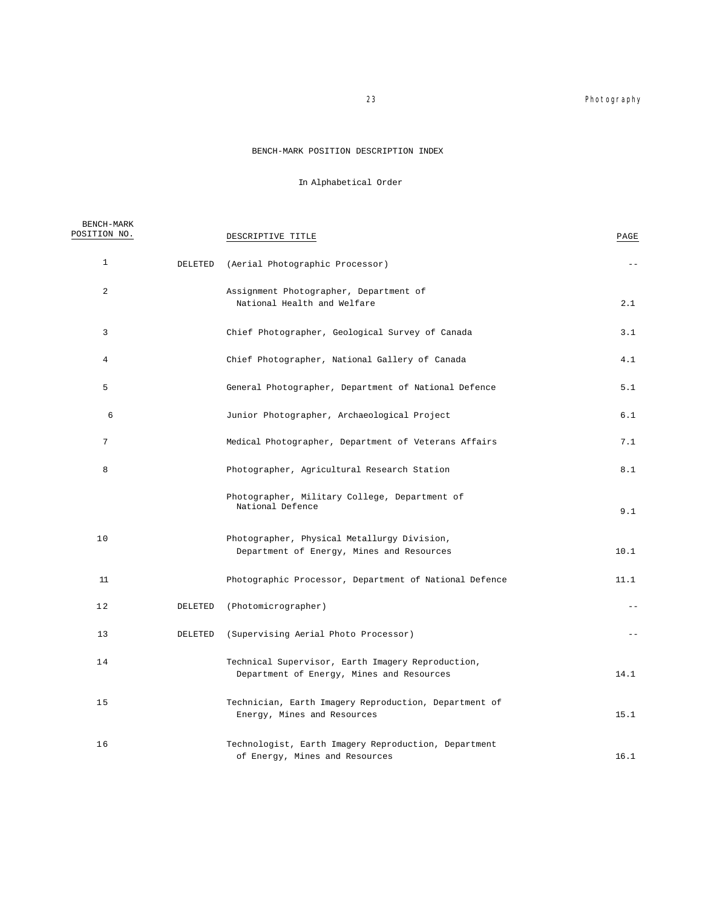#### 23 **Photography**

#### BENCH-MARK POSITION DESCRIPTION INDEX

### In Alphabetical Order

| BENCH-MARK<br>POSITION NO. |         | DESCRIPTIVE TITLE                                                                              | PAGE  |
|----------------------------|---------|------------------------------------------------------------------------------------------------|-------|
| $\mathbf{1}$               | DELETED | (Aerial Photographic Processor)                                                                | $- -$ |
| $\overline{a}$             |         | Assignment Photographer, Department of<br>National Health and Welfare                          | 2.1   |
| 3                          |         | Chief Photographer, Geological Survey of Canada                                                | 3.1   |
| $\overline{4}$             |         | Chief Photographer, National Gallery of Canada                                                 | 4.1   |
| 5                          |         | General Photographer, Department of National Defence                                           | 5.1   |
| 6                          |         | Junior Photographer, Archaeological Project                                                    | 6.1   |
| 7                          |         | Medical Photographer, Department of Veterans Affairs                                           | 7.1   |
| 8                          |         | Photographer, Agricultural Research Station                                                    | 8.1   |
|                            |         | Photographer, Military College, Department of<br>National Defence                              | 9.1   |
| 10                         |         | Photographer, Physical Metallurgy Division,<br>Department of Energy, Mines and Resources       | 10.1  |
| 11                         |         | Photographic Processor, Department of National Defence                                         | 11.1  |
| 12                         | DELETED | (Photomicrographer)                                                                            | $- -$ |
| 13                         | DELETED | (Supervising Aerial Photo Processor)                                                           | $ -$  |
| 14                         |         | Technical Supervisor, Earth Imagery Reproduction,<br>Department of Energy, Mines and Resources | 14.1  |
| 15                         |         | Technician, Earth Imagery Reproduction, Department of<br>Energy, Mines and Resources           | 15.1  |
| 16                         |         | Technologist, Earth Imagery Reproduction, Department<br>of Energy, Mines and Resources         | 16.1  |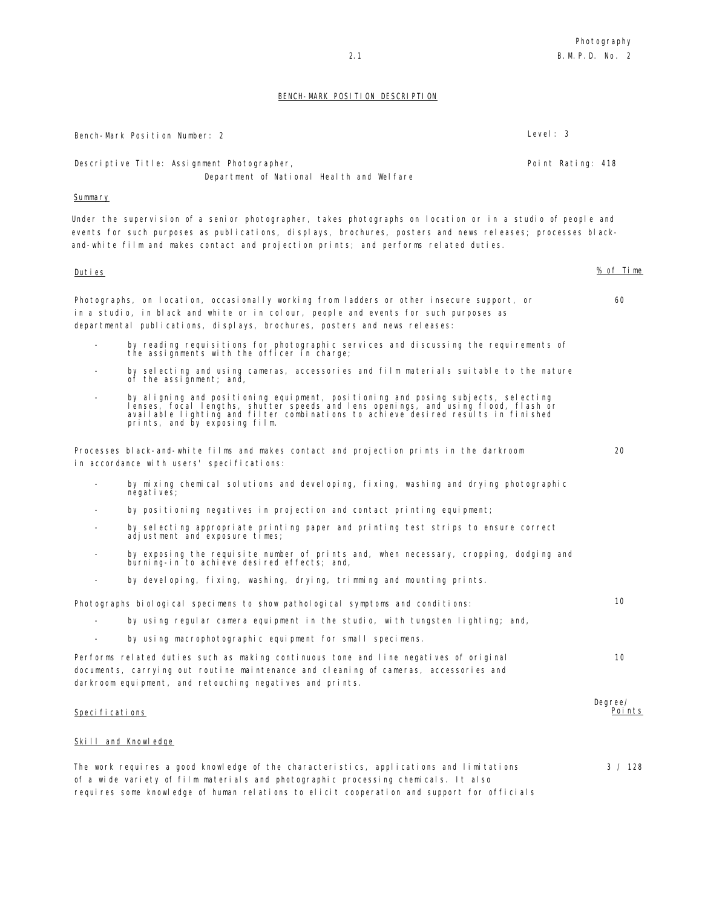#### BENCH-MARK POSITION DESCRIPTION

|                          | Level: 3<br>Bench-Mark Position Number: 2                                                                                                                                                                                                                                                                        |                          |
|--------------------------|------------------------------------------------------------------------------------------------------------------------------------------------------------------------------------------------------------------------------------------------------------------------------------------------------------------|--------------------------|
|                          | Descriptive Title: Assignment Photographer,<br>Point Rating: 418<br>Department of National Health and Welfare                                                                                                                                                                                                    |                          |
| Summary                  |                                                                                                                                                                                                                                                                                                                  |                          |
|                          | Under the supervision of a senior photographer, takes photographs on location or in a studio of people and<br>events for such purposes as publications, displays, brochures, posters and news releases; processes black-<br>and-white film and makes contact and projection prints; and performs related duties. |                          |
| <u>Duties</u>            |                                                                                                                                                                                                                                                                                                                  | % of Time                |
|                          | Photographs, on location, occasionally working from ladders or other insecure support, or<br>in a studio, in black and white or in colour, people and events for such purposes as<br>departmental publications, displays, brochures, posters and news releases:                                                  | 60                       |
| $\overline{\phantom{a}}$ | by reading requisitions for photographic services and discussing the requirements of<br>the assignments with the officer in charge;                                                                                                                                                                              |                          |
|                          | by selecting and using cameras, accessories and film materials suitable to the nature<br>of the assignment; and,                                                                                                                                                                                                 |                          |
| $\overline{\phantom{a}}$ | by aligning and positioning equipment, positioning and posing subjects, selecting<br>lenses, focal lengths, shutter speeds and lens openings, and using flood, flash or<br>available lighting and filter combinations to achieve desired results in finished<br>prints, and by exposing film.                    |                          |
|                          | Processes black-and-white films and makes contact and projection prints in the darkroom<br>in accordance with users' specifications:                                                                                                                                                                             | 20                       |
| $\overline{\phantom{a}}$ | by mixing chemical solutions and developing, fixing, washing and drying photographic<br>negati ves;                                                                                                                                                                                                              |                          |
|                          | by positioning negatives in projection and contact printing equipment;                                                                                                                                                                                                                                           |                          |
|                          | by selecting appropriate printing paper and printing test strips to ensure correct<br>adjustment and exposure times;                                                                                                                                                                                             |                          |
|                          | by exposing the requisite number of prints and, when necessary, cropping, dodging and<br>burning-in to achieve desired effects; and,                                                                                                                                                                             |                          |
| $\overline{\phantom{a}}$ | by developing, fixing, washing, drying, trimming and mounting prints.                                                                                                                                                                                                                                            |                          |
|                          | Photographs biological specimens to show pathological symptoms and conditions:                                                                                                                                                                                                                                   | 10                       |
|                          | by using regular camera equipment in the studio, with tungsten lighting; and,                                                                                                                                                                                                                                    |                          |
|                          | by using macrophotographic equipment for small specimens.                                                                                                                                                                                                                                                        |                          |
|                          | Performs related duties such as making continuous tone and line negatives of original<br>documents, carrying out routine maintenance and cleaning of cameras, accessories and<br>darkroom equipment, and retouching negatives and prints.                                                                        | 10                       |
| Specifications           |                                                                                                                                                                                                                                                                                                                  | Degree/<br><u>Points</u> |
|                          | <b>Skill and Knowledge</b>                                                                                                                                                                                                                                                                                       |                          |
|                          | The work requires a good knowledge of the characteristics, applications and limitations<br>of a wide variety of film materials and photographic processing chemicals. It also<br>requires some knowledge of human relations to elicit cooperation and support for officials                                      | 3 / 128                  |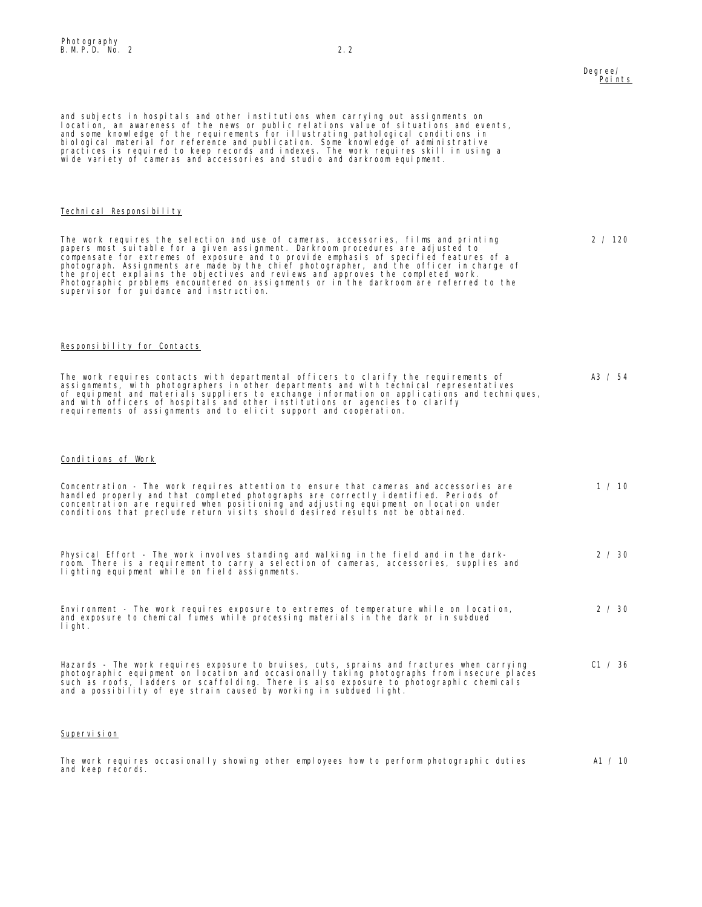#### Degree/ Points

2 / 120

and subjects in hospitals and other institutions when carrying out assignments on<br>location, an awareness of the news or public relations value of situations and events,<br>and some knowledge of the requirements for illustrati wide variety of cameras and accessories and studio and darkroom equipment.

#### Technical Responsibility

The work requires the selection and use of cameras, accessories, films and printing<br>papers most suitable for a given assignment. Darkroom procedures are adjusted to<br>compensate for extremes of exposure and to provide emphas Photographic problems encountered on assignments or in the darkroom are referred to the supervisor for guidance and instruction.

#### Responsibility for Contacts

The work requires contacts with departmental officers to clarify the requirements of<br>assignments, with photographers in other departments and with technical representatives<br>of equipment and materials suppliers to exchange requirements of assignments and to elicit support and cooperation. A3 / 54

#### Conditions of Work

| Concentration - The work requires attention to ensure that cameras and accessories are<br>handled properly and that completed photographs are correctly identified. Periods of<br>concentration are required when positioning and adjusting equipment on location under<br>conditions that preclude return visits should desired results not be obtained.   | 1 / 10         |
|-------------------------------------------------------------------------------------------------------------------------------------------------------------------------------------------------------------------------------------------------------------------------------------------------------------------------------------------------------------|----------------|
| Physical Effort - The work involves standing and walking in the field and in the dark-<br>room. There is a requirement to carry a selection of cameras, accessories, supplies and<br>lighting equipment while on field assignments.                                                                                                                         | $2 \times 30$  |
| Environment - The work requires exposure to extremes of temperature while on location,<br>and exposure to chemical fumes while processing materials in the dark or in subdued<br>light.                                                                                                                                                                     | $2 \times 30$  |
| Hazards - The work requires exposure to bruises, cuts, sprains and fractures when carrying<br>photographic equipment on location and occasionally taking photographs from insecure places<br>such as roofs, ladders or scaffolding. There is also exposure to photographic chemicals<br>and a possibility of eye strain caused by working in subdued light. | C1 $\prime$ 36 |

#### Supervision

The work requires occasionally showing other employees how to perform photographic duties and keep records. A1 / 10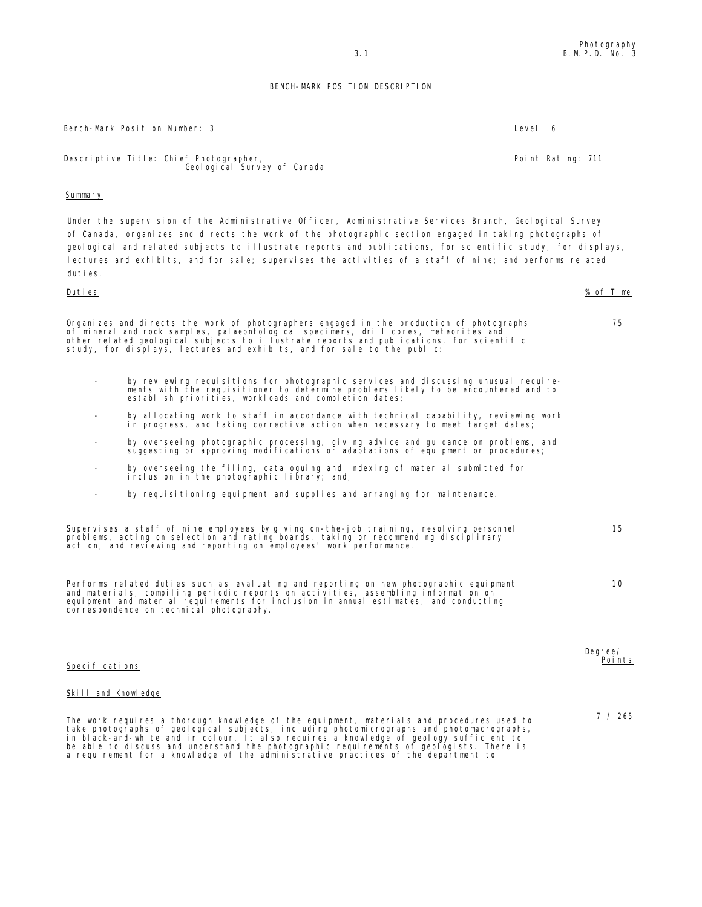75

10

Degree/ Points

7 / 265

#### BENCH-MARK POSITION DESCRIPTION

Bench-Mark Position Number: 3 Level: 6

Point Rating: 711

Descriptive Title: Chief Photographer, Geol ogi cal Survey of Canada

#### Summary

Under the supervision of the Administrative Officer, Administrative Services Branch, Geological Survey of Canada, organizes and directs the work of the photographic section engaged in taking photographs of geological and related subjects to illustrate reports and publications, for scientific study, for displays, lectures and exhibits, and for sale; supervises the activities of a staff of nine; and performs related duties.

#### Duties % of Time

Organizes and directs the work of photographers engaged in the production of photographs of mineral and rock samples, palaeontological specimens, drill cores, meteorites and other related geological subjects to illustrate reports and publications, for scientific study, for displays, lectures and exhibits, and for sale to the public:

- by reviewing requisitions for photographic services and discussing unusual require-ments with the requisitioner to determine problems likely to be encountered and to establish priorities, workloads and completion dates;
- by allocating work to staff in accordance with technical capability, reviewing work in progress, and taking corrective action when necessary to meet target dates;
- by overseeing photographic processing, giving advice and guidance on problems, and suggesting or approving modifications or adaptations of equipment or procedures;
- by overseeing the filing, cataloguing and indexing of material submitted for inclusion in the photographic library; and,
- by requisitioning equipment and supplies and arranging for maintenance.

| Supervises a staff of nine employees by giving on-the-job training, resolving personnel | 15 |
|-----------------------------------------------------------------------------------------|----|
| problems, acting on selection and rating boards, taking or recommending disciplinary    |    |
| action, and reviewing and reporting on employees' work performance.                     |    |

| Performs related duties such as evaluating and reporting on new photographic equipment |
|----------------------------------------------------------------------------------------|
| and materials, compiling periodic reports on activities, assembling information on     |
| equipment and material requirements for inclusion in annual estimates, and conducting  |
| correspondence on technical photography.                                               |

#### Specifications

#### Skill and Knowledge

The work requires a thorough knowledge of the equipment, materials and procedures used to<br>take photographs of geological subjects, including photomicrographs and photomacrographs,<br>in black-and-white and in colour. It also a requirement for a knowledge of the administrative practices of the department to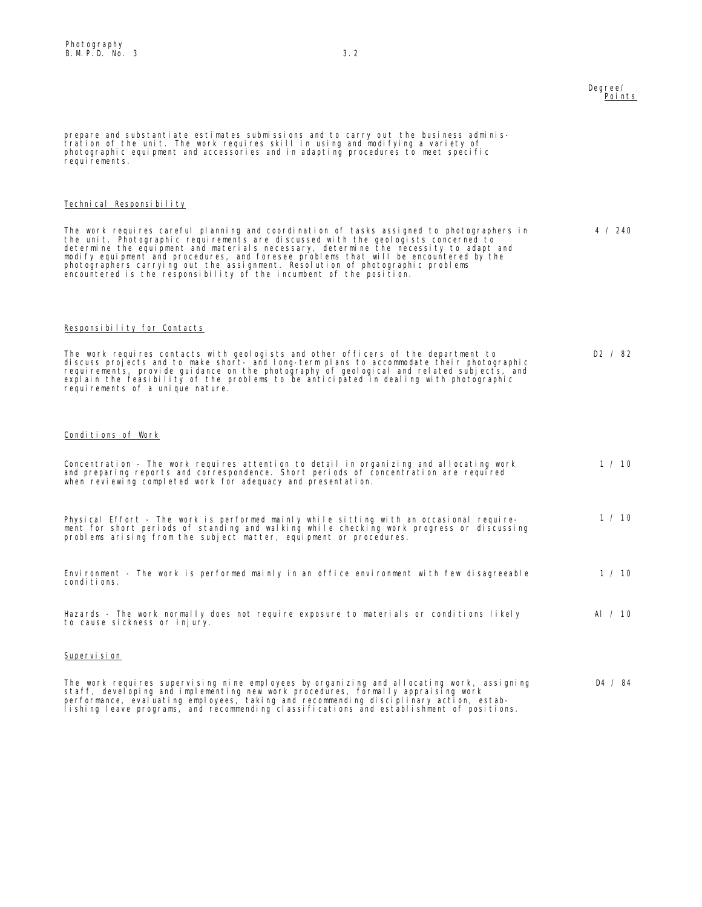#### Degree/ Points

prepare and substantiate estimates submissions and to carry out the business administration of the unit. The work requires skill in using and modifying a variety of photographic equipment and accessories and in adapting procedures to meet specific requirements. Technical Responsibility The work requires careful planning and coordination of tasks assigned to photographers in<br>the unit. Photographic requirements are discussed with the geologists concerned to<br>determine the equipment and materials necessary, photographers carrying out the assignment. Resolution of photographic problems encountered is the responsibility of the incumbent of the position. 4 / 240 Responsibility for Contacts The work requires contacts with geologists and other officers of the department to discuss projects and to make short- and long-term plans to accommodate their photographic<br>requirements, provide guidance on the photography of geological and related subjects, and<br>explain the feasibility of the problems to requirements of a unique nature. D2 / 82 Conditions of Work Concentration - The work requires attention to detail in organizing and allocating work and preparing reports and correspondence. Short periods of concentration are required when reviewing completed work for adequacy and presentation.  $1 / 10$ Physical Effort - The work is performed mainly while sitting with an occasional require-ment for short periods of standing and walking while checking work progress or discussing problems arising from the subject matter, equipment or procedures. 1 / 10 Environment - The work is performed mainly in an office environment with few disagreeable conditions. 1 / 10 Hazards - The work normally does not require exposure to materials or conditions likely to cause sickness or injury. Al / 10 Supervision

The work requires supervising nine employees by organizing and allocating work, assigning staff, developing and implementing new work procedures, formally appraising work<br>performance, evaluating employees, taking and recommending disciplinary action, estab-<br>lishing leave programs, and recommending classificatio D4 / 84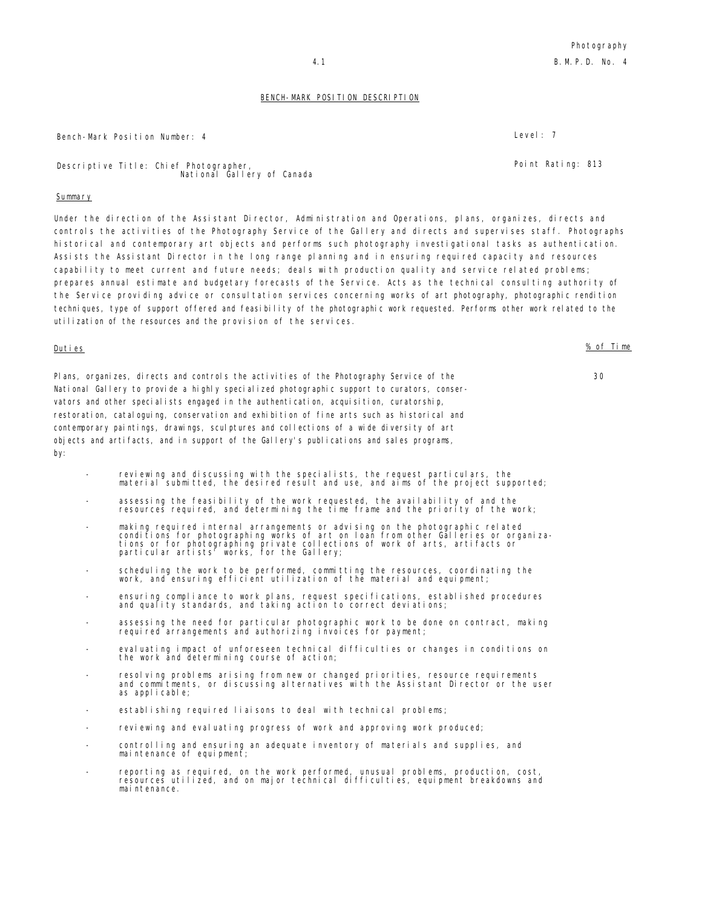#### BENCH-MARK POSITION DESCRIPTION

Bench-Mark Position Number: 4 Level: 7

Descriptive Title: Chief Photographer, National Gallery of Canada

#### **Summary**

Under the direction of the Assistant Director, Administration and Operations, plans, organizes, directs and controls the activities of the Photography Service of the Gallery and directs and supervises staff. Photographs historical and contemporary art objects and performs such photography investigational tasks as authentication. Assists the Assistant Director in the long range planning and in ensuring required capacity and resources capability to meet current and future needs; deals with production quality and service related problems; prepares annual estimate and budgetary forecasts of the Service. Acts as the technical consulting authority of the Service providing advice or consultation services concerning works of art photography, photographic rendition techniques, type of support offered and feasibility of the photographic work requested. Performs other work related to the utilization of the resources and the provision of the services.

#### Duties % of Time

Plans, organizes, directs and controls the activities of the Photography Service of the National Gallery to provide a highly specialized photographic support to curators, conservators and other specialists engaged in the authentication, acquisition, curatorship, restoration, cataloguing, conservation and exhibition of fine arts such as historical and contemporary paintings, drawings, sculptures and collections of a wide diversity of art objects and artifacts, and in support of the Gallery's publications and sales programs, by:

- reviewing and discussing with the specialists, the request particulars, the material submitted, the desired result and use, and aims of the project supported;
- assessing the feasibility of the work requested, the availability of and the resources required, and determining the time frame and the priority of the work;
- making required internal arrangements or advising on the photographic related<br>conditions for photographing works of art on loan from other Galleries or organiza-<br>tions or for photographing private collections of work of
- scheduling the work to be performed, committing the resources, coordinating the work, and ensuring efficient utilization of the material and equipment;
- ensuring compliance to work plans, request specifications, established procedures and quality standards, and taking action to correct deviations;
- assessing the need for particular photographic work to be done on contract, making required arrangements and authorizing invoices for payment;
- evaluating impact of unforeseen technical difficulties or changes in conditions on the work and determining course of action;
- resolving problems arising from new or changed priorities, resource requirements and commitments, or discussing alternatives with the Assistant Director or the user as applicable;
- establishing required liaisons to deal with technical problems;
- reviewing and evaluating progress of work and approving work produced;
- controlling and ensuring an adequate inventory of materials and supplies, and maintenance of equipment;
- reporting as required, on the work performed, unusual problems, production, cost, resources utilized, and on major technical difficulties, equipment breakdowns and mai ntenance.

Point Rating: 813

30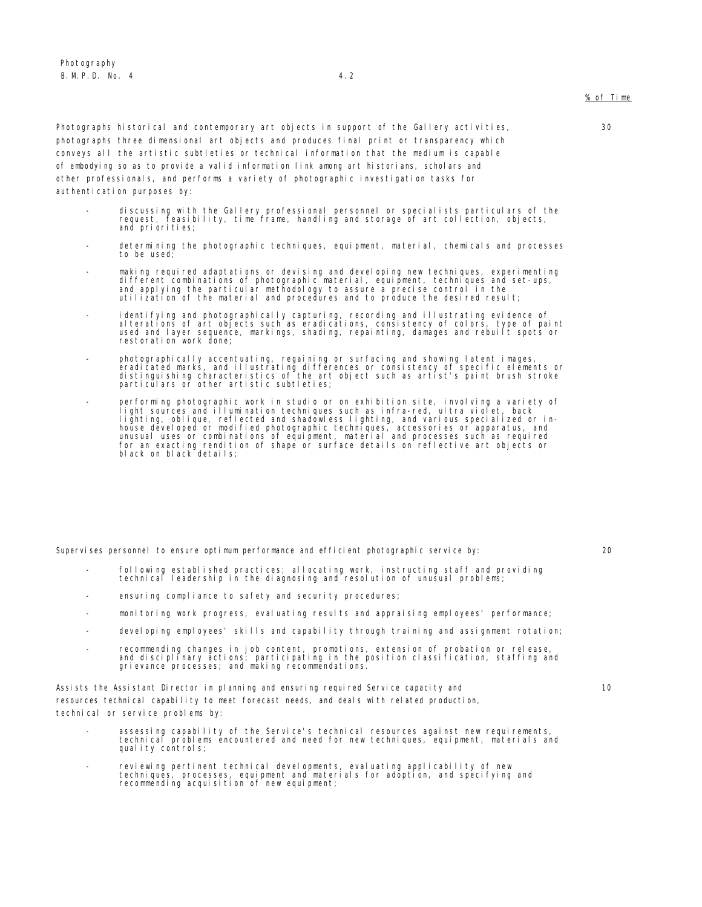30

Photographs historical and contemporary art objects in support of the Gallery activities, photographs three dimensional art objects and produces final print or transparency which conveys all the artistic subtleties or technical information that the medium is capable of embodying so as to provide a valid information link among art historians, scholars and other professionals, and performs a variety of photographic investigation tasks for authentication purposes by:

- discussing with the Gallery professional personnel or specialists particulars of the request, feasibility, time frame, handling and storage of art collection, objects, and priorities;
- determining the photographic techniques, equipment, material, chemicals and processes to be used;
- making required adaptations or devising and developing new techniques, experimenting different combinations of photographic material, equipment, techniques and set-ups,<br>and applying the particular methodology to assure a precise control in the<br>utilization of the material and procedures and to produce the d
- identifying and photographically capturing, recording and illustrating evidence of<br>alterations of art objects such as eradications, consistency of colors, type of paint<br>used and layer sequence, markings, shading, repaint
- photographically accentuating, regaining or surfacing and showing latent images, eradicated marks, and illustrating differences or consistency of specific elements or distinguishing characteristics of the art object such as artist's paint brush stroke particulars or other artistic subtleties;
- performing photographic work in studio or on exhibition site, involving a variety of light sources and illumination techniques such as infra-red, ultra violet, back lighting, oblique, reflected and shadowless lighting, and various specialized or in-<br>house developed or modified photographic techniques, accessories or apparatus, and<br>unusual uses or combinations of equipment, material an

Supervises personnel to ensure optimum performance and efficient photographic service by: 20

10

- following established practices; allocating work, instructing staff and providing technical leadership in the diagnosing and resolution of unusual problems;
- ensuring compliance to safety and security procedures;
- monitoring work progress, evaluating results and appraising employees' performance;
- developing employees' skills and capability through training and assignment rotation;
- recommending changes in job content, promotions, extension of probation or release, and disciplinary actions; participating in the position classification, staffing and grievance processes; and making recommendations.

Assists the Assistant Director in planning and ensuring required Service capacity and resources technical capability to meet forecast needs, and deals with related production, technical or service problems by:

- assessing capability of the Service's technical resources against new requirements, technical problems encountered and need for new techniques, equipment, materials and quality controls;
- reviewing pertinent technical developments, evaluating applicability of new techniques, processes, equipment and materials for adoption, and specifying and recommending acquisition of new equipment;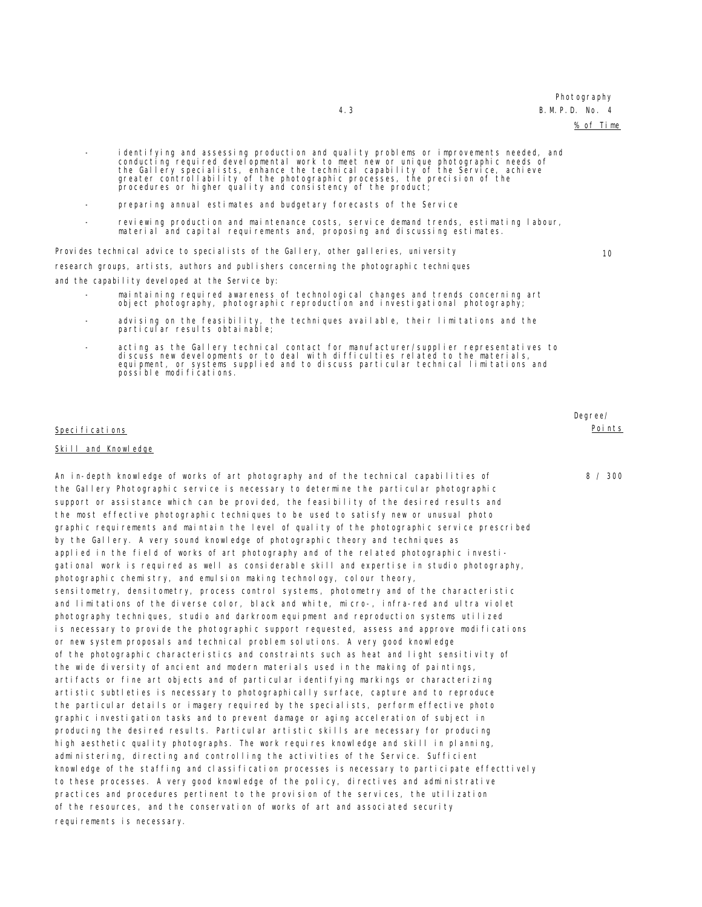### Photography

#### 4.3 B.M.P.D. No. 4

% of Time

10

- identifying and assessing production and quality problems or improvements needed, and conducting required developmental work to meet new or unique photographic needs of<br>the Gallery specialists, enhance the technical capability of the Service, achieve<br>greater controllability of the photographic processes, th
- preparing annual estimates and budgetary forecasts of the Service
- reviewing production and maintenance costs, service demand trends, estimating labour, material and capital requirements and, proposing and discussing estimates.

Provides technical advice to specialists of the Gallery, other galleries, university research groups, artists, authors and publishers concerning the photographic techniques

and the capability developed at the Service by:

- maintaining required awareness of technological changes and trends concerning art object photography, photographic reproduction and investigational photography;
- advising on the feasibility, the techniques available, their limitations and the particular results obtainable;
- acting as the Gallery technical contact for manufacturer/supplier representatives to discuss new developments or to deal with difficulties related to the materials,<br>equipment, or systems supplied and to discuss particular technical limitations and possible modifications.

#### Specifications

#### Skill and Knowledge

An in-depth knowledge of works of art photography and of the technical capabilities of the Gallery Photographic service is necessary to determine the particular photographic support or assistance which can be provided, the feasibility of the desired results and the most effective photographic techniques to be used to satisfy new or unusual photo graphic requirements and maintain the level of quality of the photographic service prescribed by the Gallery. A very sound knowledge of photographic theory and techniques as applied in the field of works of art photography and of the related photographic investigational work is required as well as considerable skill and expertise in studio photography, photographic chemistry, and emulsion making technology, colour theory, sensitometry, densitometry, process control systems, photometry and of the characteristic and limitations of the diverse color, black and white, micro-, infra-red and ultra violet photography techniques, studio and darkroom equipment and reproduction systems utilized is necessary to provide the photographic support requested, assess and approve modifications or new system proposals and technical problem solutions. A very good knowledge of the photographic characteristics and constraints such as heat and light sensitivity of the wide diversity of ancient and modern materials used in the making of paintings, artifacts or fine art objects and of particular identifying markings or characterizing artistic subtleties is necessary to photographically surface, capture and to reproduce the particular details or imagery required by the specialists, perform effective photo graphic investigation tasks and to prevent damage or aging acceleration of subject in producing the desired results. Particular artistic skills are necessary for producing high aesthetic quality photographs. The work requires knowledge and skill in planning, administering, directing and controlling the activities of the Service. Sufficient knowledge of the staffing and classification processes is necessary to participate effecttively to these processes. A very good knowledge of the policy, directives and administrative practices and procedures pertinent to the provision of the services, the utilization of the resources, and the conservation of works of art and associated security requirements is necessary.

Degree/ Points

8 / 300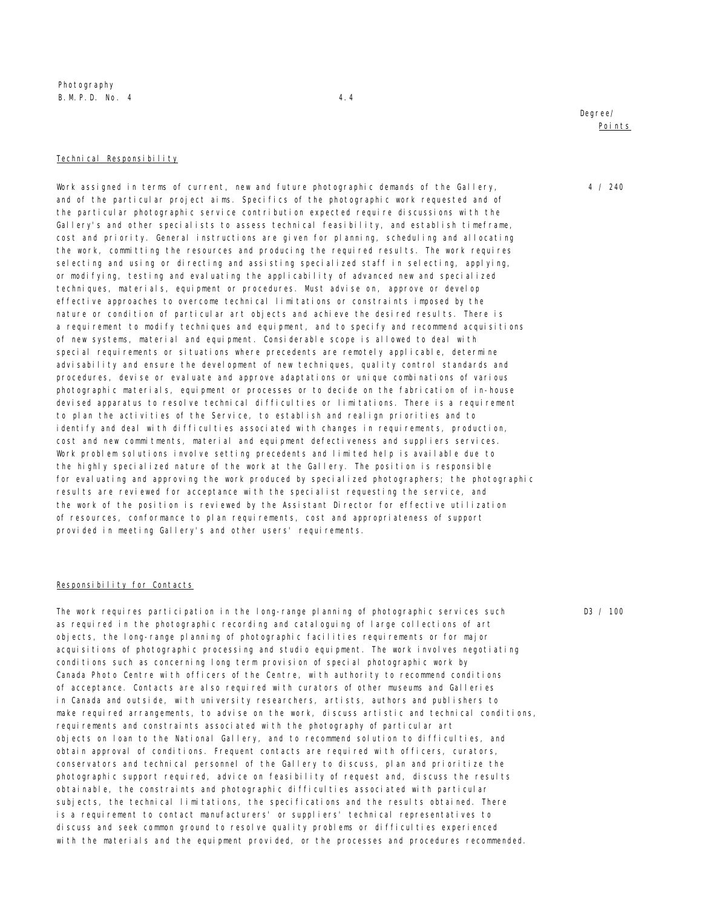Photography B. M. P. D. No. 4 4.4

#### Technical Responsibility

Work assigned in terms of current, new and future photographic demands of the Gallery, and of the particular project aims. Specifics of the photographic work requested and of the particular photographic service contribution expected require discussions with the Gallery's and other specialists to assess technical feasibility, and establish timeframe, cost and priority. General instructions are given for planning, scheduling and allocating the work, committing the resources and producing the required results. The work requires selecting and using or directing and assisting specialized staff in selecting, applying, or modifying, testing and evaluating the applicability of advanced new and specialized techniques, materials, equipment or procedures. Must advise on, approve or develop effective approaches to overcome technical limitations or constraints imposed by the nature or condition of particular art objects and achieve the desired results. There is a requirement to modify techniques and equipment, and to specify and recommend acquisitions of new systems, material and equipment. Considerable scope is allowed to deal with special requirements or situations where precedents are remotely applicable, determine advisability and ensure the development of new techniques, quality control standards and procedures, devise or evaluate and approve adaptations or unique combinations of various photographic materials, equipment or processes or to decide on the fabrication of in-house devised apparatus to resolve technical difficulties or limitations. There is a requirement to plan the activities of the Service, to establish and realign priorities and to identify and deal with difficulties associated with changes in requirements, production, cost and new commitments, material and equipment defectiveness and suppliers services. Work problem solutions involve setting precedents and limited help is available due to the highly specialized nature of the work at the Gallery. The position is responsible for evaluating and approving the work produced by specialized photographers; the photographic results are reviewed for acceptance with the specialist requesting the service, and the work of the position is reviewed by the Assistant Director for effective utilization of resources, conformance to plan requirements, cost and appropriateness of support provided in meeting Gallery's and other users' requirements.

#### Responsibility for Contacts

The work requires participation in the long-range planning of photographic services such as required in the photographic recording and cataloguing of large collections of art objects, the long-range planning of photographic facilities requirements or for major acquisitions of photographic processing and studio equipment. The work involves negotiating conditions such as concerning long term provision of special photographic work by Canada Photo Centre with officers of the Centre, with authority to recommend conditions of acceptance. Contacts are also required with curators of other museums and Galleries in Canada and outside, with university researchers, artists, authors and publishers to make required arrangements, to advise on the work, discuss artistic and technical conditions, requirements and constraints associated with the photography of particular art objects on loan to the National Gallery, and to recommend solution to difficulties, and obtain approval of conditions. Frequent contacts are required with officers, curators, conservators and technical personnel of the Gallery to discuss, plan and prioritize the photographic support required, advice on feasibility of request and, discuss the results obtainable, the constraints and photographic difficulties associated with particular subjects, the technical limitations, the specifications and the results obtained. There is a requirement to contact manufacturers' or suppliers' technical representatives to discuss and seek common ground to resolve quality problems or difficulties experienced with the materials and the equipment provided, or the processes and procedures recommended.

4 / 240

D3 / 100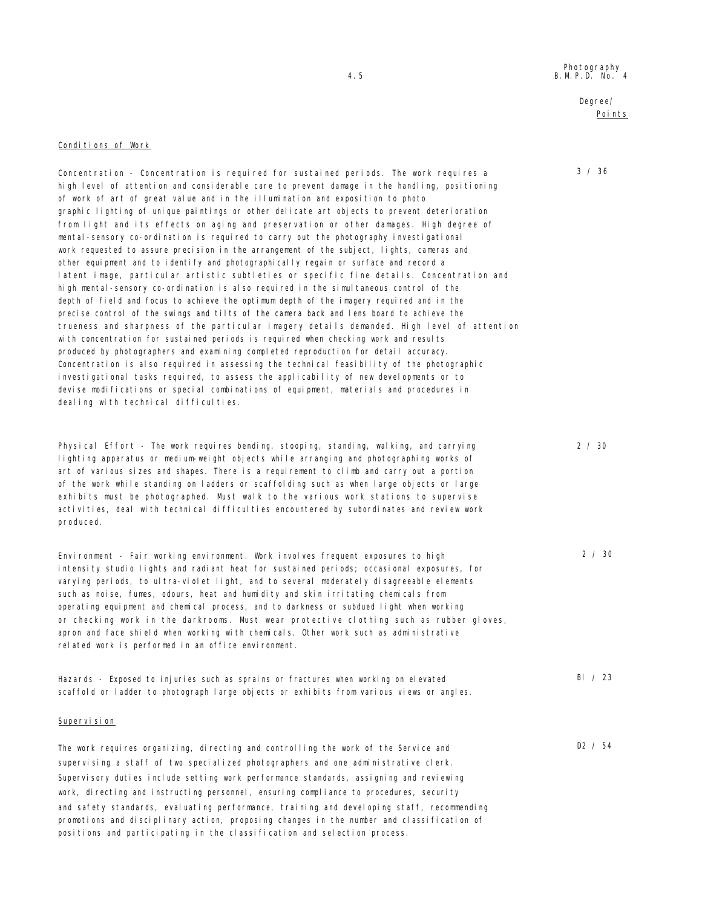## Degree/ Points

3 / 36

2 / 30

2 / 30

Bl / 23

D2 / 54

### Conditions of Work

Concentration - Concentration is required for sustained periods. The work requires a high level of attention and considerable care to prevent damage in the handling, positioning of work of art of great value and in the illumination and exposition to photo graphic lighting of unique paintings or other delicate art objects to prevent deterioration from light and its effects on aging and preservation or other damages. High degree of mental-sensory co-ordination is required to carry out the photography investigational work requested to assure precision in the arrangement of the subject, lights, cameras and other equipment and to identify and photographically regain or surface and record a latent image, particular artistic subtleties or specific fine details. Concentration and high mental-sensory co-ordination is also required in the simultaneous control of the depth of field and focus to achieve the optimum depth of the imagery required and in the precise control of the swings and tilts of the camera back and lens board to achieve the trueness and sharpness of the particular imagery details demanded. High level of attention with concentration for sustained periods is required when checking work and results produced by photographers and examining completed reproduction for detail accuracy. Concentration is also required in assessing the technical feasibility of the photographic investigational tasks required, to assess the applicability of new developments or to devise modifications or special combinations of equipment, materials and procedures in dealing with technical difficulties.

Physical Effort - The work requires bending, stooping, standing, walking, and carrying lighting apparatus or medium-weight objects while arranging and photographing works of art of various sizes and shapes. There is a requirement to climb and carry out a portion of the work while standing on ladders or scaffolding such as when large objects or large exhibits must be photographed. Must walk to the various work stations to supervise activities, deal with technical difficulties encountered by subordinates and review work produced.

Environment - Fair working environment. Work involves frequent exposures to high intensity studio lights and radiant heat for sustained periods; occasional exposures, for varying periods, to ultra-violet light, and to several moderately disagreeable elements such as noise, fumes, odours, heat and humidity and skin irritating chemicals from operating equipment and chemical process, and to darkness or subdued light when working or checking work in the darkrooms. Must wear protective clothing such as rubber gloves, apron and face shield when working with chemicals. Other work such as administrative related work is performed in an office environment.

Hazards - Exposed to injuries such as sprains or fractures when working on elevated scaffold or ladder to photograph large objects or exhibits from various views or angles.

### Supervision

The work requires organizing, directing and controlling the work of the Service and supervising a staff of two specialized photographers and one administrative clerk. Supervisory duties include setting work performance standards, assigning and reviewing work, directing and instructing personnel, ensuring compliance to procedures, security and safety standards, evaluating performance, training and developing staff, recommending promotions and disciplinary action, proposing changes in the number and classification of positions and participating in the classification and selection process.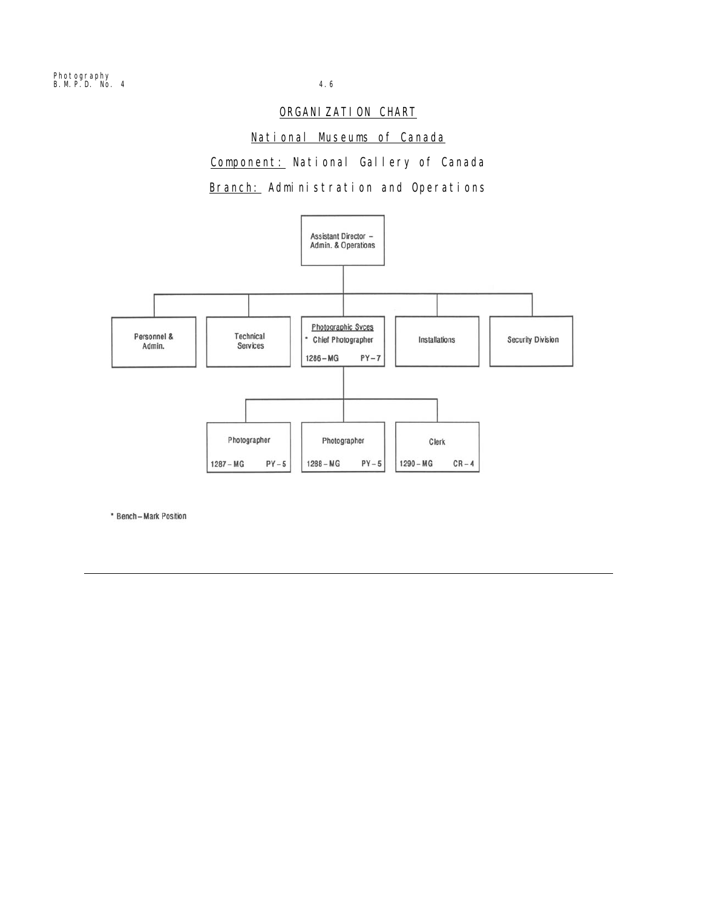## ORGANIZATION CHART

## National Museums of Canada

Component: National Gallery of Canada Branch: Administration and Operations



\* Bench - Mark Position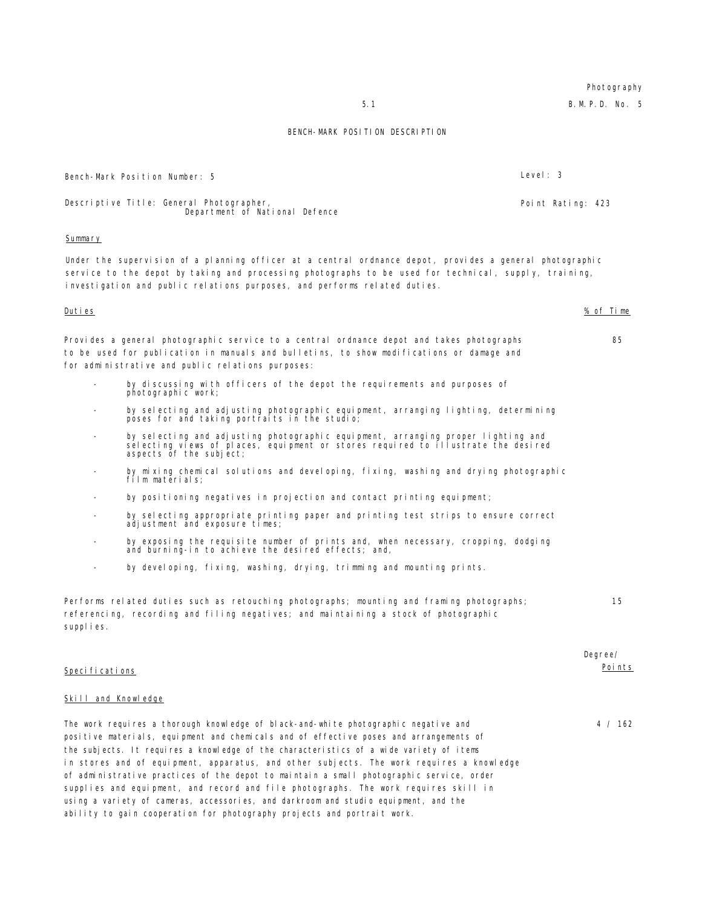# **Photography**

5.1 B.M.P.D. No. 5

### BENCH-MARK POSITION DESCRIPTION

Bench-Mark Position Number: 5 Level: 3

Descriptive Title: General Photographer, Department of National Defence Point Rating: 423 **Summary** Under the supervision of a planning officer at a central ordnance depot, provides a general photographic service to the depot by taking and processing photographs to be used for technical, supply, training, investigation and public relations purposes, and performs related duties. Duties % of Time Provides a general photographic service to a central ordnance depot and takes photographs to be used for publication in manuals and bulletins, to show modifications or damage and for administrative and public relations purposes: 85 by discussing with officers of the depot the requirements and purposes of photographic work; by selecting and adjusting photographic equipment, arranging lighting, determining poses for and taking portraits in the studio; - by selecting and adjusting photographic equipment, arranging proper lighting and selecting views of places, equipment or stores required to illustrate the desired aspects of the subject; by mixing chemical solutions and developing, fixing, washing and drying photographic film materials; by positioning negatives in projection and contact printing equipment; - by selecting appropriate printing paper and printing test strips to ensure correct adjustment and exposure times; by exposing the requisite number of prints and, when necessary, cropping, dodging and burning-in to achieve the desired effects; and, by developing, fixing, washing, drying, trimming and mounting prints. Performs related duties such as retouching photographs; mounting and framing photographs; referencing, recording and filing negatives; and maintaining a stock of photographic supplies. 15 Specifications Degree/ Points Skill and Knowledge The work requires a thorough knowledge of black-and-white photographic negative and 4 / 162

positive materials, equipment and chemicals and of effective poses and arrangements of the subjects. It requires a knowledge of the characteristics of a wide variety of items in stores and of equipment, apparatus, and other subjects. The work requires a knowledge of administrative practices of the depot to maintain a small photographic service, order supplies and equipment, and record and file photographs. The work requires skill in using a variety of cameras, accessories, and darkroom and studio equipment, and the ability to gain cooperation for photography projects and portrait work.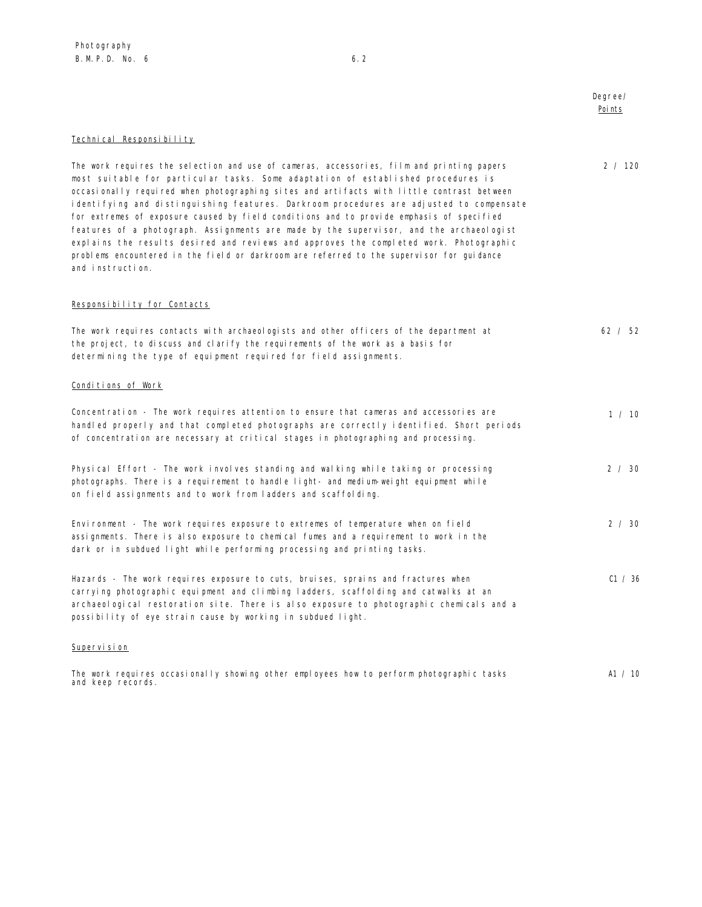Degree/ Points

2 / 120

## Technical Responsibility

The work requires the selection and use of cameras, accessories, film and printing papers most suitable for particular tasks. Some adaptation of established procedures is occasionally required when photographing sites and artifacts with little contrast between identifying and distinguishing features. Darkroom procedures are adjusted to compensate for extremes of exposure caused by field conditions and to provide emphasis of specified features of a photograph. Assignments are made by the supervisor, and the archaeologist explains the results desired and reviews and approves the completed work. Photographic problems encountered in the field or darkroom are referred to the supervisor for guidance and instruction.

### Responsibility for Contacts

| The work requires contacts with archaeologists and other officers of the department at<br>the project, to discuss and clarify the requirements of the work as a basis for<br>determining the type of equipment required for field assignments.                                                                                       | 62 / 52       |
|--------------------------------------------------------------------------------------------------------------------------------------------------------------------------------------------------------------------------------------------------------------------------------------------------------------------------------------|---------------|
| Conditions of Work                                                                                                                                                                                                                                                                                                                   |               |
| Concentration - The work requires attention to ensure that cameras and accessories are<br>handled properly and that completed photographs are correctly identified. Short periods<br>of concentration are necessary at critical stages in photographing and processing.                                                              | 1 / 10        |
| Physical Effort - The work involves standing and walking while taking or processing<br>photographs. There is a requirement to handle light- and medium-weight equipment while<br>on field assignments and to work from ladders and scaffolding.                                                                                      | $2 \times 30$ |
| Environment - The work requires exposure to extremes of temperature when on field<br>assignments. There is also exposure to chemical fumes and a requirement to work in the<br>dark or in subdued light while performing processing and printing tasks.                                                                              | $2 \times 30$ |
| Hazards - The work requires exposure to cuts, bruises, sprains and fractures when<br>carrying photographic equipment and climbing ladders, scaffolding and catwalks at an<br>archaeological restoration site. There is also exposure to photographic chemicals and a<br>possibility of eye strain cause by working in subdued light. | C1 / 36       |

### Supervision

|  |                   |  |  | The work requires occasionally showing other employees how to perform photographic tasks | A1 / 10 |
|--|-------------------|--|--|------------------------------------------------------------------------------------------|---------|
|  | and keep records. |  |  |                                                                                          |         |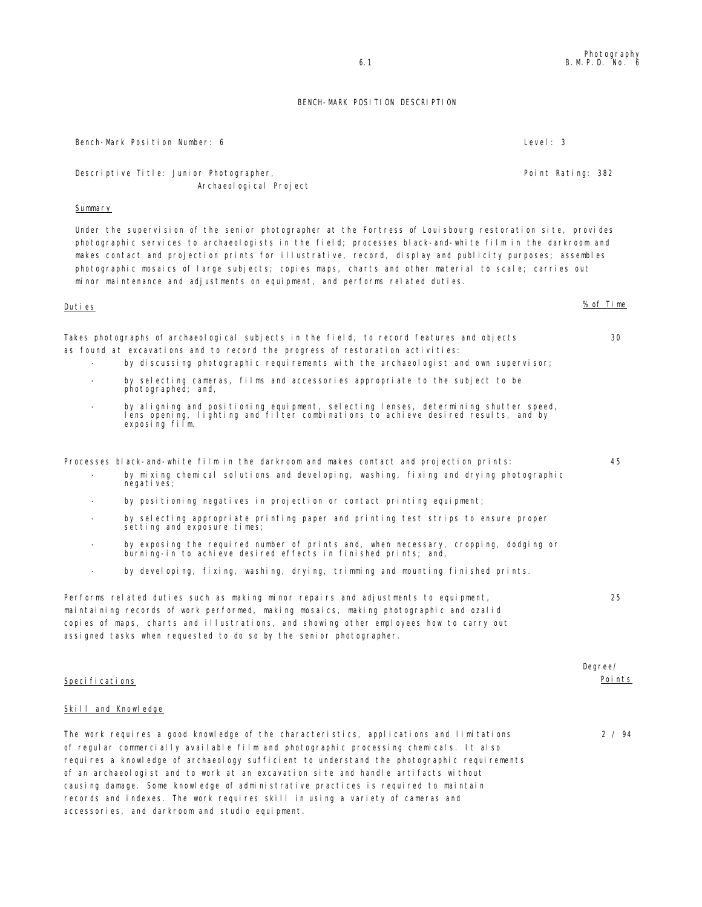## BENCH-MARK POSITION DESCRIPTION

| Bench-Mark Position Number: 6                                                                                                                                                                                                                                                                                                                                                                                                                                                                                                                                                                   | Level: $3$         |
|-------------------------------------------------------------------------------------------------------------------------------------------------------------------------------------------------------------------------------------------------------------------------------------------------------------------------------------------------------------------------------------------------------------------------------------------------------------------------------------------------------------------------------------------------------------------------------------------------|--------------------|
| Descriptive Title: Junior Photographer,<br>Archaeol ogi cal Project                                                                                                                                                                                                                                                                                                                                                                                                                                                                                                                             | Point Rating: 382  |
| Summary                                                                                                                                                                                                                                                                                                                                                                                                                                                                                                                                                                                         |                    |
| Under the supervision of the senior photographer at the Fortress of Louisbourg restoration site, provides<br>photographic services to archaeologists in the field; processes black-and-white film in the darkroom and<br>makes contact and projection prints for illustrative, record, display and publicity purposes; assembles<br>photographic mosaics of large subjects; copies maps, charts and other material to scale; carries out<br>minor maintenance and adjustments on equipment, and performs related duties.                                                                        |                    |
| <u>Duties</u>                                                                                                                                                                                                                                                                                                                                                                                                                                                                                                                                                                                   | % of Time          |
| Takes photographs of archaeological subjects in the field, to record features and objects<br>as found at excavations and to record the progress of restoration activities:<br>by discussing photographic requirements with the archaeologist and own supervisor;<br>by selecting cameras, films and accessories appropriate to the subject to be<br>photographed; and,                                                                                                                                                                                                                          | 30                 |
| by aligning and positioning equipment, selecting lenses, determining shutter speed,<br>$\overline{\phantom{a}}$<br>lens opening, lighting and filter combinations to achieve desired results, and by<br>exposing film.                                                                                                                                                                                                                                                                                                                                                                          |                    |
| Processes black-and-white film in the darkroom and makes contact and projection prints:<br>by mixing chemical solutions and developing, washing, fixing and drying photographic<br>$\overline{\phantom{a}}$<br>negati ves;                                                                                                                                                                                                                                                                                                                                                                      | 45                 |
| by positioning negatives in projection or contact printing equipment;<br>$\overline{\phantom{0}}$                                                                                                                                                                                                                                                                                                                                                                                                                                                                                               |                    |
| by selecting appropriate printing paper and printing test strips to ensure proper<br>setting and exposure times;                                                                                                                                                                                                                                                                                                                                                                                                                                                                                |                    |
| by exposing the required number of prints and, when necessary, cropping, dodging or<br>burning-in to achieve desired effects in finished prints; and,                                                                                                                                                                                                                                                                                                                                                                                                                                           |                    |
| by developing, fixing, washing, drying, trimming and mounting finished prints.                                                                                                                                                                                                                                                                                                                                                                                                                                                                                                                  |                    |
| Performs related duties such as making minor repairs and adjustments to equipment,<br>maintaining records of work performed, making mosaics, making photographic and ozalid<br>copies of maps, charts and illustrations, and showing other employees how to carry out<br>assigned tasks when requested to do so by the senior photographer.                                                                                                                                                                                                                                                     | 25                 |
| Specifications                                                                                                                                                                                                                                                                                                                                                                                                                                                                                                                                                                                  | Degree/<br>Poi nts |
| <b>Skill and Knowledge</b>                                                                                                                                                                                                                                                                                                                                                                                                                                                                                                                                                                      |                    |
| The work requires a good knowledge of the characteristics, applications and limitations<br>of regular commercially available film and photographic processing chemicals. It also<br>requires a knowledge of archaeology sufficient to understand the photographic requirements<br>of an archaeologist and to work at an excavation site and handle artifacts without<br>causing damage. Some knowledge of administrative practices is required to maintain<br>records and indexes. The work requires skill in using a variety of cameras and<br>accessories, and darkroom and studio equipment. | 2 / 94             |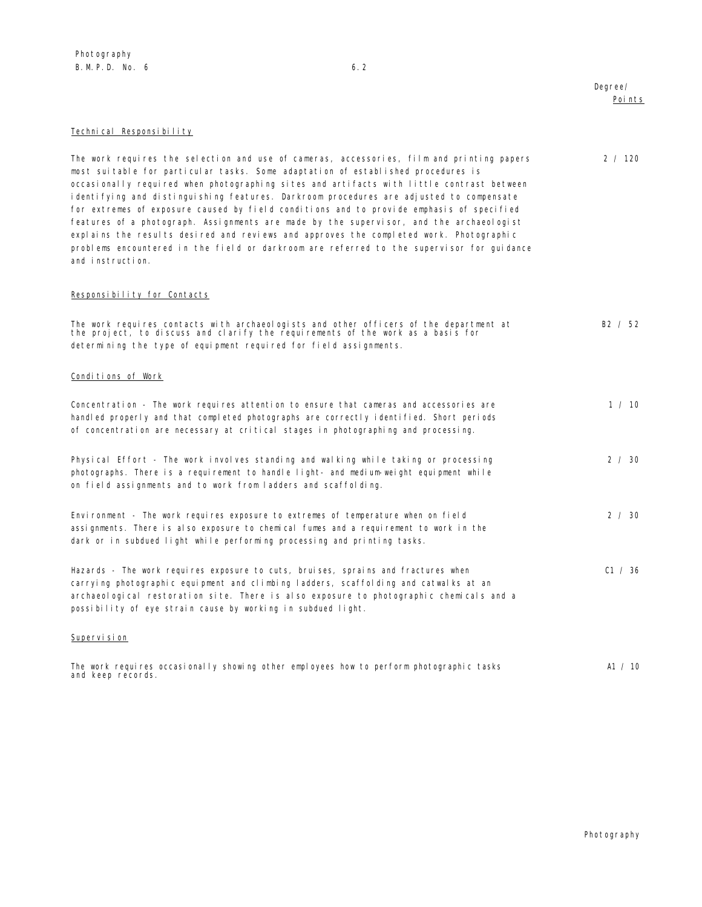## Degree/ Points

2 / 120

## Technical Responsibility

The work requires the selection and use of cameras, accessories, film and printing papers most suitable for particular tasks. Some adaptation of established procedures is occasionally required when photographing sites and artifacts with little contrast between identifying and distinguishing features. Darkroom procedures are adjusted to compensate for extremes of exposure caused by field conditions and to provide emphasis of specified features of a photograph. Assignments are made by the supervisor, and the archaeologist explains the results desired and reviews and approves the completed work. Photographic problems encountered in the field or darkroom are referred to the supervisor for guidance and instruction.

### Responsibility for Contacts

| The work requires contacts with archaeologists and other officers of the department at<br>the project, to discuss and clarify the requirements of the work as a basis for                                                                                                                                                            | B2 / 52       |
|--------------------------------------------------------------------------------------------------------------------------------------------------------------------------------------------------------------------------------------------------------------------------------------------------------------------------------------|---------------|
| determining the type of equipment required for field assignments.                                                                                                                                                                                                                                                                    |               |
| Conditions of Work                                                                                                                                                                                                                                                                                                                   |               |
| Concentration - The work requires attention to ensure that cameras and accessories are<br>handled properly and that completed photographs are correctly identified. Short periods<br>of concentration are necessary at critical stages in photographing and processing.                                                              | 1 / 10        |
| Physical Effort - The work involves standing and walking while taking or processing<br>photographs. There is a requirement to handle light- and medium-weight equipment while<br>on field assignments and to work from ladders and scaffolding.                                                                                      | 2 / 30        |
| Environment - The work requires exposure to extremes of temperature when on field<br>assignments. There is also exposure to chemical fumes and a requirement to work in the<br>dark or in subdued light while performing processing and printing tasks.                                                                              | $2 \times 30$ |
| Hazards - The work requires exposure to cuts, bruises, sprains and fractures when<br>carrying photographic equipment and climbing ladders, scaffolding and catwalks at an<br>archaeological restoration site. There is also exposure to photographic chemicals and a<br>possibility of eye strain cause by working in subdued light. | C1 / 36       |
| Supervision                                                                                                                                                                                                                                                                                                                          |               |

The work requires occasionally showing other employees how to perform photographic tasks and keep records. A1 / 10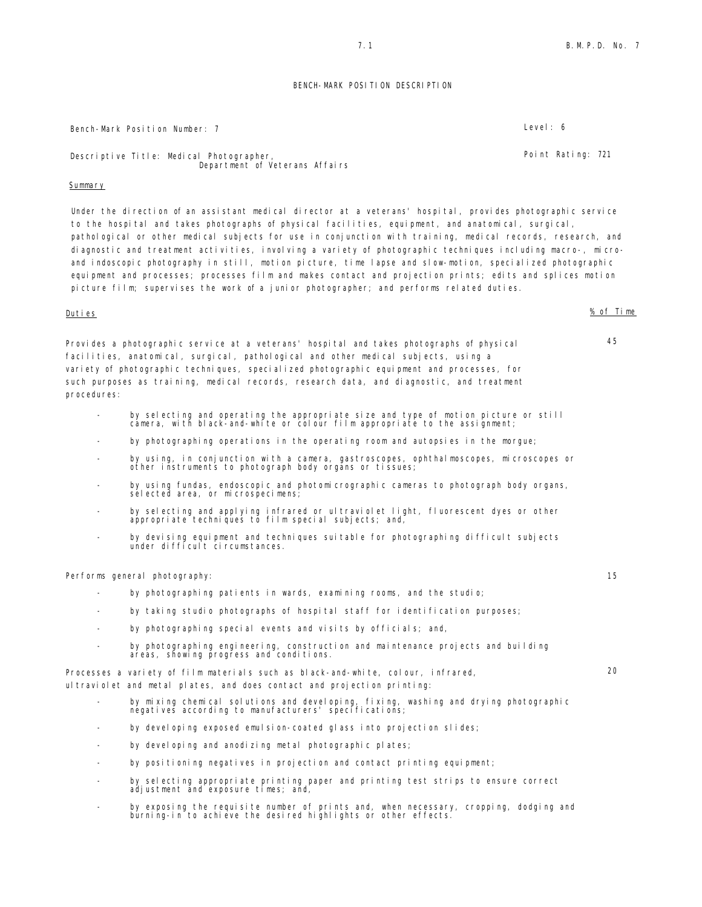### BENCH-MARK POSITION DESCRIPTION

Bench-Mark Position Number: 7 Level: 6

Descriptive Title: Medical Photographer, Department of Veterans Affairs

### Summary

Under the direction of an assistant medical director at a veterans' hospital, provides photographic service to the hospital and takes photographs of physical facilities, equipment, and anatomical, surgical, pathological or other medical subjects for use in conjunction with training, medical records, research, and diagnostic and treatment activities, involving a variety of photographic techniques including macro-, microand indoscopic photography in still, motion picture, time lapse and slow-motion, specialized photographic equipment and processes; processes film and makes contact and projection prints; edits and splices motion picture film; supervises the work of a junior photographer; and performs related duties.

procedures:

Duties % of Time

Provides a photographic service at a veterans' hospital and takes photographs of physical facilities, anatomical, surgical, pathological and other medical subjects, using a variety of photographic techniques, specialized photographic equipment and processes, for such purposes as training, medical records, research data, and diagnostic, and treatment

- by selecting and operating the appropriate size and type of motion picture or still camera, with black-and-white or colour film appropriate to the assignment;
- by photographing operations in the operating room and autopsies in the morgue;
- by using, in conjunction with a camera, gastroscopes, ophthalmoscopes, microscopes or other instruments to photograph body organs or tissues;
- by using fundas, endoscopic and photomicrographic cameras to photograph body organs, selected area, or microspecimens;
- by selecting and applying infrared or ultraviolet light, fluorescent dyes or other appropriate techniques to film special subjects; and,
- by devising equipment and techniques suitable for photographing difficult subjects under difficult circumstances.

Performs general photography: 15

- by photographing patients in wards, examining rooms, and the studio;
- by taking studio photographs of hospital staff for identification purposes;
- by photographing special events and visits by officials; and,
- by photographing engineering, construction and maintenance projects and building areas, showing progress and conditions.

Processes a variety of film materials such as black-and-white, colour, infrared, ultraviolet and metal plates, and does contact and projection printing:

- by mixing chemical solutions and developing, fixing, washing and drying photographic negatives according to manufacturers' specifications;
- by developing exposed emulsion-coated glass into projection slides;
- by developing and anodizing metal photographic plates;
- by positioning negatives in projection and contact printing equipment;
- by selecting appropriate printing paper and printing test strips to ensure correct adjustment and exposure times; and,
- by exposing the requisite number of prints and, when necessary, cropping, dodging and burning-in to achieve the desired highlights or other effects.

Point Rating: 721

45

 $20$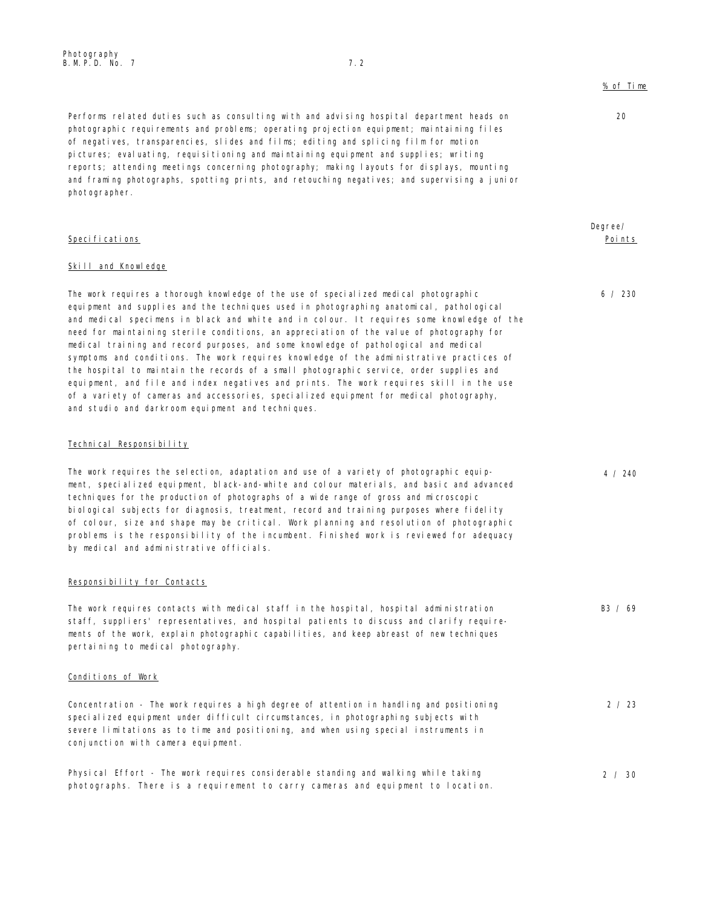$20$ 

Degree/ Points

6 / 230

4 / 240

pictures; evaluating, requisitioning and maintaining equipment and supplies; writing reports; attending meetings concerning photography; making layouts for displays, mounting and framing photographs, spotting prints, and retouching negatives; and supervising a junior photographer.

Performs related duties such as consulting with and advising hospital department heads on photographic requirements and problems; operating projection equipment; maintaining files of negatives, transparencies, slides and films; editing and splicing film for motion

## Specifications

### Skill and Knowledge

The work requires a thorough knowledge of the use of specialized medical photographic equipment and supplies and the techniques used in photographing anatomical, pathological and medical specimens in black and white and in colour. It requires some knowledge of the need for maintaining sterile conditions, an appreciation of the value of photography for medical training and record purposes, and some knowledge of pathological and medical symptoms and conditions. The work requires knowledge of the administrative practices of the hospital to maintain the records of a small photographic service, order supplies and equipment, and file and index negatives and prints. The work requires skill in the use of a variety of cameras and accessories, specialized equipment for medical photography, and studio and darkroom equipment and techniques.

### Technical Responsibility

The work requires the selection, adaptation and use of a variety of photographic equipment, specialized equipment, black-and-white and colour materials, and basic and advanced techniques for the production of photographs of a wide range of gross and microscopic biological subjects for diagnosis, treatment, record and training purposes where fidelity of colour, size and shape may be critical. Work planning and resolution of photographic problems is the responsibility of the incumbent. Finished work is reviewed for adequacy by medical and administrative officials.

### Responsibility for Contacts

| The work requires contacts with medical staff in the hospital, hospital administration   | B3 / 69 |
|------------------------------------------------------------------------------------------|---------|
| staff, suppliers' representatives, and hospital patients to discuss and clarify require- |         |
| ments of the work, explain photographic capabilities, and keep abreast of new techniques |         |
| pertaining to medical photography.                                                       |         |
|                                                                                          |         |

### Conditions of Work

| Concentration - The work requires a high degree of attention in handling and positioning | 2 / 23 |
|------------------------------------------------------------------------------------------|--------|
| specialized equipment under difficult circumstances, in photographing subjects with      |        |
| severe limitations as to time and positioning, and when using special instruments in     |        |
| conjunction with camera equipment.                                                       |        |

Physical Effort - The work requires considerable standing and walking while taking photographs. There is a requirement to carry cameras and equipment to location. 2 / 30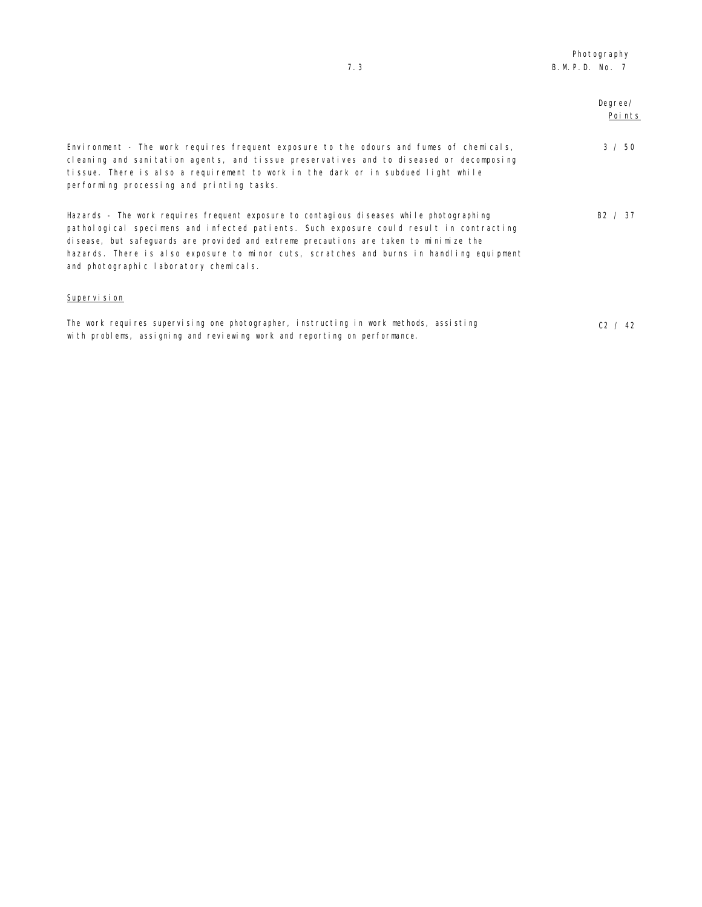| 7.3                                                                                                                                                                                                                                                                                                                                                                                                                 | B. M. P. D. No. 7 |                   |
|---------------------------------------------------------------------------------------------------------------------------------------------------------------------------------------------------------------------------------------------------------------------------------------------------------------------------------------------------------------------------------------------------------------------|-------------------|-------------------|
|                                                                                                                                                                                                                                                                                                                                                                                                                     |                   | Degree/<br>Points |
| Environment - The work requires frequent exposure to the odours and fumes of chemicals,<br>cleaning and sanitation agents, and tissue preservatives and to diseased or decomposing<br>tissue. There is also a requirement to work in the dark or in subdued light while<br>performing processing and printing tasks.                                                                                                |                   | 3 / 50            |
| Hazards - The work requires frequent exposure to contagious diseases while photographing<br>pathological specimens and infected patients. Such exposure could result in contracting<br>disease, but safeguards are provided and extreme precautions are taken to minimize the<br>hazards. There is also exposure to minor cuts, scratches and burns in handling equipment<br>and photographic laboratory chemicals. |                   | B2 / 37           |
| Supervision                                                                                                                                                                                                                                                                                                                                                                                                         |                   |                   |
| The work requires supervising one photographer, instructing in work methods, assisting<br>with problems, assigning and reviewing work and reporting on performance.                                                                                                                                                                                                                                                 |                   | C2 / 42           |

Photography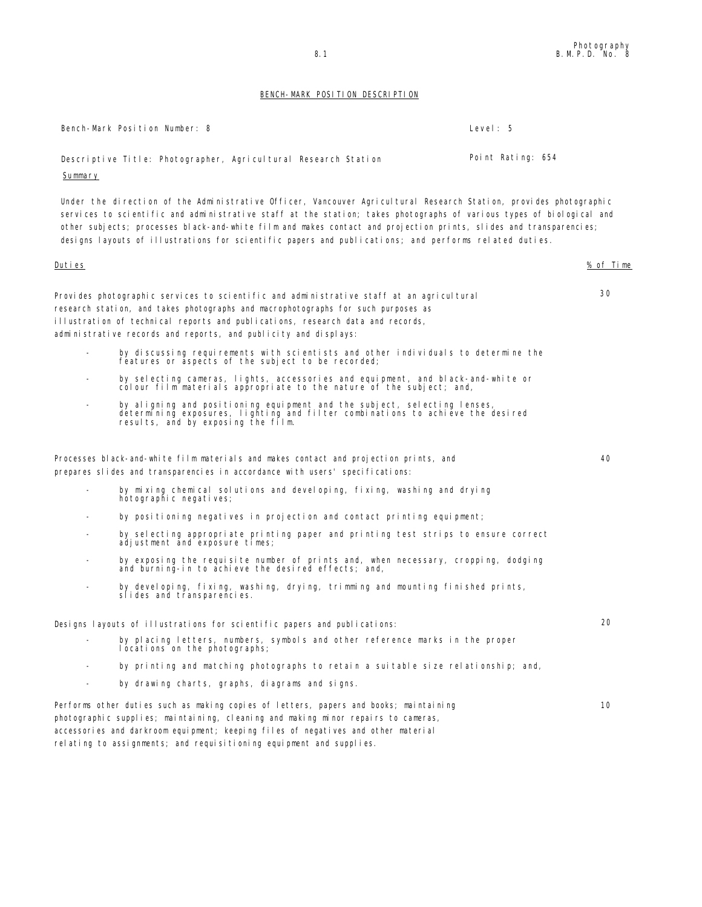## BENCH-MARK POSITION DESCRIPTION

|         | Bench-Mark Position Number: 8                                                                                                                                                                                                                                                                                                                                                                                                                                            | Level: 5          |
|---------|--------------------------------------------------------------------------------------------------------------------------------------------------------------------------------------------------------------------------------------------------------------------------------------------------------------------------------------------------------------------------------------------------------------------------------------------------------------------------|-------------------|
| Summary | Descriptive Title: Photographer, Agricultural Research Station                                                                                                                                                                                                                                                                                                                                                                                                           | Point Rating: 654 |
|         | Under the direction of the Administrative Officer, Vancouver Agricultural Research Station, provides photographic<br>services to scientific and administrative staff at the station; takes photographs of various types of biological and<br>other subjects; processes black-and-white film and makes contact and projection prints, slides and transparencies;<br>designs layouts of illustrations for scientific papers and publications; and performs related duties. |                   |
| Duties  |                                                                                                                                                                                                                                                                                                                                                                                                                                                                          | % of Time         |
|         | Provides photographic services to scientific and administrative staff at an agricultural<br>research station, and takes photographs and macrophotographs for such purposes as<br>illustration of technical reports and publications, research data and records,<br>administrative records and reports, and publicity and displays:                                                                                                                                       | 30                |
|         | by discussing requirements with scientists and other individuals to determine the<br>features or aspects of the subject to be recorded;                                                                                                                                                                                                                                                                                                                                  |                   |
|         | by selecting cameras, lights, accessories and equipment, and black-and-white or<br>colour film materials appropriate to the nature of the subject; and,                                                                                                                                                                                                                                                                                                                  |                   |
|         | by aligning and positioning equipment and the subject, selecting lenses,<br>determining exposures, lighting and filter combinations to achieve the desired<br>results, and by exposing the film.                                                                                                                                                                                                                                                                         |                   |
|         | Processes black-and-white film materials and makes contact and projection prints, and<br>prepares slides and transparencies in accordance with users' specifications:                                                                                                                                                                                                                                                                                                    | 40                |
|         | by mixing chemical solutions and developing, fixing, washing and drying<br>hotographic negatives;                                                                                                                                                                                                                                                                                                                                                                        |                   |
|         | by positioning negatives in projection and contact printing equipment;                                                                                                                                                                                                                                                                                                                                                                                                   |                   |
|         | by selecting appropriate printing paper and printing test strips to ensure correct<br>adjustment and exposure times;                                                                                                                                                                                                                                                                                                                                                     |                   |
|         | by exposing the requisite number of prints and, when necessary, cropping, dodging<br>and burning-in to achieve the desired effects; and,                                                                                                                                                                                                                                                                                                                                 |                   |
|         | by developing, fixing, washing, drying, trimming and mounting finished prints,<br>slides and transparencies.                                                                                                                                                                                                                                                                                                                                                             |                   |
|         | Designs layouts of illustrations for scientific papers and publications:                                                                                                                                                                                                                                                                                                                                                                                                 | 20                |
|         | by placing letters, numbers, symbols and other reference marks in the proper<br>locations on the photographs;                                                                                                                                                                                                                                                                                                                                                            |                   |
|         | by printing and matching photographs to retain a suitable size relationship; and,                                                                                                                                                                                                                                                                                                                                                                                        |                   |
|         | by drawing charts, graphs, diagrams and signs.                                                                                                                                                                                                                                                                                                                                                                                                                           |                   |

Performs other duties such as making copies of letters, papers and books; maintaining photographic supplies; maintaining, cleaning and making minor repairs to cameras, accessories and darkroom equipment; keeping files of negatives and other material relating to assignments; and requisitioning equipment and supplies. 10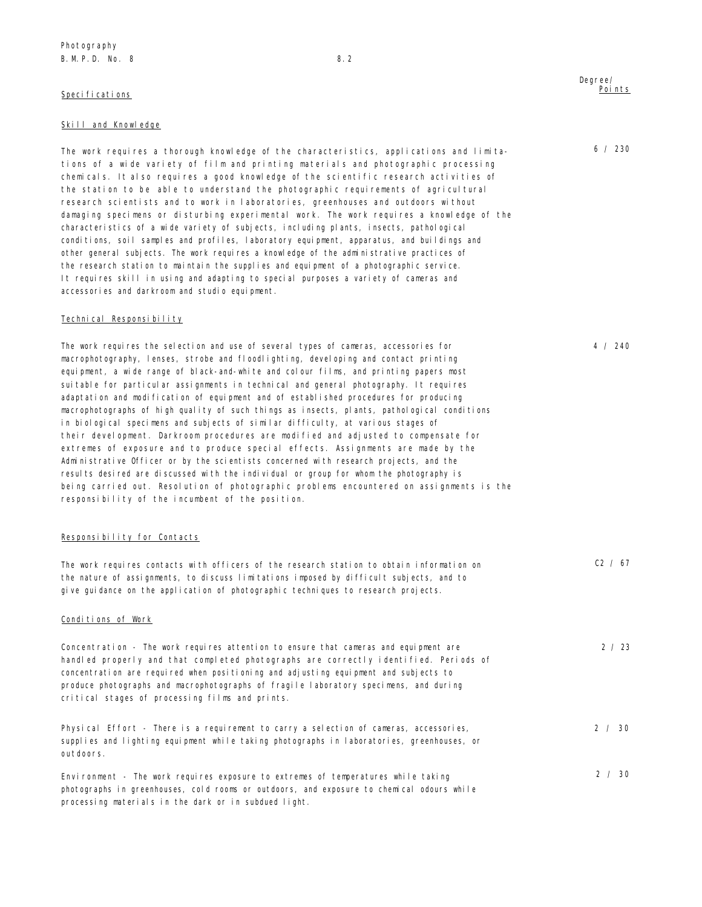## Specifications

### Skill and Knowledge

The work requires a thorough knowledge of the characteristics, applications and limitations of a wide variety of film and printing materials and photographic processing chemicals. It also requires a good knowledge of the scientific research activities of the station to be able to understand the photographic requirements of agricultural research scientists and to work in laboratories, greenhouses and outdoors without damaging specimens or disturbing experimental work. The work requires a knowledge of the characteristics of a wide variety of subjects, including plants, insects, pathological conditions, soil samples and profiles, laboratory equipment, apparatus, and buildings and other general subjects. The work requires a knowledge of the administrative practices of the research station to maintain the supplies and equipment of a photographic service. It requires skill in using and adapting to special purposes a variety of cameras and accessories and darkroom and studio equipment.

### Technical Responsibility

The work requires the selection and use of several types of cameras, accessories for macrophotography, lenses, strobe and floodlighting, developing and contact printing equipment, a wide range of black-and-white and colour films, and printing papers most suitable for particular assignments in technical and general photography. It requires adaptation and modification of equipment and of established procedures for producing macrophotographs of high quality of such things as insects, plants, pathological conditions in biological specimens and subjects of similar difficulty, at various stages of their development. Darkroom procedures are modified and adjusted to compensate for extremes of exposure and to produce special effects. Assignments are made by the Administrative Officer or by the scientists concerned with research projects, and the results desired are discussed with the individual or group for whom the photography is being carried out. Resolution of photographic problems encountered on assignments is the responsibility of the incumbent of the position.

### Responsibility for Contacts

| The work requires contacts with officers of the research station to obtain information on                                                                                                                                                                                                                                                                                                                      | C2 / 67 |
|----------------------------------------------------------------------------------------------------------------------------------------------------------------------------------------------------------------------------------------------------------------------------------------------------------------------------------------------------------------------------------------------------------------|---------|
| the nature of assignments, to discuss limitations imposed by difficult subjects, and to                                                                                                                                                                                                                                                                                                                        |         |
| give guidance on the application of photographic techniques to research projects.                                                                                                                                                                                                                                                                                                                              |         |
| Conditions of Work                                                                                                                                                                                                                                                                                                                                                                                             |         |
| Concentration - The work requires attention to ensure that cameras and equipment are<br>handled properly and that completed photographs are correctly identified. Periods of<br>concentration are required when positioning and adjusting equipment and subjects to<br>produce photographs and macrophotographs of fragile laboratory specimens, and during<br>critical stages of processing films and prints. | 2 / 23  |
| Physical Effort - There is a requirement to carry a selection of cameras, accessories,<br>supplies and lighting equipment while taking photographs in laboratories, greenhouses, or<br>outdoors.                                                                                                                                                                                                               | 2 / 30  |
| Environment - The work requires exposure to extremes of temperatures while taking<br>photographs in greenhouses, cold rooms or outdoors, and exposure to chemical odours while<br>processing materials in the dark or in subdued light.                                                                                                                                                                        | 2 / 30  |

### Degree/ Points

6 / 230

4 / 240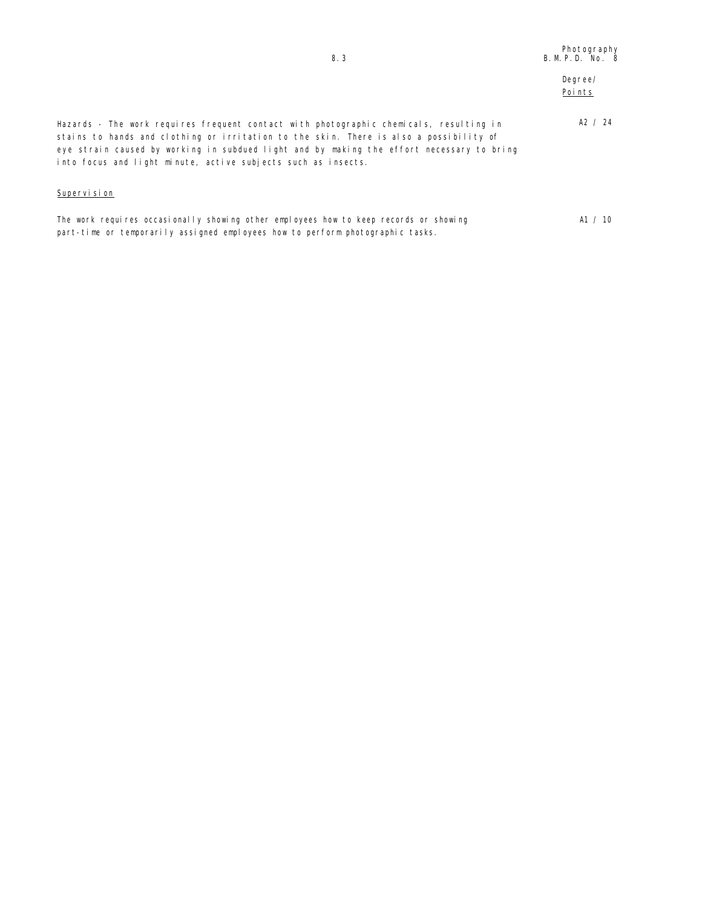## Degree/ Points

Hazards - The work requires frequent contact with photographic chemicals, resulting in stains to hands and clothing or irritation to the skin. There is also a possibility of eye strain caused by working in subdued light and by making the effort necessary to bring into focus and light minute, active subjects such as insects. A2 / 24

## Supervision

| The work requires occasionally showing other employees how to keep records or showing | A1 / 10 |
|---------------------------------------------------------------------------------------|---------|
| part-time or temporarily assigned employees how to perform photographic tasks.        |         |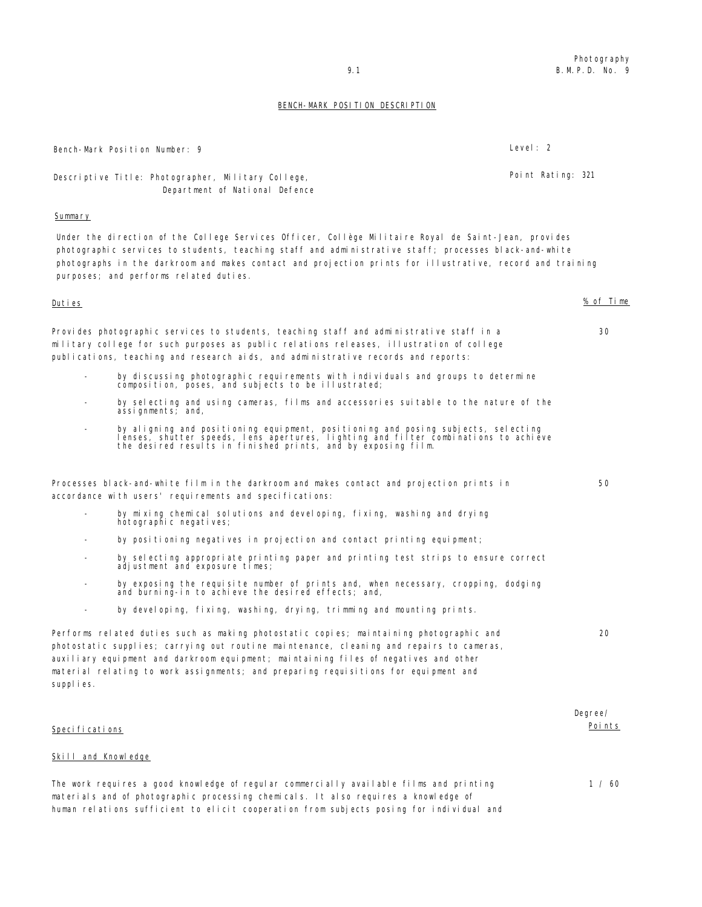### BENCH-MARK POSITION DESCRIPTION

|                     | Bench-Mark Position Number: 9                                                                                                                                                                                                                                                                                                                                        | Level: 2 |                   |                          |
|---------------------|----------------------------------------------------------------------------------------------------------------------------------------------------------------------------------------------------------------------------------------------------------------------------------------------------------------------------------------------------------------------|----------|-------------------|--------------------------|
|                     | Descriptive Title: Photographer, Military College,<br>Department of National Defence                                                                                                                                                                                                                                                                                 |          | Point Rating: 321 |                          |
| Summary             |                                                                                                                                                                                                                                                                                                                                                                      |          |                   |                          |
|                     | Under the direction of the College Services Officer, Collège Militaire Royal de Saint-Jean, provides<br>photographic services to students, teaching staff and administrative staff; processes black-and-white<br>photographs in the darkroom and makes contact and projection prints for illustrative, record and training<br>purposes; and performs related duties. |          |                   |                          |
| <u>Duties</u>       |                                                                                                                                                                                                                                                                                                                                                                      |          |                   | % of Time                |
|                     | Provides photographic services to students, teaching staff and administrative staff in a<br>military college for such purposes as public relations releases, illustration of college<br>publications, teaching and research aids, and administrative records and reports:                                                                                            |          |                   | 30                       |
|                     | by discussing photographic requirements with individuals and groups to determine<br>composition, poses, and subjects to be illustrated;                                                                                                                                                                                                                              |          |                   |                          |
|                     | by selecting and using cameras, films and accessories suitable to the nature of the<br>assignments; and,                                                                                                                                                                                                                                                             |          |                   |                          |
|                     | by aligning and positioning equipment, positioning and posing subjects, selecting<br>lenses, shutter speeds, lens apertures, lighting and filter combinations to achieve<br>the desired results in finished prints, and by exposing film.                                                                                                                            |          |                   |                          |
|                     | Processes black-and-white film in the darkroom and makes contact and projection prints in<br>accordance with users' requirements and specifications:                                                                                                                                                                                                                 |          |                   | 50                       |
|                     | by mixing chemical solutions and developing, fixing, washing and drying<br>hotographic negatives;                                                                                                                                                                                                                                                                    |          |                   |                          |
| $\qquad \qquad$     | by positioning negatives in projection and contact printing equipment;                                                                                                                                                                                                                                                                                               |          |                   |                          |
|                     | by selecting appropriate printing paper and printing test strips to ensure correct<br>adjustment and exposure times;                                                                                                                                                                                                                                                 |          |                   |                          |
|                     | by exposing the requisite number of prints and, when necessary, cropping, dodging<br>and burning-in to achieve the desired effects; and,                                                                                                                                                                                                                             |          |                   |                          |
|                     | by developing, fixing, washing, drying, trimming and mounting prints.                                                                                                                                                                                                                                                                                                |          |                   |                          |
| supplies.           | Performs related duties such as making photostatic copies; maintaining photographic and<br>photostatic supplies; carrying out routine maintenance, cleaning and repairs to cameras,<br>auxiliary equipment and darkroom equipment; maintaining files of negatives and other<br>material relating to work assignments; and preparing requisitions for equipment and   |          |                   | 20                       |
| Specifications      |                                                                                                                                                                                                                                                                                                                                                                      |          |                   | Degree/<br><u>Points</u> |
| Skill and Knowledge |                                                                                                                                                                                                                                                                                                                                                                      |          |                   |                          |
|                     | The work requires a good knowledge of regular commercially available films and printing                                                                                                                                                                                                                                                                              |          |                   | 1 / 60                   |

materials and of photographic processing chemicals. It also requires a knowledge of human relations sufficient to elicit cooperation from subjects posing for individual and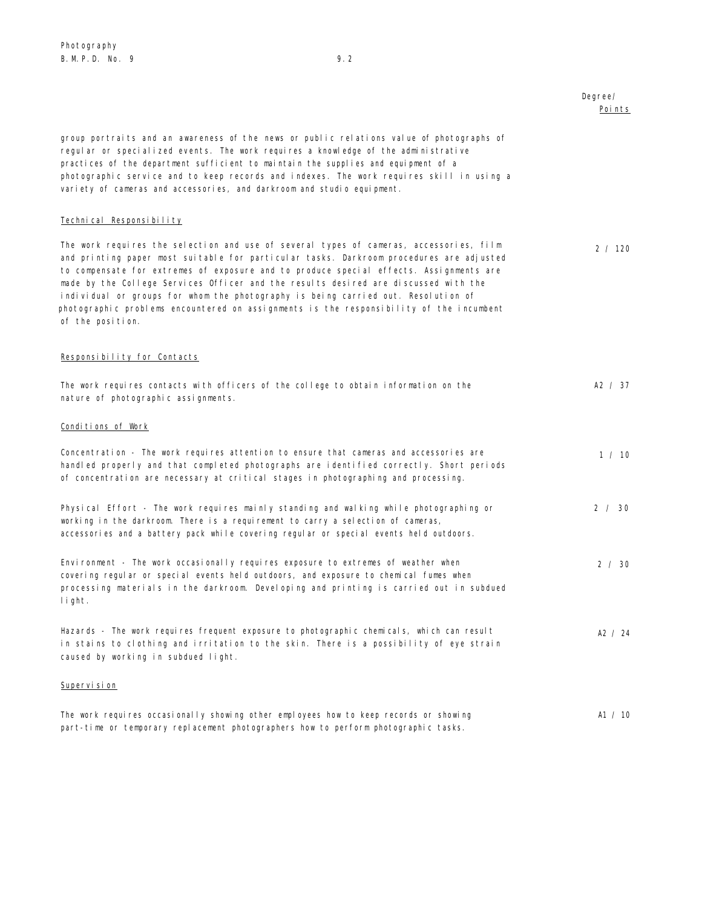Degree/

## Points group portraits and an awareness of the news or public relations value of photographs of regular or specialized events. The work requires a knowledge of the administrative practices of the department sufficient to maintain the supplies and equipment of a photographic service and to keep records and indexes. The work requires skill in using a variety of cameras and accessories, and darkroom and studio equipment. Technical Responsibility The work requires the selection and use of several types of cameras, accessories, film and printing paper most suitable for particular tasks. Darkroom procedures are adjusted to compensate for extremes of exposure and to produce special effects. Assignments are made by the College Services Officer and the results desired are discussed with the individual or groups for whom the photography is being carried out. Resolution of photographic problems encountered on assignments is the responsibility of the incumbent of the position. 2 / 120 Responsibility for Contacts The work requires contacts with officers of the college to obtain information on the nature of photographic assignments. A2 / 37 Conditions of Work Concentration - The work requires attention to ensure that cameras and accessories are handled properly and that completed photographs are identified correctly. Short periods of concentration are necessary at critical stages in photographing and processing. 1 / 10 Physical Effort - The work requires mainly standing and walking while photographing or working in the darkroom. There is a requirement to carry a selection of cameras, accessories and a battery pack while covering regular or special events held outdoors. 2 / 30 Environment - The work occasionally requires exposure to extremes of weather when covering regular or special events held outdoors, and exposure to chemical fumes when processing materials in the darkroom. Developing and printing is carried out in subdued light. 2 / 30 Hazards - The work requires frequent exposure to photographic chemicals, which can result in stains to clothing and irritation to the skin. There is a possibility of eye strain caused by working in subdued light. A2 / 24 Supervision

The work requires occasionally showing other employees how to keep records or showing part-time or temporary replacement photographers how to perform photographic tasks. A1 / 10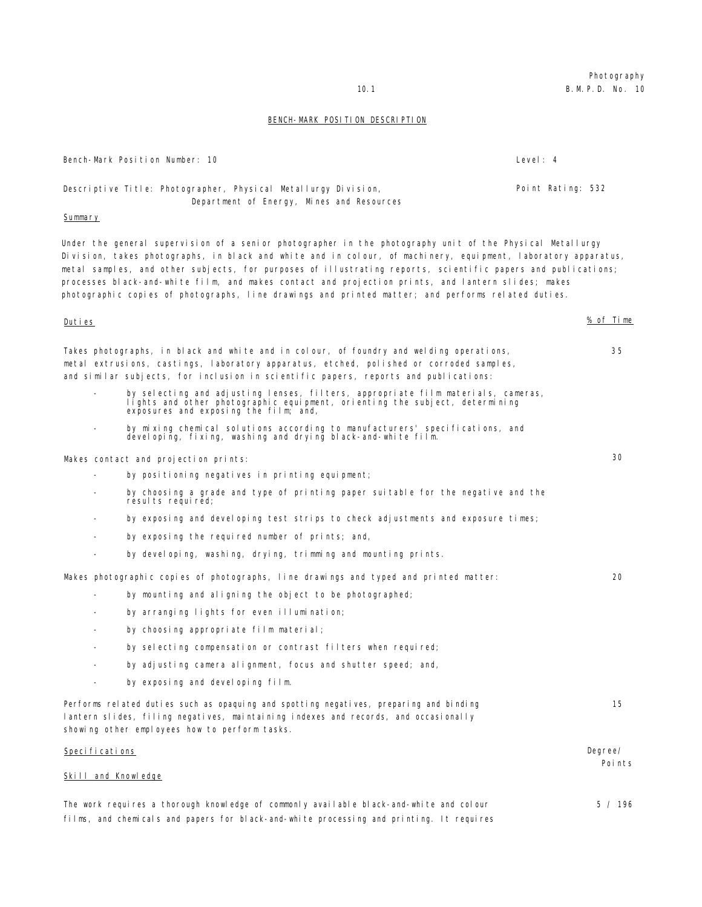## BENCH-MARK POSITION DESCRIPTION

|                     | Bench-Mark Position Number: 10                                                                                                                                                                                                                                                                                                                                                                                                                                                                                                                         | Level: $4$        |                    |
|---------------------|--------------------------------------------------------------------------------------------------------------------------------------------------------------------------------------------------------------------------------------------------------------------------------------------------------------------------------------------------------------------------------------------------------------------------------------------------------------------------------------------------------------------------------------------------------|-------------------|--------------------|
|                     | Descriptive Title: Photographer, Physical Metallurgy Division,<br>Department of Energy, Mines and Resources                                                                                                                                                                                                                                                                                                                                                                                                                                            | Point Rating: 532 |                    |
| Summary             |                                                                                                                                                                                                                                                                                                                                                                                                                                                                                                                                                        |                   |                    |
|                     | Under the general supervision of a senior photographer in the photography unit of the Physical Metallurgy<br>Division, takes photographs, in black and white and in colour, of machinery, equipment, laboratory apparatus,<br>metal samples, and other subjects, for purposes of illustrating reports, scientific papers and publications;<br>processes black-and-white film, and makes contact and projection prints, and lantern slides; makes<br>photographic copies of photographs, line drawings and printed matter; and performs related duties. |                   |                    |
| Duties              |                                                                                                                                                                                                                                                                                                                                                                                                                                                                                                                                                        |                   | % of Time          |
|                     | Takes photographs, in black and white and in colour, of foundry and welding operations,<br>metal extrusions, castings, laboratory apparatus, etched, polished or corroded samples,<br>and similar subjects, for inclusion in scientific papers, reports and publications:<br>by selecting and adjusting lenses, filters, appropriate film materials, cameras,                                                                                                                                                                                          |                   | 35                 |
|                     | lights and other photographic equipment, orienting the subject, determining<br>exposures and exposing the film; and,<br>by mixing chemical solutions according to manufacturers' specifications, and<br>developing, fixing, washing and drying black-and-white film.                                                                                                                                                                                                                                                                                   |                   |                    |
|                     | Makes contact and projection prints:                                                                                                                                                                                                                                                                                                                                                                                                                                                                                                                   |                   | 30                 |
|                     | by positioning negatives in printing equipment;                                                                                                                                                                                                                                                                                                                                                                                                                                                                                                        |                   |                    |
|                     | by choosing a grade and type of printing paper suitable for the negative and the<br>resul ts required;                                                                                                                                                                                                                                                                                                                                                                                                                                                 |                   |                    |
|                     | by exposing and developing test strips to check adjustments and exposure times;                                                                                                                                                                                                                                                                                                                                                                                                                                                                        |                   |                    |
|                     | by exposing the required number of prints; and,                                                                                                                                                                                                                                                                                                                                                                                                                                                                                                        |                   |                    |
|                     | by developing, washing, drying, trimming and mounting prints.                                                                                                                                                                                                                                                                                                                                                                                                                                                                                          |                   |                    |
|                     | Makes photographic copies of photographs, line drawings and typed and printed matter:                                                                                                                                                                                                                                                                                                                                                                                                                                                                  |                   | 20                 |
|                     | by mounting and aligning the object to be photographed;                                                                                                                                                                                                                                                                                                                                                                                                                                                                                                |                   |                    |
|                     | by arranging lights for even illumination;                                                                                                                                                                                                                                                                                                                                                                                                                                                                                                             |                   |                    |
|                     | by choosing appropriate film material;                                                                                                                                                                                                                                                                                                                                                                                                                                                                                                                 |                   |                    |
|                     | by selecting compensation or contrast filters when required;                                                                                                                                                                                                                                                                                                                                                                                                                                                                                           |                   |                    |
|                     | by adjusting camera alignment, focus and shutter speed; and,                                                                                                                                                                                                                                                                                                                                                                                                                                                                                           |                   |                    |
|                     | by exposing and devel oping film.                                                                                                                                                                                                                                                                                                                                                                                                                                                                                                                      |                   |                    |
|                     | Performs related duties such as opaquing and spotting negatives, preparing and binding<br>lantern slides, filing negatives, maintaining indexes and records, and occasionally<br>showing other employees how to perform tasks.                                                                                                                                                                                                                                                                                                                         |                   | 15                 |
| Specifications      |                                                                                                                                                                                                                                                                                                                                                                                                                                                                                                                                                        |                   | Degree/<br>Poi nts |
| Skill and Knowledge |                                                                                                                                                                                                                                                                                                                                                                                                                                                                                                                                                        |                   |                    |
|                     | The work requires a thorough knowledge of commonly available black-and-white and colour                                                                                                                                                                                                                                                                                                                                                                                                                                                                |                   | 5 / 196            |
|                     | films, and chemicals and papers for black-and-white processing and printing. It requires                                                                                                                                                                                                                                                                                                                                                                                                                                                               |                   |                    |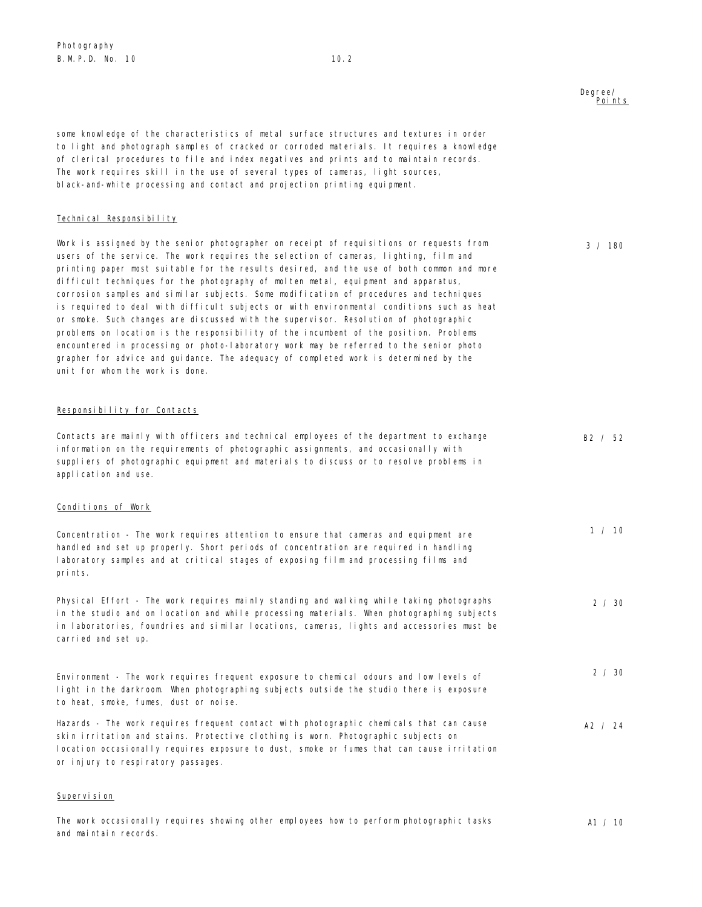### Degree/ Points

3 / 180

some knowledge of the characteristics of metal surface structures and textures in order to light and photograph samples of cracked or corroded materials. It requires a knowledge of clerical procedures to file and index negatives and prints and to maintain records. The work requires skill in the use of several types of cameras, light sources, black-and-white processing and contact and projection printing equipment.

### Technical Responsibility

Work is assigned by the senior photographer on receipt of requisitions or requests from users of the service. The work requires the selection of cameras, lighting, film and printing paper most suitable for the results desired, and the use of both common and more difficult techniques for the photography of molten metal, equipment and apparatus, corrosion samples and similar subjects. Some modification of procedures and techniques is required to deal with difficult subjects or with environmental conditions such as heat or smoke. Such changes are discussed with the supervisor. Resolution of photographic problems on location is the responsibility of the incumbent of the position. Problems encountered in processing or photo-laboratory work may be referred to the senior photo grapher for advice and guidance. The adequacy of completed work is determined by the unit for whom the work is done.

## Responsibility for Contacts

| Contacts are mainly with officers and technical employees of the department to exchange<br>information on the requirements of photographic assignments, and occasionally with<br>suppliers of photographic equipment and materials to discuss or to resolve problems in<br>application and use.                 | B2 / 52       |
|-----------------------------------------------------------------------------------------------------------------------------------------------------------------------------------------------------------------------------------------------------------------------------------------------------------------|---------------|
| Conditions of Work                                                                                                                                                                                                                                                                                              |               |
| Concentration - The work requires attention to ensure that cameras and equipment are<br>handled and set up properly. Short periods of concentration are required in handling<br>laboratory samples and at critical stages of exposing film and processing films and<br>prints.                                  | 1 / 10        |
| Physical Effort - The work requires mainly standing and walking while taking photographs<br>in the studio and on location and while processing materials. When photographing subjects<br>in laboratories, foundries and similar locations, cameras, lights and accessories must be<br>carried and set up.       | $2 \times 30$ |
| Environment - The work requires frequent exposure to chemical odours and low levels of<br>light in the darkroom. When photographing subjects outside the studio there is exposure<br>to heat, smoke, fumes, dust or noise.                                                                                      | 2 / 30        |
| Hazards - The work requires frequent contact with photographic chemicals that can cause<br>skin irritation and stains. Protective clothing is worn. Photographic subjects on<br>location occasionally requires exposure to dust, smoke or fumes that can cause irritation<br>or injury to respiratory passages. | A2 / 24       |
| Supervision                                                                                                                                                                                                                                                                                                     |               |

The work occasionally requires showing other employees how to perform photographic tasks and maintain records. A1 / 10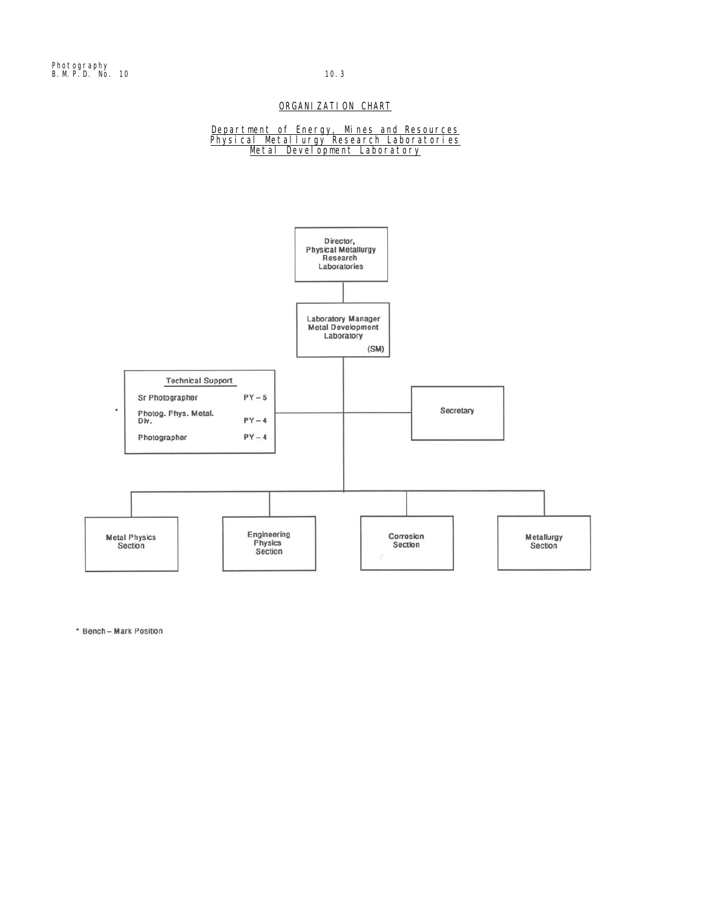## ORGANIZATION CHART

### Department of Energy, Mines and Resources Physical Metallurgy Research Laboratories Metal Development Laboratory



\* Bench - Mark Position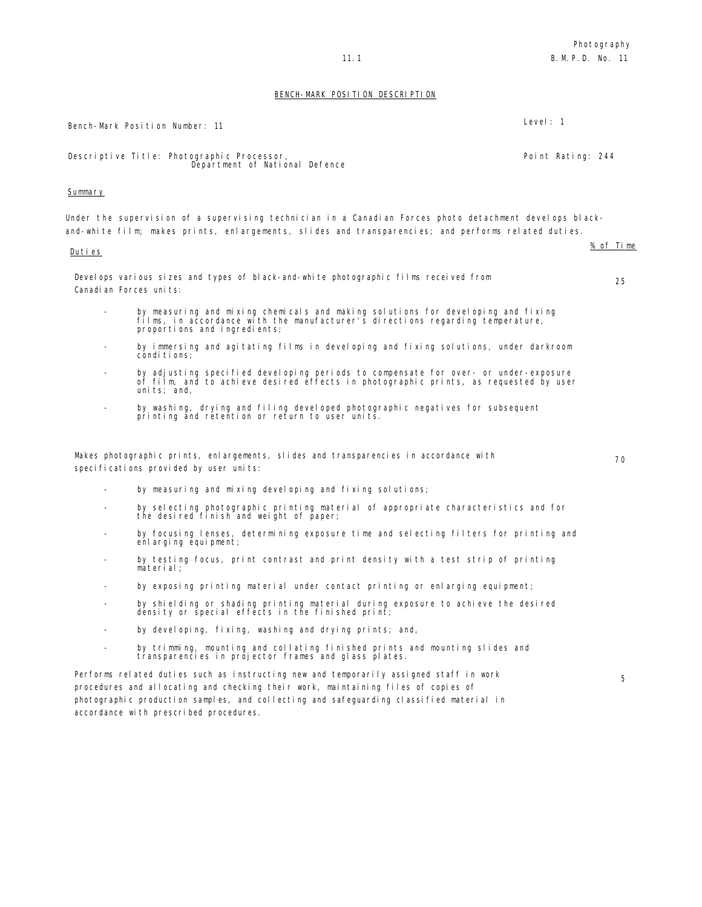Photography 11.1 B.M.P.D. No. 11

## BENCH-MARK POSITION DESCRIPTION

|         | Bench-Mark Position Number: 11                                                                                                                                                                                 | Level: $1$        |
|---------|----------------------------------------------------------------------------------------------------------------------------------------------------------------------------------------------------------------|-------------------|
|         | Descriptive Title: Photographic Processor,<br>Department of National Defence                                                                                                                                   | Point Rating: 244 |
| Summary |                                                                                                                                                                                                                |                   |
|         | Under the supervision of a supervising technician in a Canadian Forces photo detachment develops black-<br>and-white film; makes prints, enlargements, slides and transparencies; and performs related duties. |                   |
| Duties  |                                                                                                                                                                                                                | % of Time         |
|         | Develops various sizes and types of black-and-white photographic films received from<br>Canadi an Forces units:                                                                                                | 25                |
|         | by measuring and mixing chemicals and making solutions for developing and fixing<br>films, in accordance with the manufacturer's directions regarding temperature,<br>proportions and ingredients;             |                   |
|         | by immersing and agitating films in developing and fixing solutions, under darkroom<br>conditions;                                                                                                             |                   |
|         | by adjusting specified developing periods to compensate for over- or under-exposure<br>of film, and to achieve desired effects in photographic prints, as requested by user<br>units; and,                     |                   |
|         | by washing, drying and filing developed photographic negatives for subsequent<br>printing and retention or return to user units.                                                                               |                   |
|         | Makes photographic prints, enlargements, slides and transparencies in accordance with<br>specifications provided by user units:                                                                                | 70                |
|         | by measuring and mixing developing and fixing solutions;                                                                                                                                                       |                   |
|         | by selecting photographic printing material of appropriate characteristics and for<br>the desired finish and weight of paper;                                                                                  |                   |
|         | by focusing lenses, determining exposure time and selecting filters for printing and<br>enlarging equipment;                                                                                                   |                   |
|         | by testing focus, print contrast and print density with a test strip of printing<br>material:                                                                                                                  |                   |
|         | by exposing printing material under contact printing or enlarging equipment;                                                                                                                                   |                   |
|         | by shielding or shading printing material during exposure to achieve the desired<br>density or special effects in the finished print;                                                                          |                   |
|         | by developing, fixing, washing and drying prints; and,                                                                                                                                                         |                   |
|         | by trimming, mounting and collating finished prints and mounting slides and<br>transparencies in projector frames and glass plates.                                                                            |                   |
|         | Performs related duties such as instructing new and temporarily assigned staff in work<br>procedures and allocating and checking their work, maintaining files of copies of                                    | 5                 |

photographic production samples, and collecting and safeguarding classified material in

accordance with prescribed procedures.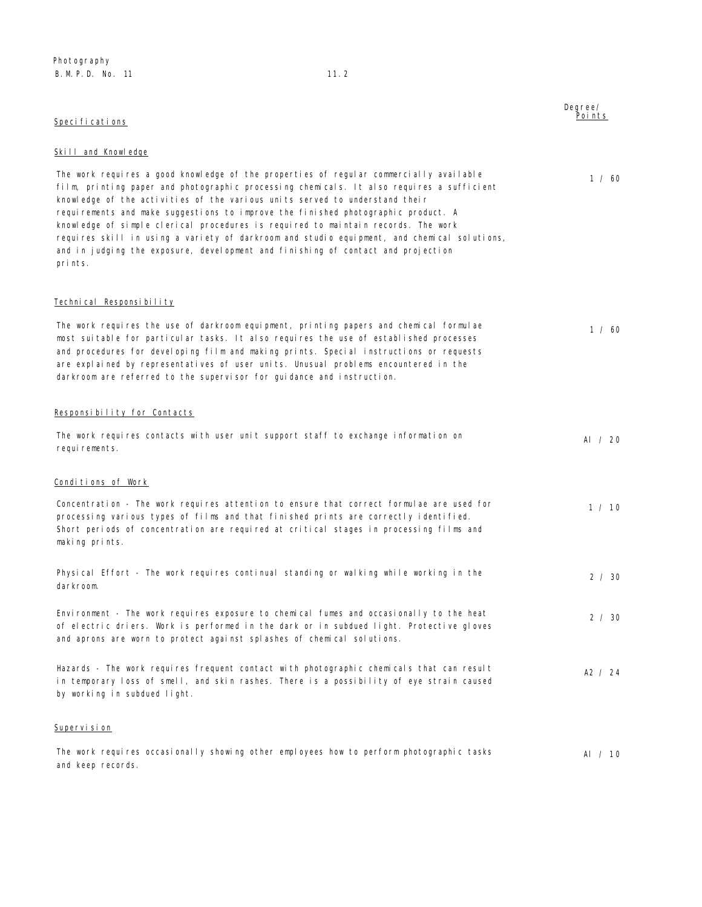| Speci fi cati ons                                                                                                                                                                                                                                                                                                                                                                                                                                                                                                                                                                                                                          | Degree/<br>Poi nts |
|--------------------------------------------------------------------------------------------------------------------------------------------------------------------------------------------------------------------------------------------------------------------------------------------------------------------------------------------------------------------------------------------------------------------------------------------------------------------------------------------------------------------------------------------------------------------------------------------------------------------------------------------|--------------------|
| Skill and Knowledge                                                                                                                                                                                                                                                                                                                                                                                                                                                                                                                                                                                                                        |                    |
| The work requires a good knowledge of the properties of regular commercially available<br>film, printing paper and photographic processing chemicals. It also requires a sufficient<br>knowledge of the activities of the various units served to understand their<br>requirements and make suggestions to improve the finished photographic product. A<br>knowledge of simple clerical procedures is required to maintain records. The work<br>requires skill in using a variety of darkroom and studio equipment, and chemical solutions,<br>and in judging the exposure, development and finishing of contact and projection<br>prints. | 1 / 60             |
| Technical Responsibility                                                                                                                                                                                                                                                                                                                                                                                                                                                                                                                                                                                                                   |                    |
| The work requires the use of darkroom equipment, printing papers and chemical formulae<br>most suitable for particular tasks. It also requires the use of established processes<br>and procedures for developing film and making prints. Special instructions or requests<br>are explained by representatives of user units. Unusual problems encountered in the<br>darkroom are referred to the supervisor for guidance and instruction.                                                                                                                                                                                                  | 1 / 60             |
| <u>Responsibility for Contacts</u>                                                                                                                                                                                                                                                                                                                                                                                                                                                                                                                                                                                                         |                    |
| The work requires contacts with user unit support staff to exchange information on<br>requirements.                                                                                                                                                                                                                                                                                                                                                                                                                                                                                                                                        | AI / 20            |
| <u>Conditions of Work</u>                                                                                                                                                                                                                                                                                                                                                                                                                                                                                                                                                                                                                  |                    |
| Concentration - The work requires attention to ensure that correct formulae are used for<br>processing various types of films and that finished prints are correctly identified.<br>Short periods of concentration are required at critical stages in processing films and<br>making prints.                                                                                                                                                                                                                                                                                                                                               | 1 / 10             |
| Physical Effort - The work requires continual standing or walking while working in the<br>darkroom.                                                                                                                                                                                                                                                                                                                                                                                                                                                                                                                                        | 2 / 30             |
| Environment - The work requires exposure to chemical fumes and occasionally to the heat<br>of electric driers. Work is performed in the dark or in subdued light. Protective gloves<br>and aprons are worn to protect against splashes of chemical solutions.                                                                                                                                                                                                                                                                                                                                                                              | 2 / 30             |
| Hazards - The work requires frequent contact with photographic chemicals that can result<br>in temporary loss of smell, and skin rashes. There is a possibility of eye strain caused<br>by working in subdued light.                                                                                                                                                                                                                                                                                                                                                                                                                       | A2 $/$ 24          |
| <u>Supervision</u>                                                                                                                                                                                                                                                                                                                                                                                                                                                                                                                                                                                                                         |                    |

The work requires occasionally showing other employees how to perform photographic tasks and keep records. Al / 10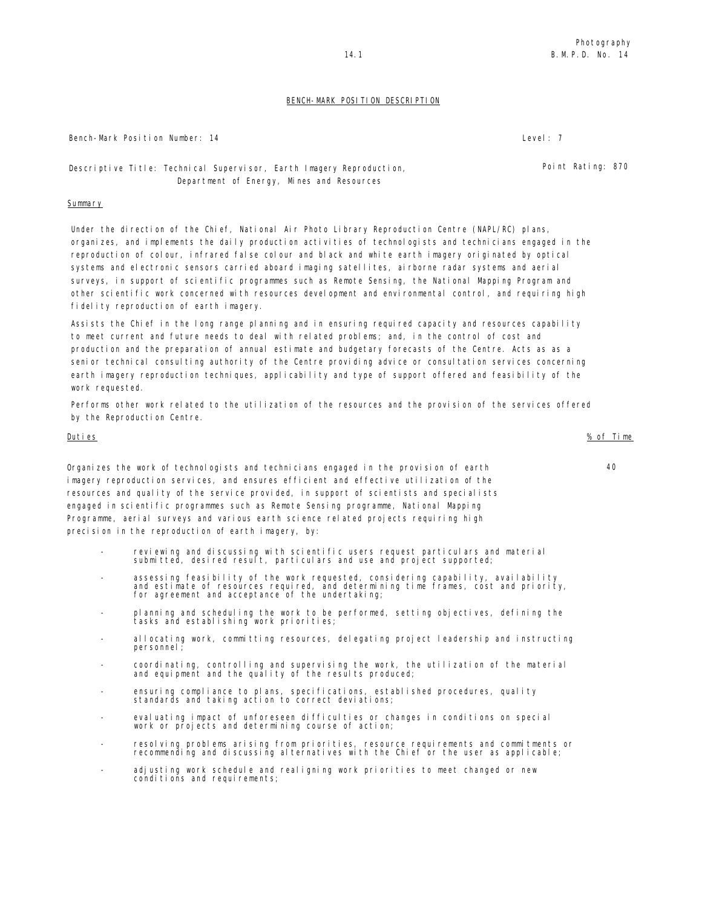Bench-Mark Position Number: 14 Level: 7

Descriptive Title: Technical Supervisor, Earth Imagery Reproduction, Department of Energy, Mines and Resources

### **Summary**

Under the direction of the Chief, National Air Photo Library Reproduction Centre (NAPL/RC) plans, organizes, and implements the daily production activities of technologists and technicians engaged in the reproduction of colour, infrared false colour and black and white earth imagery originated by optical systems and electronic sensors carried aboard imaging satellites, airborne radar systems and aerial surveys, in support of scientific programmes such as Remote Sensing, the National Mapping Program and other scientific work concerned with resources development and environmental control, and requiring high fidelity reproduction of earth imagery.

Assists the Chief in the long range planning and in ensuring required capacity and resources capability to meet current and future needs to deal with related problems; and, in the control of cost and production and the preparation of annual estimate and budgetary forecasts of the Centre. Acts as as a senior technical consulting authority of the Centre providing advice or consultation services concerning earth imagery reproduction techniques, applicability and type of support offered and feasibility of the work requested.

Performs other work related to the utilization of the resources and the provision of the services offered by the Reproduction Centre.

### Duties % of Time

Organizes the work of technologists and technicians engaged in the provision of earth imagery reproduction services, and ensures efficient and effective utilization of the resources and quality of the service provided, in support of scientists and specialists engaged in scientific programmes such as Remote Sensing programme, National Mapping Programme, aerial surveys and various earth science related projects requiring high precision in the reproduction of earth imagery, by:

- reviewing and discussing with scientific users request particulars and material submitted, desired result, particulars and use and project supported;
- assessing feasibility of the work requested, considering capability, availability and estimate of resources required, and determining time frames, cost and priority, for agreement and acceptance of the undertaking;
- planning and scheduling the work to be performed, setting objectives, defining the tasks and establishing work priorities;
- allocating work, committing resources, delegating project leadership and instructing personnel;
- coordinating, controlling and supervising the work, the utilization of the material and equipment and the quality of the results produced;
- ensuring compliance to plans, specifications, established procedures, quality standards and taking action to correct deviations;
- evaluating impact of unforeseen difficulties or changes in conditions on special work or projects and determining course of action;
- resolving problems arising from priorities, resource requirements and commitments or recommending and discussing alternatives with the Chief or the user as applicable;
- adjusting work schedule and realigning work priorities to meet changed or new conditions and requirements;

Point Rating: 870

BENCH-MARK POSITION DESCRIPTION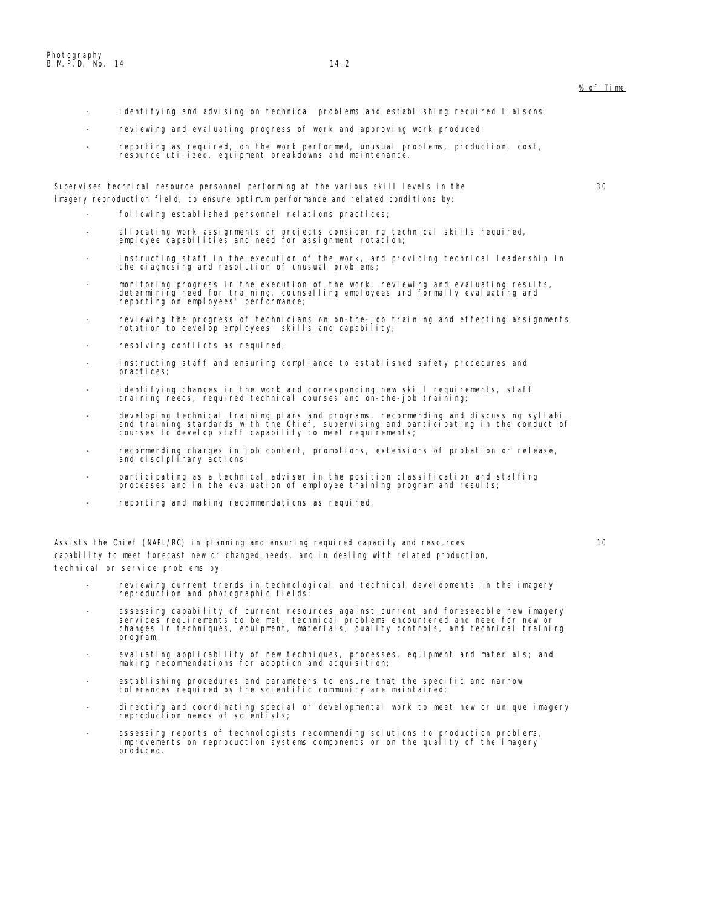- identifying and advising on technical problems and establishing required liaisons;
- reviewing and evaluating progress of work and approving work produced;
- reporting as required, on the work performed, unusual problems, production, cost, resource utilized, equipment breakdowns and maintenance.

Supervises technical resource personnel performing at the various skill levels in the imagery reproduction field, to ensure optimum performance and related conditions by:

- following established personnel relations practices;
- allocating work assignments or projects considering technical skills required, employee capabilities and need for assignment rotation;
- instructing staff in the execution of the work, and providing technical leadership in the diagnosing and resolution of unusual problems;
- monitoring progress in the execution of the work, reviewing and evaluating results, determining need for training, counselling employees and formally evaluating and reporting on employees' performance;
- reviewing the progress of technicians on on-the-job training and effecting assignments rotation to develop employees' skills and capability;
- resolving conflicts as required;
- instructing staff and ensuring compliance to established safety procedures and practices;
- identifying changes in the work and corresponding new skill requirements, staff training needs, required technical courses and on-the-job training;
- developing technical training plans and programs, recommending and discussing syllabi<br>and training standards with the Chief, supervising and participating in the conduct of<br>courses to develop staff capability to meet req
- recommending changes in job content, promotions, extensions of probation or release, and disciplinary actions;
- participating as a technical adviser in the position classification and staffing processes and in the evaluation of employee training program and results;
- reporting and making recommendations as required.

Assists the Chief (NAPL/RC) in planning and ensuring required capacity and resources capability to meet forecast new or changed needs, and in dealing with related production, technical or service problems by:

- reviewing current trends in technological and technical developments in the imagery reproduction and photographic fields;
- assessing capability of current resources against current and foreseeable new imagery<br>services requirements to be met, technical problems encountered and need for new or<br>changes in techniques, equipment, materials, quali program;
- evaluating applicability of new techniques, processes, equipment and materials; and making recommendations for adoption and acquisition;
- establishing procedures and parameters to ensure that the specific and narrow tolerances required by the scientific community are maintained;
- directing and coordinating special or developmental work to meet new or unique imagery reproduction needs of scientists;
- assessing reports of technologists recommending solutions to production problems, improvements on reproduction systems components or on the quality of the imagery produced.

% of Time

10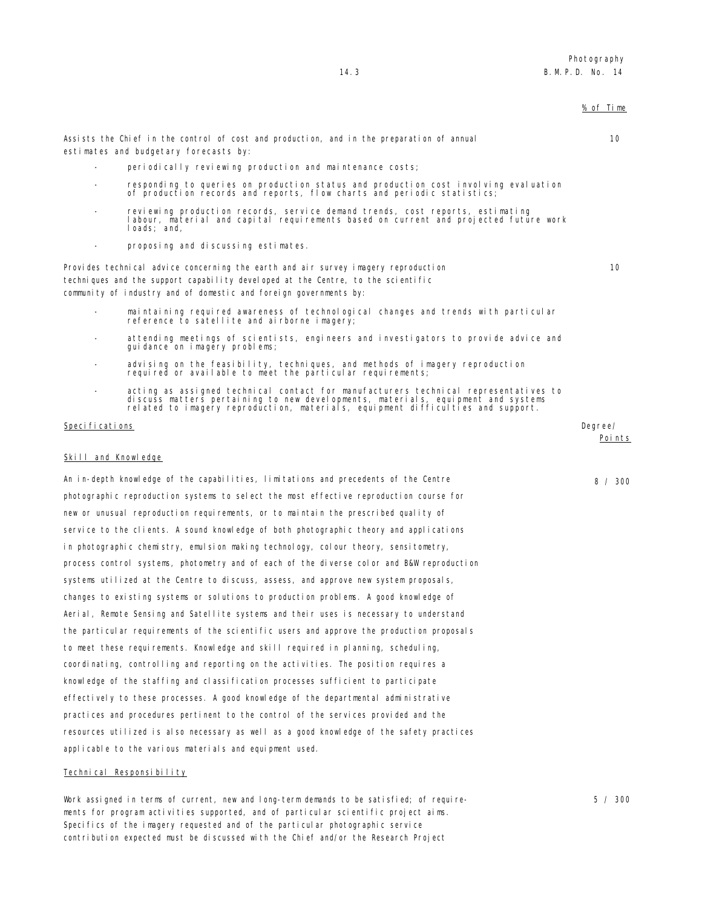% of Time

10

10

estimates and budgetary forecasts by:

- periodically reviewing production and maintenance costs;

Assists the Chief in the control of cost and production, and in the preparation of annual

- responding to queries on production status and production cost involving evaluation of production records and reports, flow charts and periodic statistics;
- reviewing production records, service demand trends, cost reports, estimating labour, material and capital requirements based on current and projected future work loads; and,
- proposing and discussing estimates.

Provides technical advice concerning the earth and air survey imagery reproduction techniques and the support capability developed at the Centre, to the scientific community of industry and of domestic and foreign governments by:

- maintaining required awareness of technological changes and trends with particular reference to satellite and airborne imagery;
- attending meetings of scientists, engineers and investigators to provide advice and guidance on imagery problems;
- advising on the feasibility, techniques, and methods of imagery reproduction required or available to meet the particular requirements;
- acting as assigned technical contact for manufacturers technical representatives to discuss matters pertaining to new developments, materials, equipment and systems related to imagery reproduction, materials, equipment difficulties and support.

### Specifications Degree/

Points

8 / 300

### Skill and Knowledge

An in-depth knowledge of the capabilities, limitations and precedents of the Centre photographic reproduction systems to select the most effective reproduction course for new or unusual reproduction requirements, or to maintain the prescribed quality of service to the clients. A sound knowledge of both photographic theory and applications in photographic chemistry, emulsion making technology, colour theory, sensitometry, process control systems, photometry and of each of the diverse color and B&W reproduction systems utilized at the Centre to discuss, assess, and approve new system proposals, changes to existing systems or solutions to production problems. A good knowledge of Aerial, Remote Sensing and Satellite systems and their uses is necessary to understand the particular requirements of the scientific users and approve the production proposals to meet these requirements. Knowledge and skill required in planning, scheduling, coordinating, controlling and reporting on the activities. The position requires a knowledge of the staffing and classification processes sufficient to participate effectively to these processes. A good knowledge of the departmental administrative practices and procedures pertinent to the control of the services provided and the resources utilized is also necessary as well as a good knowledge of the safety practices applicable to the various materials and equipment used.

### Technical Responsibility

Work assigned in terms of current, new and long-term demands to be satisfied; of requirements for program activities supported, and of particular scientific project aims. Specifics of the imagery requested and of the particular photographic service contribution expected must be discussed with the Chief and/or the Research Project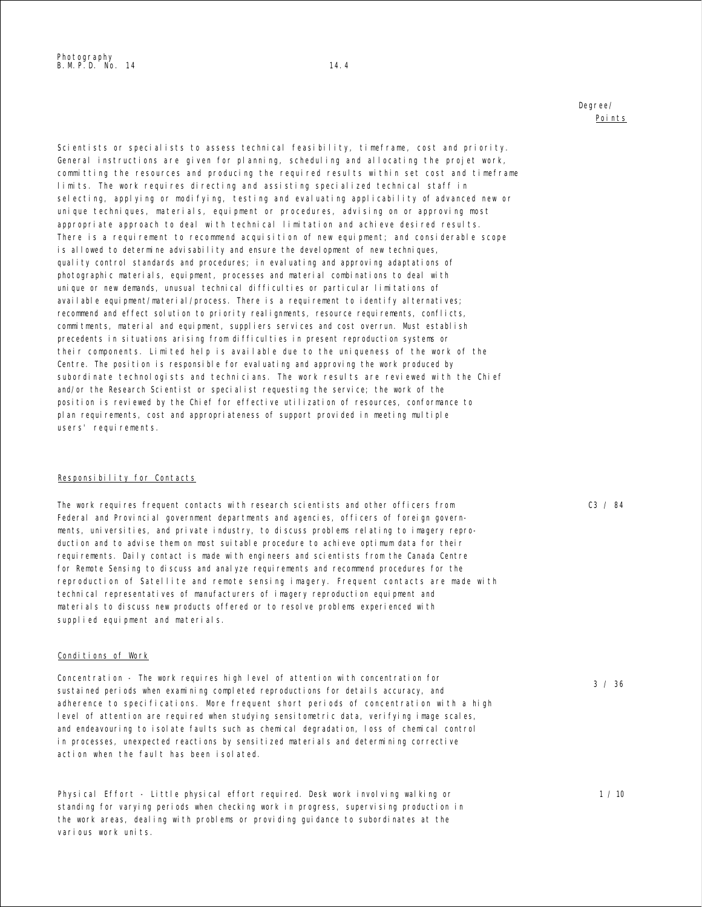Degree/ Points

Scientists or specialists to assess technical feasibility, timeframe, cost and priority. General instructions are given for planning, scheduling and allocating the projet work, committing the resources and producing the required results within set cost and timeframe limits. The work requires directing and assisting specialized technical staff in selecting, applying or modifying, testing and evaluating applicability of advanced new or unique techniques, materials, equipment or procedures, advising on or approving most appropriate approach to deal with technical limitation and achieve desired results. There is a requirement to recommend acquisition of new equipment; and considerable scope is allowed to determine advisability and ensure the development of new techniques, quality control standards and procedures; in evaluating and approving adaptations of photographic materials, equipment, processes and material combinations to deal with unique or new demands, unusual technical difficulties or particular limitations of available equipment/material/process. There is a requirement to identify alternatives; recommend and effect solution to priority realignments, resource requirements, conflicts, commitments, material and equipment, suppliers services and cost overrun. Must establish precedents in situations arising from difficulties in present reproduction systems or their components. Limited help is available due to the uniqueness of the work of the Centre. The position is responsible for evaluating and approving the work produced by subordinate technologists and technicians. The work results are reviewed with the Chief and/or the Research Scientist or specialist requesting the service; the work of the position is reviewed by the Chief for effective utilization of resources, conformance to plan requirements, cost and appropriateness of support provided in meeting multiple users' requirements.

### Responsibility for Contacts

The work requires frequent contacts with research scientists and other officers from Federal and Provincial government departments and agencies, officers of foreign governments, universities, and private industry, to discuss problems relating to imagery reproduction and to advise them on most suitable procedure to achieve optimum data for their requirements. Daily contact is made with engineers and scientists from the Canada Centre for Remote Sensing to discuss and analyze requirements and recommend procedures for the reproduction of Satellite and remote sensing imagery. Frequent contacts are made with technical representatives of manufacturers of imagery reproduction equipment and materials to discuss new products offered or to resolve problems experienced with supplied equipment and materials.

### Conditions of Work

Concentration - The work requires high level of attention with concentration for sustained periods when examining completed reproductions for details accuracy, and adherence to specifications. More frequent short periods of concentration with a high level of attention are required when studying sensitometric data, verifying image scales, and endeavouring to isolate faults such as chemical degradation, loss of chemical control in processes, unexpected reactions by sensitized materials and determining corrective action when the fault has been isolated.

Physical Effort - Little physical effort required. Desk work involving walking or standing for varying periods when checking work in progress, supervising production in the work areas, dealing with problems or providing guidance to subordinates at the various work units.

C3 / 84

3 / 36

1 / 10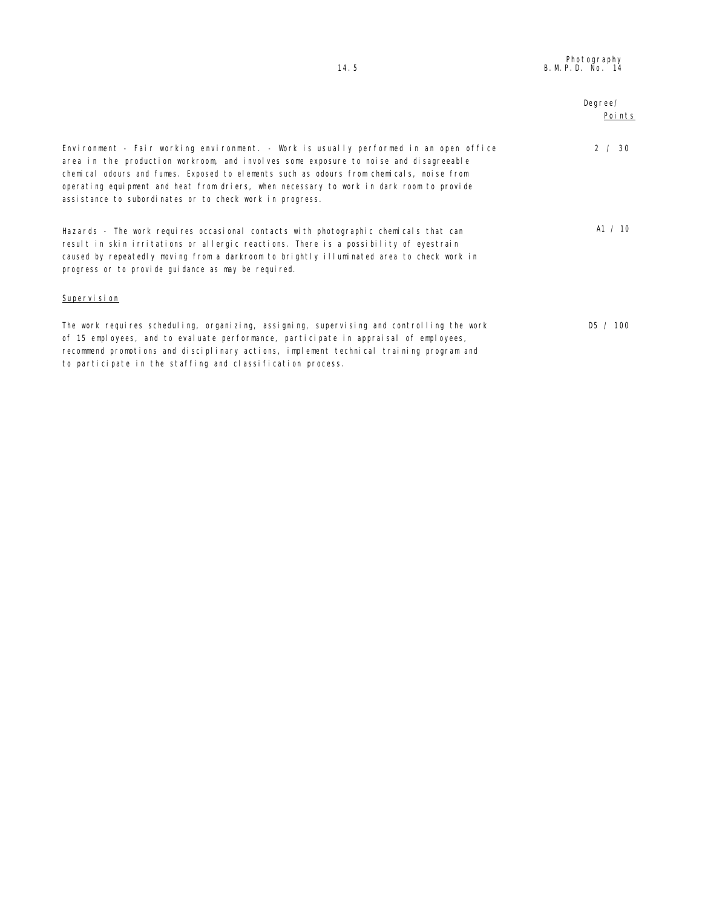|                                                                                                                                                                                                                                                                                                                                                                                                                                    | Degree/<br>Points |
|------------------------------------------------------------------------------------------------------------------------------------------------------------------------------------------------------------------------------------------------------------------------------------------------------------------------------------------------------------------------------------------------------------------------------------|-------------------|
| Environment - Fair working environment. - Work is usually performed in an open office<br>area in the production workroom, and involves some exposure to noise and disagreeable<br>chemical odours and fumes. Exposed to elements such as odours from chemicals, noise from<br>operating equipment and heat from driers, when necessary to work in dark room to provide<br>assistance to subordinates or to check work in progress. | 2 / 30            |
| Hazards - The work requires occasional contacts with photographic chemicals that can<br>result in skin irritations or allergic reactions. There is a possibility of eyestrain<br>caused by repeatedly moving from a darkroom to brightly illuminated area to check work in<br>progress or to provide guidance as may be required.                                                                                                  | A1 $/$ 10         |
| Supervision                                                                                                                                                                                                                                                                                                                                                                                                                        |                   |
| The work requires scheduling, organizing, assigning, supervising and controlling the work<br>of 15 employees, and to evaluate performance, participate in appraisal of employees,<br>recommend promotions and disciplinary actions, implement technical training program and<br>to participate in the staffing and classification process.                                                                                         | DS / 100          |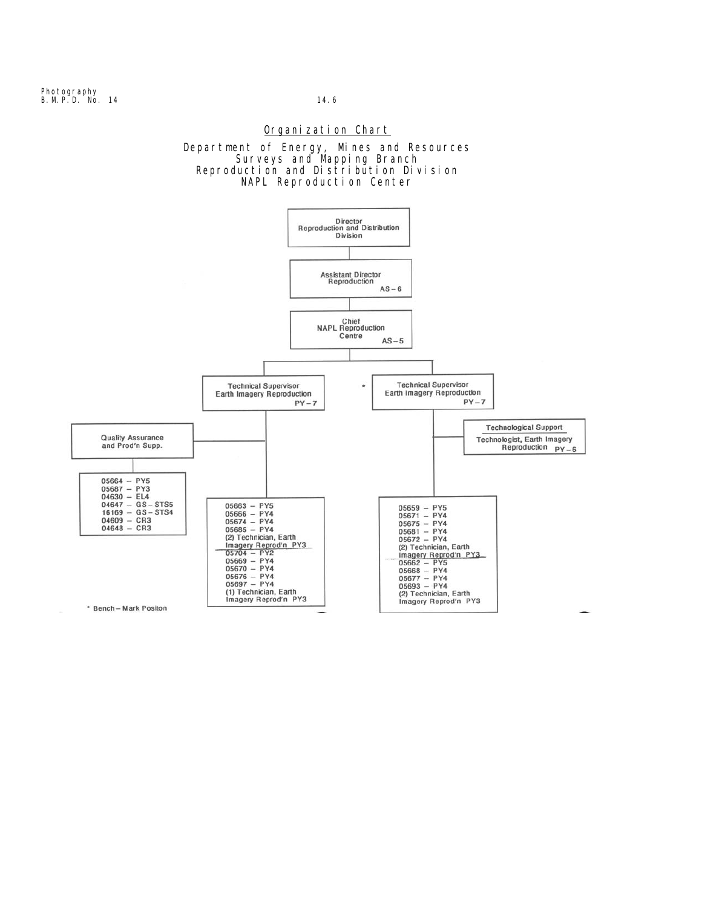## Organization Chart



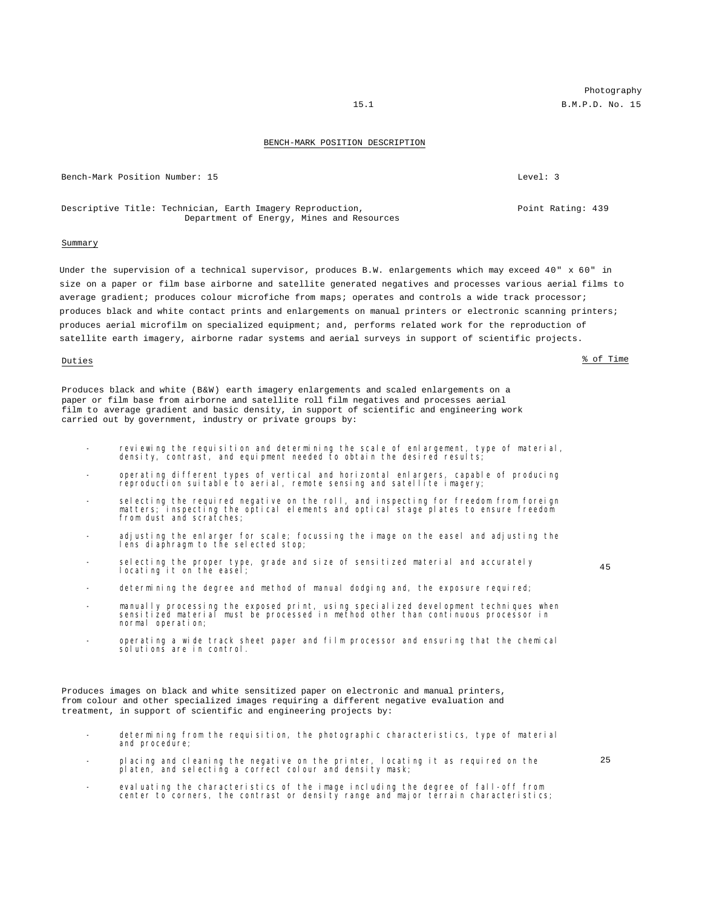### BENCH-MARK POSITION DESCRIPTION

Bench-Mark Position Number: 15 and 2008 and 2008 and 2008 and 2008 and 2008 and 2008 and 2008 and 2008 and 200

Descriptive Title: Technician, Earth Imagery Reproduction, Department of Energy, Mines and Resources

### Summary

Under the supervision of a technical supervisor, produces B.W. enlargements which may exceed 40" x 60" in size on a paper or film base airborne and satellite generated negatives and processes various aerial films to average gradient; produces colour microfiche from maps; operates and controls a wide track processor; produces black and white contact prints and enlargements on manual printers or electronic scanning printers; produces aerial microfilm on specialized equipment; and, performs related work for the reproduction of satellite earth imagery, airborne radar systems and aerial surveys in support of scientific projects.

### Duties  $\frac{\text{?}}{\text{?}}$  of Time

Produces black and white (B&W) earth imagery enlargements and scaled enlargements on a paper or film base from airborne and satellite roll film negatives and processes aerial film to average gradient and basic density, in support of scientific and engineering work carried out by government, industry or private groups by:

- reviewing the requisition and determining the scale of enlargement, type of material, density, contrast, and equipment needed to obtain the desired results;
- operating different types of vertical and horizontal enlargers, capable of producing reproduction suitable to aerial, remote sensing and satellite imagery;
- selecting the required negative on the roll, and inspecting for freedom from foreign matters; inspecting the optical elements and optical stage plates to ensure freedom from dust and scratches;
- adjusting the enlarger for scale; focussing the image on the easel and adjusting the lens diaphragm to the selected stop;
- selecting the proper type, grade and size of sensitized material and accurately locating it on the easel;
- determining the degree and method of manual dodging and, the exposure required;
- manually processing the exposed print, using specialized development techniques when sensitized material must be processed in method other than continuous processor in normal operation;
- operating a wide track sheet paper and film processor and ensuring that the chemical solutions are in control.

Produces images on black and white sensitized paper on electronic and manual printers, from colour and other specialized images requiring a different negative evaluation and treatment, in support of scientific and engineering projects by:

- determining from the requisition, the photographic characteristics, type of material and procedure;
- placing and cleaning the negative on the printer, locating it as required on the platen, and selecting a correct colour and density mask;
- evaluating the characteristics of the image including the degree of fall-off from center to corners, the contrast or density range and major terrain characteristics;

Photography 15.1 B.M.P.D. No. 15

45

Point Rating: 439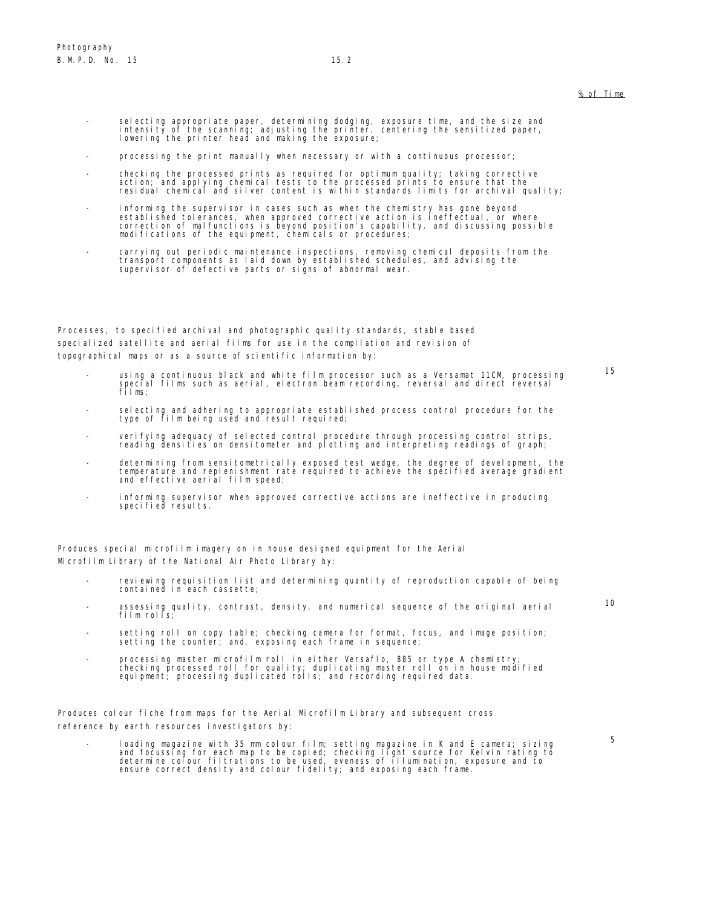- selecting appropriate paper, determining dodging, exposure time, and the size and intensity of the scanning; adjusting the printer, centering the sensitized paper, lowering the printer head and making the exposure;
- processing the print manually when necessary or with a continuous processor;
- checking the processed prints as required for optimum quality; taking corrective<br>action; and applying chemical tests to the processed prints to ensure that the<br>residual chemical and silver content is within standards lim
- informing the supervisor in cases such as when the chemistry has gone beyond<br>established tolerances, when approved corrective action is ineffectual, or where<br>correction of malfunctions is beyond position's capability, and modifications of the equipment, chemicals or procedures;
- carrying out periodic maintenance inspections, removing chemical deposits from the transport components as laid down by established schedules, and advising the supervisor of defective parts or signs of abnormal wear.

Processes, to specified archival and photographic quality standards, stable based specialized satellite and aerial films for use in the compilation and revision of topographical maps or as a source of scientific information by:

- using a continuous black and white film processor such as a Versamat 11CM, processing special films such as aerial, electron beam recording, reversal and direct reversal films;
- selecting and adhering to appropriate established process control procedure for the type of film being used and result required;
- verifying adequacy of selected control procedure through processing control strips, reading densities on densitometer and plotting and interpreting readings of graph;
- determining from sensitometrically exposed test wedge, the degree of development, the temperature and replenishment rate required to achieve the specified average gradient and effective aerial film speed;
- informing supervisor when approved corrective actions are ineffective in producing specified results.

Produces special microfilm imagery on in house designed equipment for the Aerial Microfilm Library of the National Air Photo Library by:

- reviewing requisition list and determining quantity of reproduction capable of being contained in each cassette;
- assessing quality, contrast, density, and numerical sequence of the original aerial film rolls;
- setting roll on copy table; checking camera for format, focus, and image position; setting the counter; and, exposing each frame in sequence;
- processing master microfilm roll in either Versaflo, 885 or type A chemistry;<br>checking processed roll for quality; duplicating master roll on in house modified<br>equipment; processing duplicated rolls; and recording requir

Produces colour fiche from maps for the Aerial Microfilm Library and subsequent cross reference by earth resources investigators by:

- loading magazine with 35 mm colour film; setting magazine in K and E camera; sizing<br>and focussing for each map to be copied; checking light source for Kelvin rating to<br>determine colour filtrations to be used, eveness of

5

10

15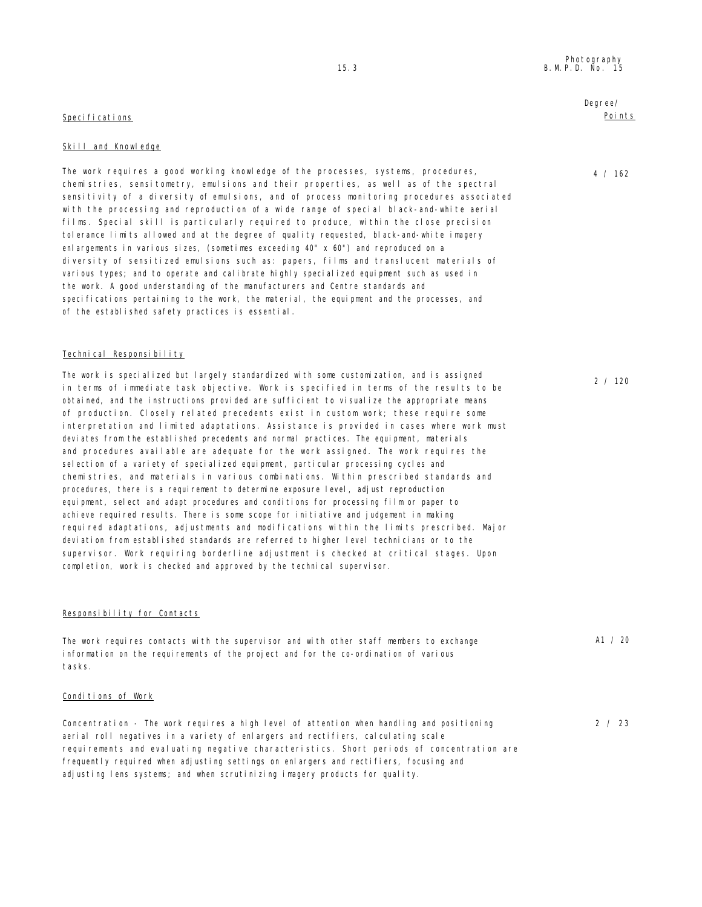### Specifications

### Skill and Knowledge

The work requires a good working knowledge of the processes, systems, procedures, chemistries, sensitometry, emulsions and their properties, as well as of the spectral sensitivity of a diversity of emulsions, and of process monitoring procedures associated with the processing and reproduction of a wide range of special black-and-white aerial films. Special skill is particularly required to produce, within the close precision tolerance limits allowed and at the degree of quality requested, black-and-white imagery enlargements in various sizes, (sometimes exceeding 40" x 60") and reproduced on a diversity of sensitized emulsions such as: papers, films and translucent materials of various types; and to operate and calibrate highly specialized equipment such as used in the work. A good understanding of the manufacturers and Centre standards and specifications pertaining to the work, the material, the equipment and the processes, and of the established safety practices is essential.

### Technical Responsibility

The work is specialized but largely standardized with some customization, and is assigned in terms of immediate task objective. Work is specified in terms of the results to be obtained, and the instructions provided are sufficient to visualize the appropriate means of production. Closely related precedents exist in custom work; these require some interpretation and limited adaptations. Assistance is provided in cases where work must deviates from the established precedents and normal practices. The equipment, materials and procedures available are adequate for the work assigned. The work requires the selection of a variety of specialized equipment, particular processing cycles and chemistries, and materials in various combinations. Within prescribed standards and procedures, there is a requirement to determine exposure level, adjust reproduction equipment, select and adapt procedures and conditions for processing film or paper to achieve required results. There is some scope for initiative and judgement in making required adaptations, adjustments and modifications within the limits prescribed. Major deviation from established standards are referred to higher level technicians or to the supervisor. Work requiring borderline adjustment is checked at critical stages. Upon completion, work is checked and approved by the technical supervisor.

### Responsibility for Contacts

The work requires contacts with the supervisor and with other staff members to exchange information on the requirements of the project and for the co-ordination of various tasks.

### Conditions of Work

Concentration - The work requires a high level of attention when handling and positioning aerial roll negatives in a variety of enlargers and rectifiers, calculating scale requirements and evaluating negative characteristics. Short periods of concentration are frequently required when adjusting settings on enlargers and rectifiers, focusing and adjusting lens systems; and when scrutinizing imagery products for quality.

Degree/ Points

4 / 162

2 / 120

A1 / 20

2 / 23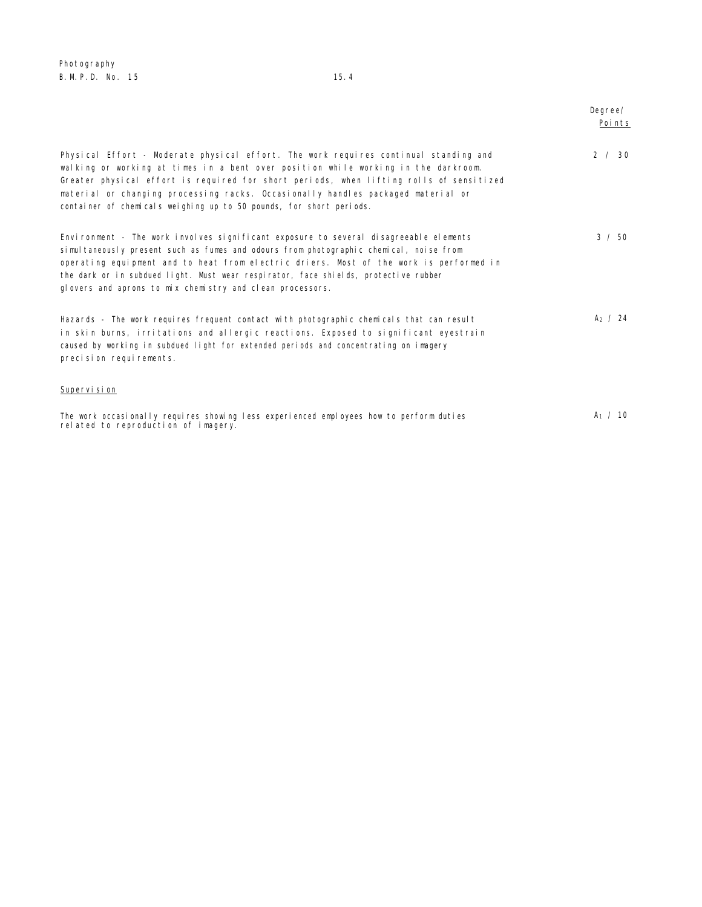Photography B. M. P. D. No. 15 15.4

|                                                                                                                                                                                                                                                                                                                                                                                                                                  | Degree/<br>Poi nts |
|----------------------------------------------------------------------------------------------------------------------------------------------------------------------------------------------------------------------------------------------------------------------------------------------------------------------------------------------------------------------------------------------------------------------------------|--------------------|
| Physical Effort - Moderate physical effort. The work requires continual standing and<br>walking or working at times in a bent over position while working in the darkroom.<br>Greater physical effort is required for short periods, when lifting rolls of sensitized<br>material or changing processing racks. Occasionally handles packaged material or<br>container of chemicals weighing up to 50 pounds, for short periods. | 2 / 30             |
| Environment - The work involves significant exposure to several disagreeable elements<br>simultaneously present such as fumes and odours from photographic chemical, noise from<br>operating equipment and to heat from electric driers. Most of the work is performed in<br>the dark or in subdued light. Must wear respirator, face shields, protective rubber<br>glovers and aprons to mix chemistry and clean processors.    | $3 \times 50$      |
| Hazards - The work requires frequent contact with photographic chemicals that can result<br>in skin burns, irritations and allergic reactions. Exposed to significant eyestrain<br>caused by working in subdued light for extended periods and concentrating on imagery<br>precision requirements.                                                                                                                               | $A_2 / 24$         |
| Supervi si on                                                                                                                                                                                                                                                                                                                                                                                                                    |                    |
| The work occasionally requires showing less experienced employees how to perform duties<br>related to reproduction of imagery.                                                                                                                                                                                                                                                                                                   | $A_1 / 10$         |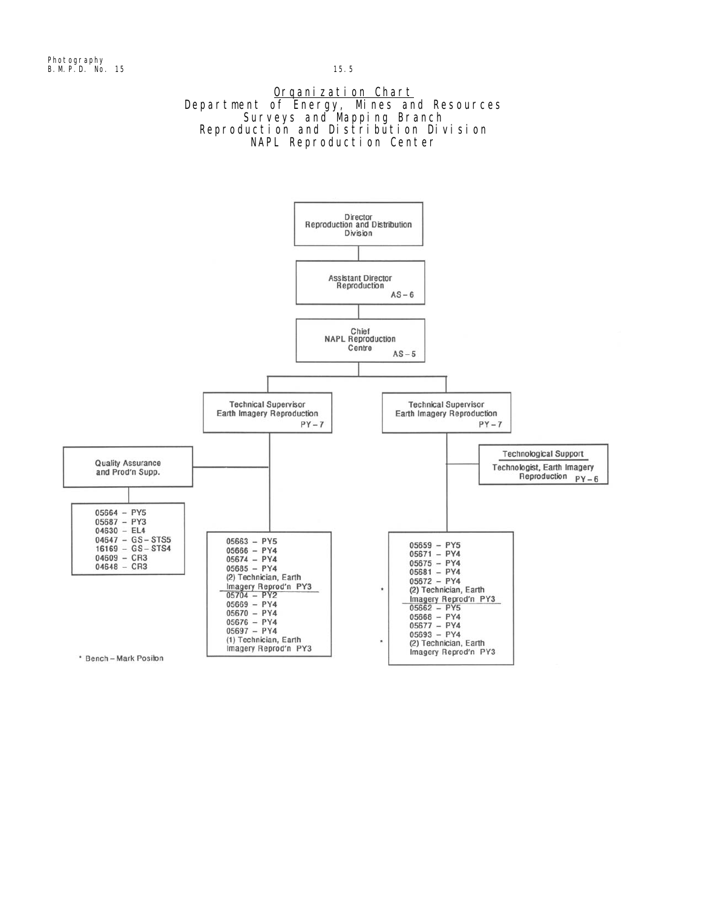## Organization Chart Department of Energy, Mines and Resources Surveys and Mapping Branch Reproduction and Distribution Division NAPL Reproduction Center

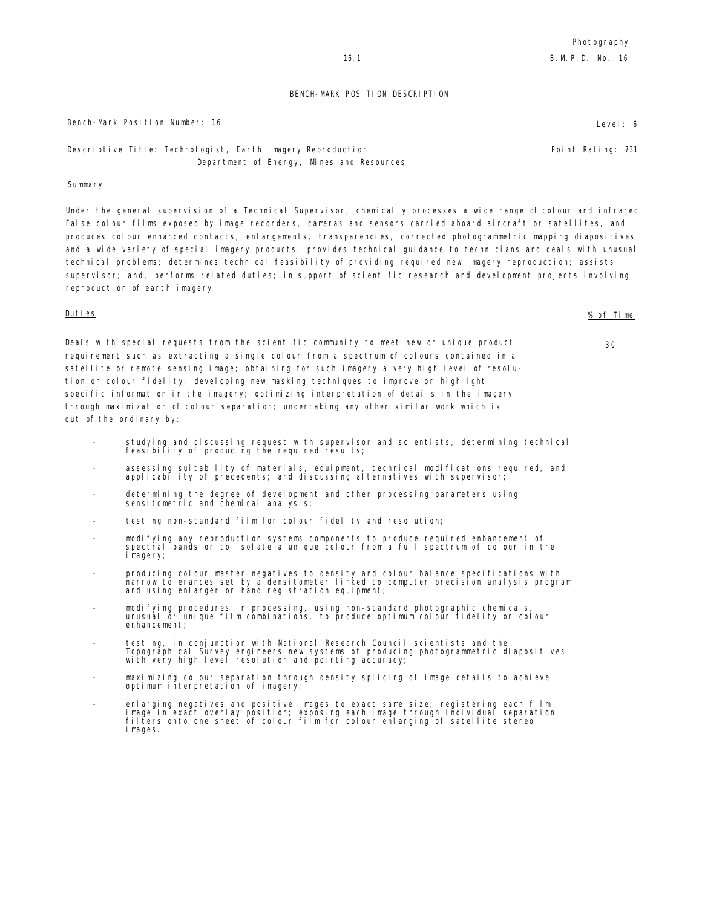Point Rating: 731

### BENCH-MARK POSITION DESCRIPTION

### Bench-Mark Position Number: 16 Level: 6 Level: 6 Level: 6 Level: 6 Level: 6 Level: 6

Descriptive Title: Technologist, Earth Imagery Reproduction Department of Energy, Mines and Resources

### Summary

Under the general supervision of a Technical Supervisor, chemically processes a wide range of colour and infrared False colour films exposed by image recorders, cameras and sensors carried aboard aircraft or satellites, and produces colour enhanced contacts, enlargements, transparencies, corrected photogrammetric mapping diapositives and a wide variety of special imagery products; provides technical guidance to technicians and deals with unusual technical problems; determines technical feasibility of providing required new imagery reproduction; assists supervisor; and, performs related duties; in support of scientific research and development projects involving reproduction of earth imagery.

Deals with special requests from the scientific community to meet new or unique product requirement such as extracting a single colour from a spectrum of colours contained in a satellite or remote sensing image; obtaining for such imagery a very high level of resolution or colour fidelity; developing new masking techniques to improve or highlight specific information in the imagery; optimizing interpretation of details in the imagery through maximization of colour separation; undertaking any other similar work which is out of the ordinary by:

- studying and discussing request with supervisor and scientists, determining technical feasibility of producing the required results;
- assessing suitability of materials, equipment, technical modifications required, and applicability of precedents; and discussing alternatives with supervisor;
- determining the degree of development and other processing parameters using sensitometric and chemical analysis;
- testing non-standard film for colour fidelity and resolution;
- modifying any reproduction systems components to produce required enhancement of spectral bands or to isolate a unique colour from a full spectrum of colour in the imagery;
- producing colour master negatives to density and colour balance specifications with narrow tolerances set by a densitometer linked to computer precision analysis program and using enlarger or hand registration equipment;
- modifying procedures in processing, using non-standard photographic chemicals, unusual or unique film combinations, to produce optimum colour fidelity or colour enhancement;
- testing, in conjunction with National Research Council scientists and the Topographical Survey engineers new systems of producing photogrammetric diapositives with very high level resolution and pointing accuracy;
- maximizing colour separation through density splicing of image details to achieve optimum interpretation of imagery;
- enlarging negatives and positive images to exact same size; registering each film<br>image in exact overlay position; exposing each image through individual separation<br>filters onto one sheet of colour film for colour enlargin i mages.

Duties % of Time

30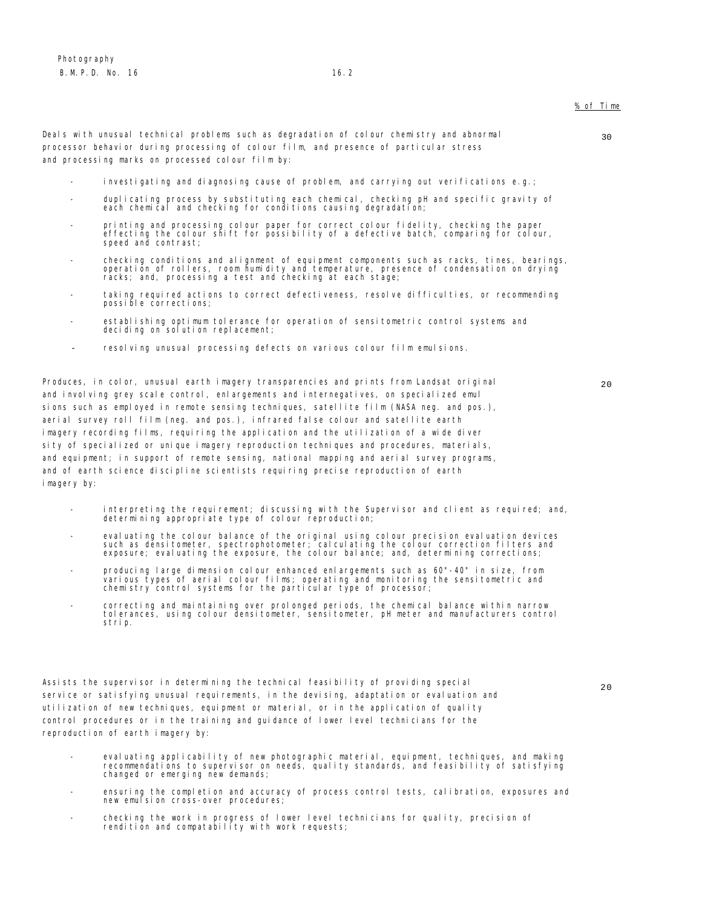### % of Time

Deals with unusual technical problems such as degradation of colour chemistry and abnormal processor behavior during processing of colour film, and presence of particular stress and processing marks on processed colour film by:

- investigating and diagnosing cause of problem, and carrying out verifications  $e, q, \gamma$
- duplicating process by substituting each chemical, checking pH and specific gravity of each chemical and checking for conditions causing degradation;
- printing and processing colour paper for correct colour fidelity, checking the paper effecting the colour shift for possibility of a defective batch, comparing for colour, speed and contrast;
- checking conditions and alignment of equipment components such as racks, tines, bearings, operation of rollers, room humidity and temperature, presence of condensation on drying racks; and, processing a test and checking at each stage;
- taking required actions to correct defectiveness, resolve difficulties, or recommending possible corrections;
- establishing optimum tolerance for operation of sensitometric control systems and deciding on solution replacement;
- resolving unusual processing defects on various colour film emulsions.

Produces, in color, unusual earth imagery transparencies and prints from Landsat original and involving grey scale control, enlargements and internegatives, on specialized emul sions such as employed in remote sensing techniques, satellite film (NASA neg. and pos.), aerial survey roll film (neg. and pos.), infrared false colour and satellite earth imagery recording films, requiring the application and the utilization of a wide diver sity of specialized or unique imagery reproduction techniques and procedures, materials, and equipment; in support of remote sensing, national mapping and aerial survey programs, and of earth science discipline scientists requiring precise reproduction of earth imagery by:

- interpreting the requirement; discussing with the Supervisor and client as required; and, determining appropriate type of colour reproduction;
- evaluating the colour balance of the original using colour precision evaluation devices<br>such as densitometer, spectrophotometer; calculating the colour correction filters and<br>exposure; evaluating the exposure, the colour b
- producing large dimension colour enhanced enlargements such as 60"-40" in size, from<br>various types of aerial colour films; operating and monitoring the sensitometric and<br>chemistry control systems for the particular type
- correcting and maintaining over prolonged periods, the chemical balance within narrow tolerances, using colour densitometer, sensitometer, pH meter and manufacturers control strip.

Assists the supervisor in determining the technical feasibility of providing special service or satisfying unusual requirements, in the devising, adaptation or evaluation and utilization of new techniques, equipment or material, or in the application of quality control procedures or in the training and guidance of lower level technicians for the reproduction of earth imagery by:

- evaluating applicability of new photographic material, equipment, techniques, and making recommendations to supervisor on needs, quality standards, and feasibility of satisfying changed or emerging new demands;
- ensuring the completion and accuracy of process control tests, calibration, exposures and new emulsion cross-over procedures;
- checking the work in progress of lower level technicians for quality, precision of rendition and compatability with work requests;

30

 $20$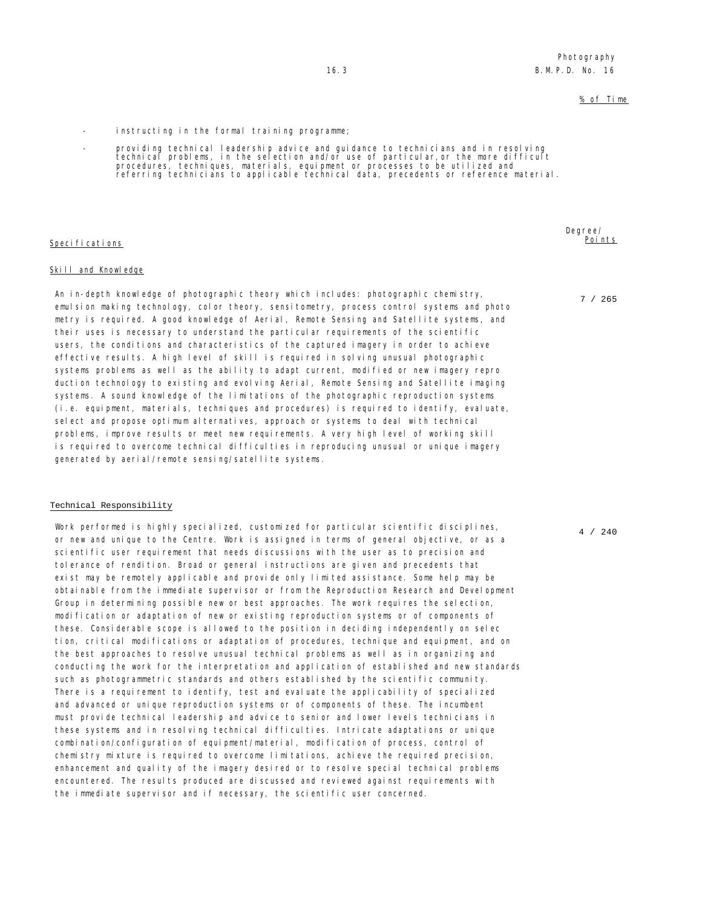### % of Time

- instructing in the formal training programme;
- providing technical leadership advice and guidance to technicians and in resolving<br>technical problems, in the selection and/or use of particular,or the more difficult<br>procedures, techniques, materials, equipment or proce

### Specifications

### Skill and Knowledge

An in-depth knowledge of photographic theory which includes: photographic chemistry, emulsion making technology, color theory, sensitometry, process control systems and photo metry is required. A good knowledge of Aerial, Remote Sensing and Satellite systems, and their uses is necessary to understand the particular requirements of the scientific users, the conditions and characteristics of the captured imagery in order to achieve effective results. A high level of skill is required in solving unusual photographic systems problems as well as the ability to adapt current, modified or new imagery repro duction technology to existing and evolving Aerial, Remote Sensing and Satellite imaging systems. A sound knowledge of the limitations of the photographic reproduction systems (i.e. equipment, materials, techniques and procedures) is required to identify, evaluate, select and propose optimum alternatives, approach or systems to deal with technical problems, improve results or meet new requirements. A very high level of working skill is required to overcome technical difficulties in reproducing unusual or unique imagery generated by aerial/remote sensing/satellite systems.

### Technical Responsibility

Work performed is highly specialized, customized for particular scientific disciplines, or new and unique to the Centre. Work is assigned in terms of general objective, or as a scientific user requirement that needs discussions with the user as to precision and tolerance of rendition. Broad or general instructions are given and precedents that exist may be remotely applicable and provide only limited assistance. Some help may be obtainable from the immediate supervisor or from the Reproduction Research and Development Group in determining possible new or best approaches. The work requires the selection, modification or adaptation of new or existing reproduction systems or of components of these. Considerable scope is allowed to the position in deciding independently on selec tion, critical modifications or adaptation of procedures, technique and equipment, and on the best approaches to resolve unusual technical problems as well as in organizing and conducting the work for the interpretation and application of established and new standards such as photogrammetric standards and others established by the scientific community. There is a requirement to identify, test and evaluate the applicability of specialized and advanced or unique reproduction systems or of components of these. The incumbent must provide technical leadership and advice to senior and lower levels technicians in these systems and in resolving technical difficulties. Intricate adaptations or unique combination/configuration of equipment/material, modification of process, control of chemistry mixture is required to overcome limitations, achieve the required precision, enhancement and quality of the imagery desired or to resolve special technical problems encountered. The results produced are discussed and reviewed against requirements with the immediate supervisor and if necessary, the scientific user concerned.

Degree/ Points

7 / 265

4 / 240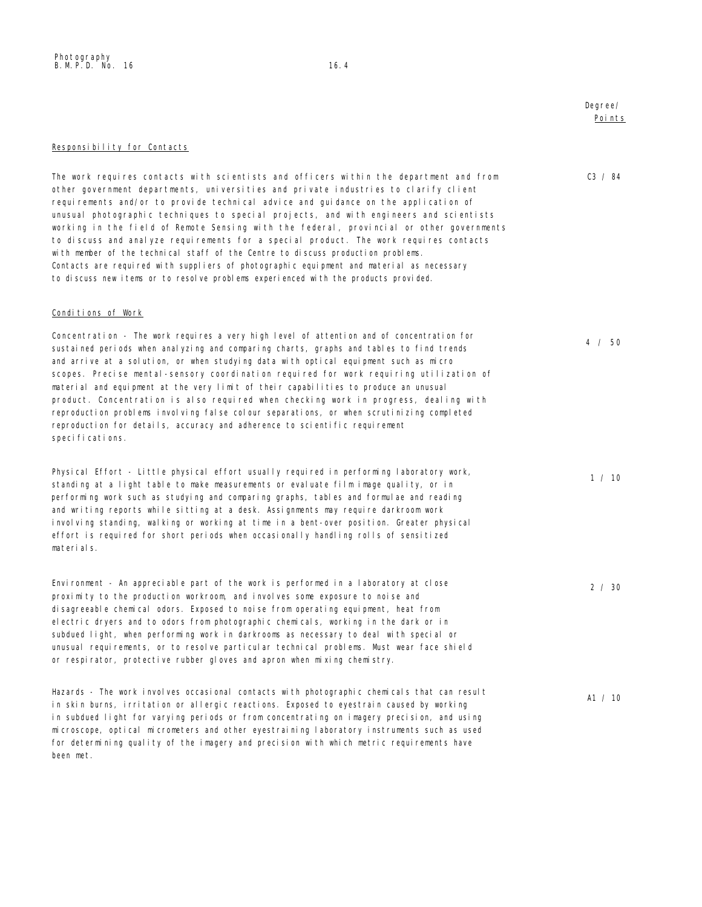## Degree/ Points

### Responsibility for Contacts

The work requires contacts with scientists and officers within the department and from other government departments, universities and private industries to clarify client requirements and/or to provide technical advice and guidance on the application of unusual photographic techniques to special projects, and with engineers and scientists working in the field of Remote Sensing with the federal, provincial or other governments to discuss and analyze requirements for a special product. The work requires contacts with member of the technical staff of the Centre to discuss production problems. Contacts are required with suppliers of photographic equipment and material as necessary to discuss new items or to resolve problems experienced with the products provided.

### Conditions of Work

Concentration - The work requires a very high level of attention and of concentration for sustained periods when analyzing and comparing charts, graphs and tables to find trends and arrive at a solution, or when studying data with optical equipment such as micro scopes. Precise mental-sensory coordination required for work requiring utilization of material and equipment at the very limit of their capabilities to produce an unusual product. Concentration is also required when checking work in progress, dealing with reproduction problems involving false colour separations, or when scrutinizing completed reproduction for details, accuracy and adherence to scientific requirement specifications.

Physical Effort - Little physical effort usually required in performing laboratory work, standing at a light table to make measurements or evaluate film image quality, or in performing work such as studying and comparing graphs, tables and formulae and reading and writing reports while sitting at a desk. Assignments may require darkroom work invol ving standing, walking or working at time in a bent-over position. Greater physical effort is required for short periods when occasionally handling rolls of sensitized materials.

Environment - An appreciable part of the work is performed in a laboratory at close proximity to the production workroom, and involves some exposure to noise and disagreeable chemical odors. Exposed to noise from operating equipment, heat from electric dryers and to odors from photographic chemicals, working in the dark or in subdued light, when performing work in darkrooms as necessary to deal with special or unusual requirements, or to resolve particular technical problems. Must wear face shield or respirator, protective rubber gloves and apron when mixing chemistry.

Hazards - The work involves occasional contacts with photographic chemicals that can result in skin burns, irritation or allergic reactions. Exposed to eyestrain caused by working in subdued light for varying periods or from concentrating on imagery precision, and using microscope, optical micrometers and other eyestraining laboratory instruments such as used for determining quality of the imagery and precision with which metric requirements have been met. A1 / 10

C3 / 84

4 / 50

1 / 10

2 / 30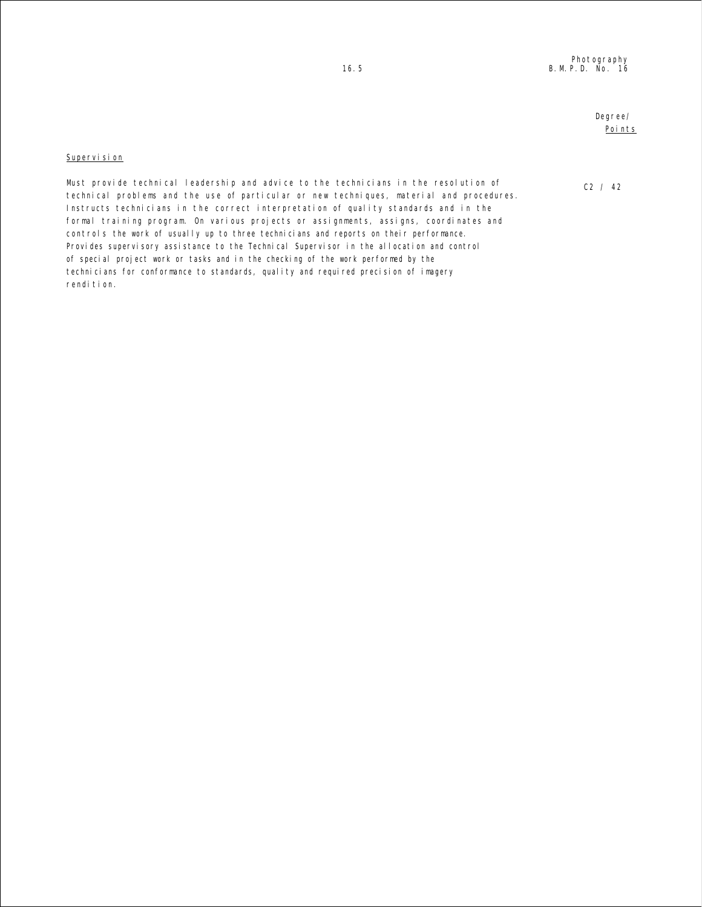## Degree/ Points

C2 / 42

### Supervision

Must provide technical leadership and advice to the technicians in the resolution of technical problems and the use of particular or new techniques, material and procedures. Instructs technicians in the correct interpretation of quality standards and in the formal training program. On various projects or assignments, assigns, coordinates and controls the work of usually up to three technicians and reports on their performance. Provides supervisory assistance to the Technical Supervisor in the allocation and control of special project work or tasks and in the checking of the work performed by the technicians for conformance to standards, quality and required precision of imagery rendition.